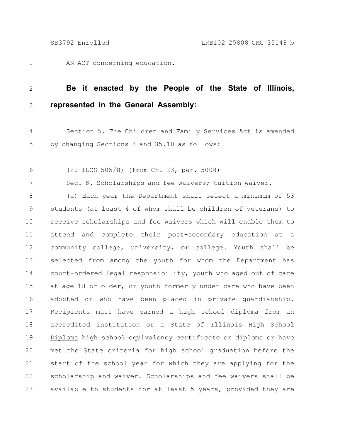AN ACT concerning education. 1

## **Be it enacted by the People of the State of Illinois, represented in the General Assembly:** 2 3

Section 5. The Children and Family Services Act is amended by changing Sections 8 and 35.10 as follows: 4 5

(20 ILCS 505/8) (from Ch. 23, par. 5008) 6

7

Sec. 8. Scholarships and fee waivers; tuition waiver.

(a) Each year the Department shall select a minimum of 53 students (at least 4 of whom shall be children of veterans) to receive scholarships and fee waivers which will enable them to attend and complete their post-secondary education at a community college, university, or college. Youth shall be selected from among the youth for whom the Department has court-ordered legal responsibility, youth who aged out of care at age 18 or older, or youth formerly under care who have been adopted or who have been placed in private guardianship. Recipients must have earned a high school diploma from an accredited institution or a State of Illinois High School Diploma high school equivalency certificate or diploma or have met the State criteria for high school graduation before the start of the school year for which they are applying for the scholarship and waiver. Scholarships and fee waivers shall be available to students for at least 5 years, provided they are 8 9 10 11 12 13 14 15 16 17 18 19 20 21 22 23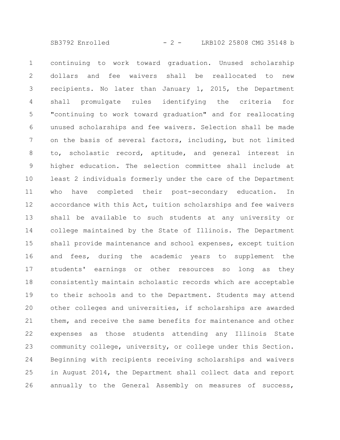SB3792 Enrolled - 2 - LRB102 25808 CMG 35148 b

continuing to work toward graduation. Unused scholarship dollars and fee waivers shall be reallocated to new recipients. No later than January 1, 2015, the Department shall promulgate rules identifying the criteria for "continuing to work toward graduation" and for reallocating unused scholarships and fee waivers. Selection shall be made on the basis of several factors, including, but not limited to, scholastic record, aptitude, and general interest in higher education. The selection committee shall include at least 2 individuals formerly under the care of the Department who have completed their post-secondary education. In accordance with this Act, tuition scholarships and fee waivers shall be available to such students at any university or college maintained by the State of Illinois. The Department shall provide maintenance and school expenses, except tuition and fees, during the academic years to supplement the students' earnings or other resources so long as they consistently maintain scholastic records which are acceptable to their schools and to the Department. Students may attend other colleges and universities, if scholarships are awarded them, and receive the same benefits for maintenance and other expenses as those students attending any Illinois State community college, university, or college under this Section. Beginning with recipients receiving scholarships and waivers in August 2014, the Department shall collect data and report annually to the General Assembly on measures of success, 1 2 3 4 5 6 7 8 9 10 11 12 13 14 15 16 17 18 19 20 21 22 23 24 25 26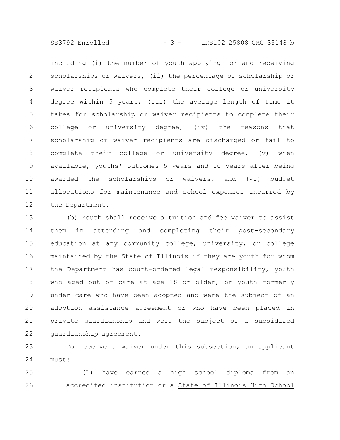SB3792 Enrolled - 3 - LRB102 25808 CMG 35148 b

including (i) the number of youth applying for and receiving scholarships or waivers, (ii) the percentage of scholarship or waiver recipients who complete their college or university degree within 5 years, (iii) the average length of time it takes for scholarship or waiver recipients to complete their college or university degree, (iv) the reasons that scholarship or waiver recipients are discharged or fail to complete their college or university degree, (v) when available, youths' outcomes 5 years and 10 years after being awarded the scholarships or waivers, and (vi) budget allocations for maintenance and school expenses incurred by the Department. 1 2 3 4 5 6 7 8 9 10 11 12

(b) Youth shall receive a tuition and fee waiver to assist them in attending and completing their post-secondary education at any community college, university, or college maintained by the State of Illinois if they are youth for whom the Department has court-ordered legal responsibility, youth who aged out of care at age 18 or older, or youth formerly under care who have been adopted and were the subject of an adoption assistance agreement or who have been placed in private guardianship and were the subject of a subsidized guardianship agreement. 13 14 15 16 17 18 19 20 21 22

To receive a waiver under this subsection, an applicant must: 23 24

(1) have earned a high school diploma from an accredited institution or a State of Illinois High School 25 26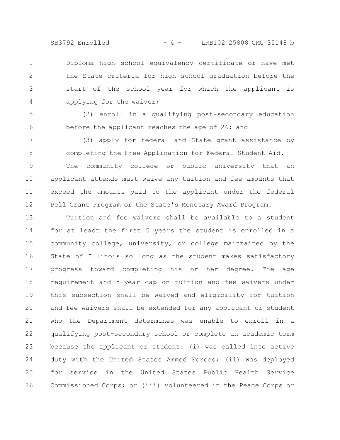SB3792 Enrolled - 4 - LRB102 25808 CMG 35148 b

Diploma high school equivalency certificate or have met the State criteria for high school graduation before the start of the school year for which the applicant is applying for the waiver; 1 2 3 4

(2) enroll in a qualifying post-secondary education before the applicant reaches the age of 26; and 5 6

(3) apply for federal and State grant assistance by completing the Free Application for Federal Student Aid. 7 8

The community college or public university that an applicant attends must waive any tuition and fee amounts that exceed the amounts paid to the applicant under the federal Pell Grant Program or the State's Monetary Award Program. 9 10 11 12

Tuition and fee waivers shall be available to a student for at least the first 5 years the student is enrolled in a community college, university, or college maintained by the State of Illinois so long as the student makes satisfactory progress toward completing his or her degree. The age requirement and 5-year cap on tuition and fee waivers under this subsection shall be waived and eligibility for tuition and fee waivers shall be extended for any applicant or student who the Department determines was unable to enroll in a qualifying post-secondary school or complete an academic term because the applicant or student: (i) was called into active duty with the United States Armed Forces; (ii) was deployed for service in the United States Public Health Service Commissioned Corps; or (iii) volunteered in the Peace Corps or 13 14 15 16 17 18 19 20 21 22 23 24 25 26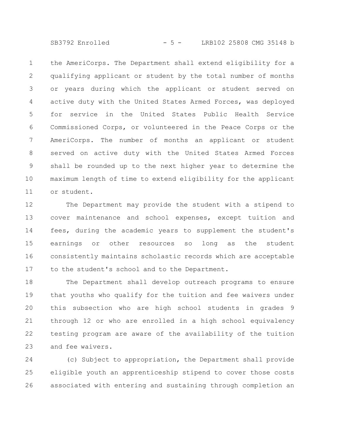SB3792 Enrolled - 5 - LRB102 25808 CMG 35148 b

the AmeriCorps. The Department shall extend eligibility for a qualifying applicant or student by the total number of months or years during which the applicant or student served on active duty with the United States Armed Forces, was deployed for service in the United States Public Health Service Commissioned Corps, or volunteered in the Peace Corps or the AmeriCorps. The number of months an applicant or student served on active duty with the United States Armed Forces shall be rounded up to the next higher year to determine the maximum length of time to extend eligibility for the applicant or student. 1 2 3 4 5 6 7 8 9 10 11

The Department may provide the student with a stipend to cover maintenance and school expenses, except tuition and fees, during the academic years to supplement the student's earnings or other resources so long as the student consistently maintains scholastic records which are acceptable to the student's school and to the Department. 12 13 14 15 16 17

The Department shall develop outreach programs to ensure that youths who qualify for the tuition and fee waivers under this subsection who are high school students in grades 9 through 12 or who are enrolled in a high school equivalency testing program are aware of the availability of the tuition and fee waivers. 18 19 20 21 22 23

(c) Subject to appropriation, the Department shall provide eligible youth an apprenticeship stipend to cover those costs associated with entering and sustaining through completion an 24 25 26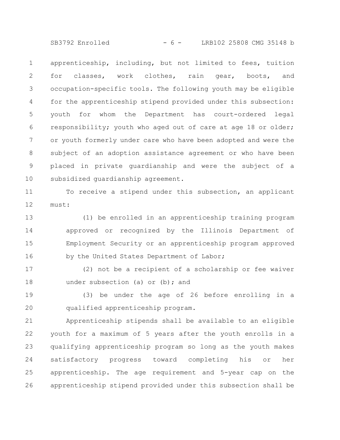SB3792 Enrolled - 6 - LRB102 25808 CMG 35148 b

apprenticeship, including, but not limited to fees, tuition for classes, work clothes, rain gear, boots, and occupation-specific tools. The following youth may be eligible for the apprenticeship stipend provided under this subsection: youth for whom the Department has court-ordered legal responsibility; youth who aged out of care at age 18 or older; or youth formerly under care who have been adopted and were the subject of an adoption assistance agreement or who have been placed in private guardianship and were the subject of a subsidized guardianship agreement. 1 2 3 4 5 6 7 8 9 10

To receive a stipend under this subsection, an applicant must: 11 12

(1) be enrolled in an apprenticeship training program approved or recognized by the Illinois Department of Employment Security or an apprenticeship program approved by the United States Department of Labor; 13 14 15 16

(2) not be a recipient of a scholarship or fee waiver under subsection (a) or (b); and 17 18

(3) be under the age of 26 before enrolling in a qualified apprenticeship program. 19 20

Apprenticeship stipends shall be available to an eligible youth for a maximum of 5 years after the youth enrolls in a qualifying apprenticeship program so long as the youth makes satisfactory progress toward completing his or her apprenticeship. The age requirement and 5-year cap on the apprenticeship stipend provided under this subsection shall be 21 22 23 24 25 26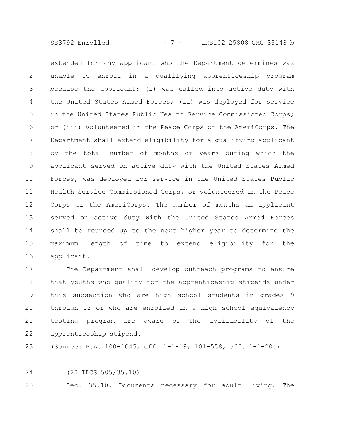SB3792 Enrolled - 7 - LRB102 25808 CMG 35148 b

extended for any applicant who the Department determines was unable to enroll in a qualifying apprenticeship program because the applicant: (i) was called into active duty with the United States Armed Forces; (ii) was deployed for service in the United States Public Health Service Commissioned Corps; or (iii) volunteered in the Peace Corps or the AmeriCorps. The Department shall extend eligibility for a qualifying applicant by the total number of months or years during which the applicant served on active duty with the United States Armed Forces, was deployed for service in the United States Public Health Service Commissioned Corps, or volunteered in the Peace Corps or the AmeriCorps. The number of months an applicant served on active duty with the United States Armed Forces shall be rounded up to the next higher year to determine the maximum length of time to extend eligibility for the applicant. 1 2 3 4 5 6 7 8 9 10 11 12 13 14 15 16

The Department shall develop outreach programs to ensure that youths who qualify for the apprenticeship stipends under this subsection who are high school students in grades 9 through 12 or who are enrolled in a high school equivalency testing program are aware of the availability of the apprenticeship stipend. 17 18 19 20 21 22

(Source: P.A. 100-1045, eff. 1-1-19; 101-558, eff. 1-1-20.) 23

(20 ILCS 505/35.10) 24

Sec. 35.10. Documents necessary for adult living. The 25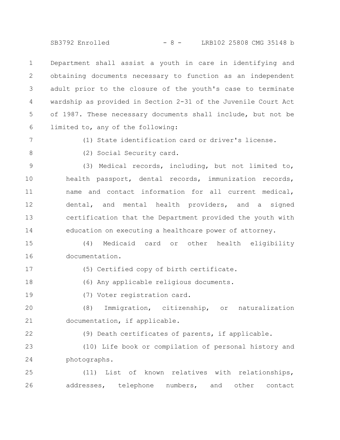SB3792 Enrolled - 8 - LRB102 25808 CMG 35148 b

Department shall assist a youth in care in identifying and obtaining documents necessary to function as an independent adult prior to the closure of the youth's case to terminate wardship as provided in Section 2-31 of the Juvenile Court Act of 1987. These necessary documents shall include, but not be limited to, any of the following: 1 2 3 4 5 6

7

(1) State identification card or driver's license.

8

(2) Social Security card.

(3) Medical records, including, but not limited to, health passport, dental records, immunization records, name and contact information for all current medical, dental, and mental health providers, and a signed certification that the Department provided the youth with education on executing a healthcare power of attorney. 9 10 11 12 13 14

(4) Medicaid card or other health eligibility documentation. 15 16

17

(5) Certified copy of birth certificate.

(6) Any applicable religious documents. 18

19

(7) Voter registration card.

(8) Immigration, citizenship, or naturalization documentation, if applicable. 20 21

22

(9) Death certificates of parents, if applicable.

(10) Life book or compilation of personal history and photographs. 23 24

(11) List of known relatives with relationships, addresses, telephone numbers, and other contact 25 26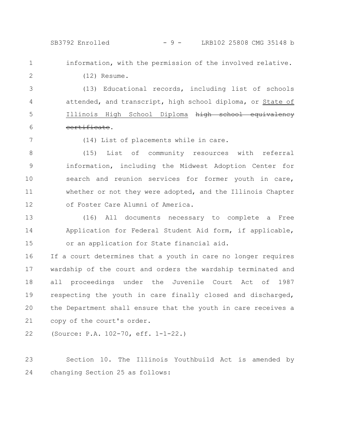(12) Resume.

## SB3792 Enrolled - 9 - LRB102 25808 CMG 35148 b

information, with the permission of the involved relative.

2

1

3

4

5

(13) Educational records, including list of schools attended, and transcript, high school diploma, or State of Illinois High School Diploma high school equivalency certificate.

6 7

(14) List of placements while in care.

(15) List of community resources with referral information, including the Midwest Adoption Center for search and reunion services for former youth in care, whether or not they were adopted, and the Illinois Chapter of Foster Care Alumni of America. 8 9 10 11 12

(16) All documents necessary to complete a Free Application for Federal Student Aid form, if applicable, or an application for State financial aid. 13 14 15

If a court determines that a youth in care no longer requires wardship of the court and orders the wardship terminated and all proceedings under the Juvenile Court Act of 1987 respecting the youth in care finally closed and discharged, the Department shall ensure that the youth in care receives a copy of the court's order. 16 17 18 19 20 21

(Source: P.A. 102-70, eff. 1-1-22.) 22

Section 10. The Illinois Youthbuild Act is amended by changing Section 25 as follows: 23 24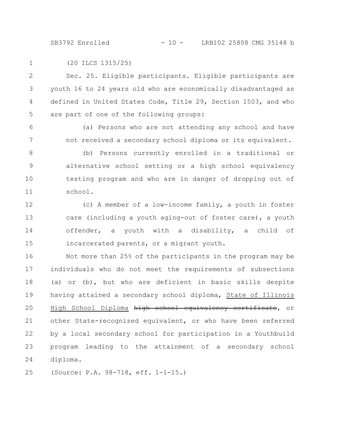SB3792 Enrolled - 10 - LRB102 25808 CMG 35148 b

(20 ILCS 1315/25) 1

6

7

Sec. 25. Eligible participants. Eligible participants are youth 16 to 24 years old who are economically disadvantaged as defined in United States Code, Title 29, Section 1503, and who are part of one of the following groups: 2 3 4 5

(a) Persons who are not attending any school and have not received a secondary school diploma or its equivalent.

(b) Persons currently enrolled in a traditional or alternative school setting or a high school equivalency testing program and who are in danger of dropping out of school. 8 9 10 11

(c) A member of a low-income family, a youth in foster care (including a youth aging-out of foster care), a youth offender, a youth with a disability, a child of incarcerated parents, or a migrant youth. 12 13 14 15

Not more than 25% of the participants in the program may be individuals who do not meet the requirements of subsections (a) or (b), but who are deficient in basic skills despite having attained a secondary school diploma, State of Illinois High School Diploma high school equivalency certificate, or other State-recognized equivalent, or who have been referred by a local secondary school for participation in a Youthbuild program leading to the attainment of a secondary school diploma. 16 17 18 19 20 21 22 23 24

(Source: P.A. 98-718, eff. 1-1-15.) 25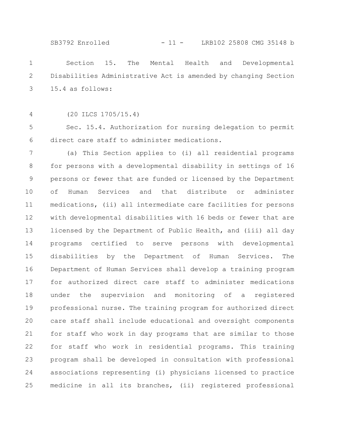SB3792 Enrolled - 11 - LRB102 25808 CMG 35148 b

Section 15. The Mental Health and Developmental Disabilities Administrative Act is amended by changing Section 15.4 as follows: 1 2 3

4

(20 ILCS 1705/15.4)

Sec. 15.4. Authorization for nursing delegation to permit direct care staff to administer medications. 5 6

(a) This Section applies to (i) all residential programs for persons with a developmental disability in settings of 16 persons or fewer that are funded or licensed by the Department of Human Services and that distribute or administer medications, (ii) all intermediate care facilities for persons with developmental disabilities with 16 beds or fewer that are licensed by the Department of Public Health, and (iii) all day programs certified to serve persons with developmental disabilities by the Department of Human Services. The Department of Human Services shall develop a training program for authorized direct care staff to administer medications under the supervision and monitoring of a registered professional nurse. The training program for authorized direct care staff shall include educational and oversight components for staff who work in day programs that are similar to those for staff who work in residential programs. This training program shall be developed in consultation with professional associations representing (i) physicians licensed to practice medicine in all its branches, (ii) registered professional 7 8 9 10 11 12 13 14 15 16 17 18 19 20 21 22 23 24 25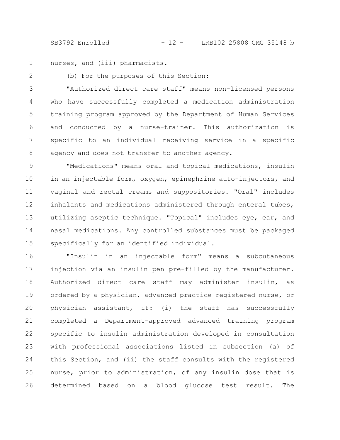SB3792 Enrolled - 12 - LRB102 25808 CMG 35148 b

nurses, and (iii) pharmacists. 1

2

(b) For the purposes of this Section:

"Authorized direct care staff" means non-licensed persons who have successfully completed a medication administration training program approved by the Department of Human Services and conducted by a nurse-trainer. This authorization is specific to an individual receiving service in a specific agency and does not transfer to another agency. 3 4 5 6 7 8

"Medications" means oral and topical medications, insulin in an injectable form, oxygen, epinephrine auto-injectors, and vaginal and rectal creams and suppositories. "Oral" includes inhalants and medications administered through enteral tubes, utilizing aseptic technique. "Topical" includes eye, ear, and nasal medications. Any controlled substances must be packaged specifically for an identified individual. 9 10 11 12 13 14 15

"Insulin in an injectable form" means a subcutaneous injection via an insulin pen pre-filled by the manufacturer. Authorized direct care staff may administer insulin, as ordered by a physician, advanced practice registered nurse, or physician assistant, if: (i) the staff has successfully completed a Department-approved advanced training program specific to insulin administration developed in consultation with professional associations listed in subsection (a) of this Section, and (ii) the staff consults with the registered nurse, prior to administration, of any insulin dose that is determined based on a blood glucose test result. The 16 17 18 19 20 21 22 23 24 25 26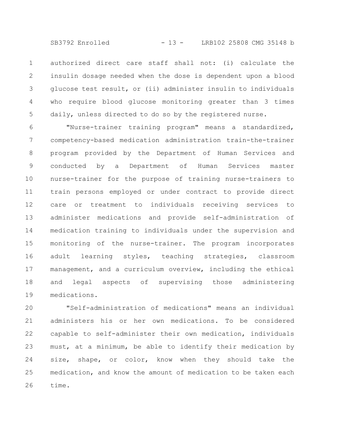SB3792 Enrolled - 13 - LRB102 25808 CMG 35148 b

authorized direct care staff shall not: (i) calculate the insulin dosage needed when the dose is dependent upon a blood glucose test result, or (ii) administer insulin to individuals who require blood glucose monitoring greater than 3 times daily, unless directed to do so by the registered nurse. 1 2 3 4 5

"Nurse-trainer training program" means a standardized, competency-based medication administration train-the-trainer program provided by the Department of Human Services and conducted by a Department of Human Services master nurse-trainer for the purpose of training nurse-trainers to train persons employed or under contract to provide direct care or treatment to individuals receiving services to administer medications and provide self-administration of medication training to individuals under the supervision and monitoring of the nurse-trainer. The program incorporates adult learning styles, teaching strategies, classroom management, and a curriculum overview, including the ethical and legal aspects of supervising those administering medications. 6 7 8 9 10 11 12 13 14 15 16 17 18 19

"Self-administration of medications" means an individual administers his or her own medications. To be considered capable to self-administer their own medication, individuals must, at a minimum, be able to identify their medication by size, shape, or color, know when they should take the medication, and know the amount of medication to be taken each time. 20 21 22 23 24 25 26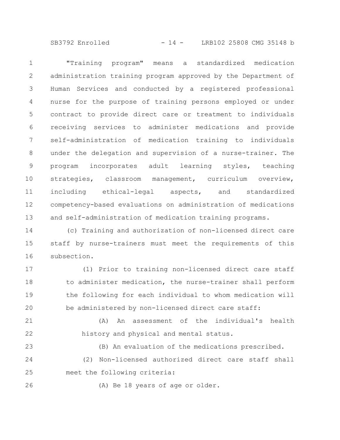SB3792 Enrolled - 14 - LRB102 25808 CMG 35148 b

"Training program" means a standardized medication administration training program approved by the Department of Human Services and conducted by a registered professional nurse for the purpose of training persons employed or under contract to provide direct care or treatment to individuals receiving services to administer medications and provide self-administration of medication training to individuals under the delegation and supervision of a nurse-trainer. The program incorporates adult learning styles, teaching strategies, classroom management, curriculum overview, including ethical-legal aspects, and standardized competency-based evaluations on administration of medications and self-administration of medication training programs. 1 2 3 4 5 6 7 8 9 10 11 12 13

(c) Training and authorization of non-licensed direct care staff by nurse-trainers must meet the requirements of this subsection. 14 15 16

(1) Prior to training non-licensed direct care staff to administer medication, the nurse-trainer shall perform the following for each individual to whom medication will be administered by non-licensed direct care staff: 17 18 19 20

(A) An assessment of the individual's health history and physical and mental status. 21 22

(B) An evaluation of the medications prescribed. (2) Non-licensed authorized direct care staff shall meet the following criteria: 23 24 25

$$
26\,
$$

(A) Be 18 years of age or older.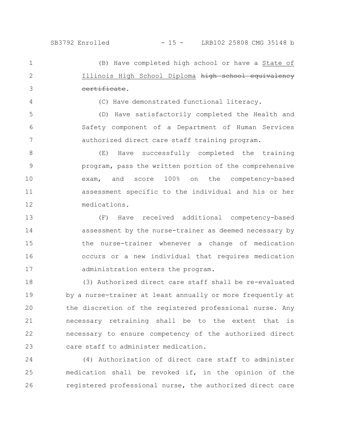(B) Have completed high school or have a State of Illinois High School Diploma high school equivalency certificate. 1 2 3

(C) Have demonstrated functional literacy.

(D) Have satisfactorily completed the Health and Safety component of a Department of Human Services authorized direct care staff training program. 5 6 7

4

(E) Have successfully completed the training program, pass the written portion of the comprehensive exam, and score 100% on the competency-based assessment specific to the individual and his or her medications. 8 9 10 11 12

(F) Have received additional competency-based assessment by the nurse-trainer as deemed necessary by the nurse-trainer whenever a change of medication occurs or a new individual that requires medication administration enters the program. 13 14 15 16 17

(3) Authorized direct care staff shall be re-evaluated by a nurse-trainer at least annually or more frequently at the discretion of the registered professional nurse. Any necessary retraining shall be to the extent that is necessary to ensure competency of the authorized direct care staff to administer medication. 18 19 20 21 22 23

(4) Authorization of direct care staff to administer medication shall be revoked if, in the opinion of the registered professional nurse, the authorized direct care 24 25 26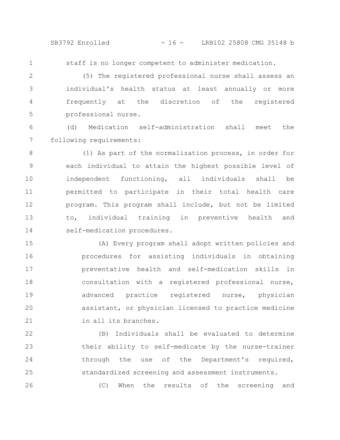SB3792 Enrolled - 16 - LRB102 25808 CMG 35148 b

staff is no longer competent to administer medication. 1

(5) The registered professional nurse shall assess an individual's health status at least annually or more frequently at the discretion of the registered professional nurse. 2 3 4 5

(d) Medication self-administration shall meet the following requirements: 6 7

(1) As part of the normalization process, in order for each individual to attain the highest possible level of independent functioning, all individuals shall be permitted to participate in their total health care program. This program shall include, but not be limited to, individual training in preventive health and self-medication procedures. 8 9 10 11 12 13 14

(A) Every program shall adopt written policies and procedures for assisting individuals in obtaining preventative health and self-medication skills in consultation with a registered professional nurse, advanced practice registered nurse, physician assistant, or physician licensed to practice medicine in all its branches. 15 16 17 18 19 20 21

(B) Individuals shall be evaluated to determine their ability to self-medicate by the nurse-trainer through the use of the Department's required, standardized screening and assessment instruments. 22 23 24 25

26

(C) When the results of the screening and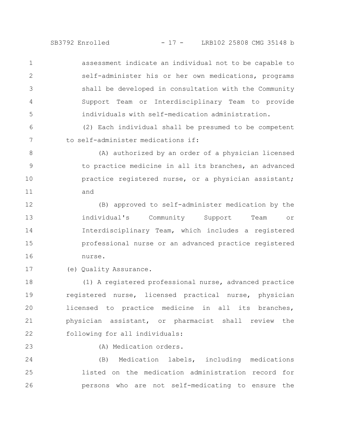SB3792 Enrolled - 17 - LRB102 25808 CMG 35148 b

assessment indicate an individual not to be capable to self-administer his or her own medications, programs shall be developed in consultation with the Community Support Team or Interdisciplinary Team to provide individuals with self-medication administration. 1 2 3 4 5

(2) Each individual shall be presumed to be competent to self-administer medications if:

(A) authorized by an order of a physician licensed to practice medicine in all its branches, an advanced practice registered nurse, or a physician assistant; and 8 9 10 11

(B) approved to self-administer medication by the individual's Community Support Team or Interdisciplinary Team, which includes a registered professional nurse or an advanced practice registered nurse. 12 13 14 15 16

(e) Quality Assurance. 17

(1) A registered professional nurse, advanced practice registered nurse, licensed practical nurse, physician licensed to practice medicine in all its branches, physician assistant, or pharmacist shall review the following for all individuals: 18 19 20 21 22

23

6

7

(A) Medication orders.

(B) Medication labels, including medications listed on the medication administration record for persons who are not self-medicating to ensure the 24 25 26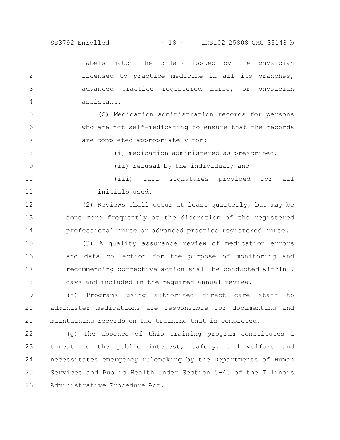SB3792 Enrolled - 18 - LRB102 25808 CMG 35148 b

labels match the orders issued by the physician licensed to practice medicine in all its branches, advanced practice registered nurse, or physician assistant. 1 2 3 4

(C) Medication administration records for persons who are not self-medicating to ensure that the records are completed appropriately for: 5 6 7

(i) medication administered as prescribed; 8

9

(ii) refusal by the individual; and

(iii) full signatures provided for all initials used. 10 11

(2) Reviews shall occur at least quarterly, but may be done more frequently at the discretion of the registered professional nurse or advanced practice registered nurse. 12 13 14

(3) A quality assurance review of medication errors and data collection for the purpose of monitoring and recommending corrective action shall be conducted within 7 days and included in the required annual review. 15 16 17 18

(f) Programs using authorized direct care staff to administer medications are responsible for documenting and maintaining records on the training that is completed. 19 20 21

(g) The absence of this training program constitutes a threat to the public interest, safety, and welfare and necessitates emergency rulemaking by the Departments of Human Services and Public Health under Section 5-45 of the Illinois Administrative Procedure Act. 22 23 24 25 26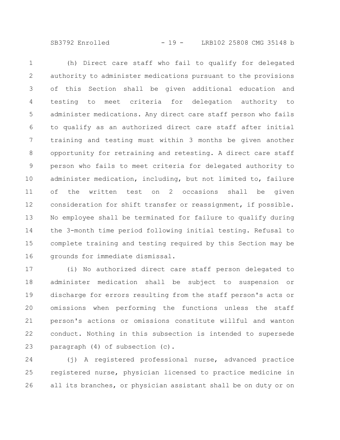SB3792 Enrolled - 19 - LRB102 25808 CMG 35148 b

(h) Direct care staff who fail to qualify for delegated authority to administer medications pursuant to the provisions of this Section shall be given additional education and testing to meet criteria for delegation authority to administer medications. Any direct care staff person who fails to qualify as an authorized direct care staff after initial training and testing must within 3 months be given another opportunity for retraining and retesting. A direct care staff person who fails to meet criteria for delegated authority to administer medication, including, but not limited to, failure of the written test on 2 occasions shall be given consideration for shift transfer or reassignment, if possible. No employee shall be terminated for failure to qualify during the 3-month time period following initial testing. Refusal to complete training and testing required by this Section may be grounds for immediate dismissal. 1 2 3 4 5 6 7 8 9 10 11 12 13 14 15 16

(i) No authorized direct care staff person delegated to administer medication shall be subject to suspension or discharge for errors resulting from the staff person's acts or omissions when performing the functions unless the staff person's actions or omissions constitute willful and wanton conduct. Nothing in this subsection is intended to supersede paragraph (4) of subsection (c). 17 18 19 20 21 22 23

(j) A registered professional nurse, advanced practice registered nurse, physician licensed to practice medicine in all its branches, or physician assistant shall be on duty or on 24 25 26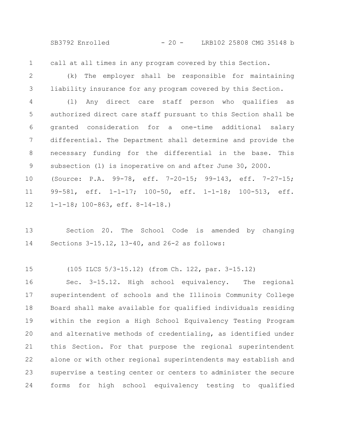SB3792 Enrolled - 20 - LRB102 25808 CMG 35148 b

call at all times in any program covered by this Section. 1

(k) The employer shall be responsible for maintaining liability insurance for any program covered by this Section. 2 3

(l) Any direct care staff person who qualifies as authorized direct care staff pursuant to this Section shall be granted consideration for a one-time additional salary differential. The Department shall determine and provide the necessary funding for the differential in the base. This subsection (l) is inoperative on and after June 30, 2000. (Source: P.A. 99-78, eff. 7-20-15; 99-143, eff. 7-27-15; 99-581, eff. 1-1-17; 100-50, eff. 1-1-18; 100-513, eff. 4 5 6 7 8 9 10 11

1-1-18; 100-863, eff. 8-14-18.) 12

Section 20. The School Code is amended by changing Sections 3-15.12, 13-40, and 26-2 as follows: 13 14

(105 ILCS 5/3-15.12) (from Ch. 122, par. 3-15.12) 15

Sec. 3-15.12. High school equivalency. The regional superintendent of schools and the Illinois Community College Board shall make available for qualified individuals residing within the region a High School Equivalency Testing Program and alternative methods of credentialing, as identified under this Section. For that purpose the regional superintendent alone or with other regional superintendents may establish and supervise a testing center or centers to administer the secure forms for high school equivalency testing to qualified 16 17 18 19 20 21 22 23 24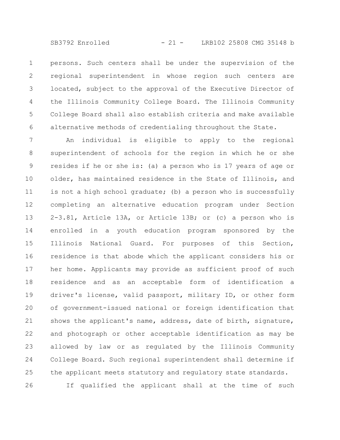persons. Such centers shall be under the supervision of the regional superintendent in whose region such centers are located, subject to the approval of the Executive Director of the Illinois Community College Board. The Illinois Community College Board shall also establish criteria and make available alternative methods of credentialing throughout the State. 1 2 3 4 5 6

An individual is eligible to apply to the regional superintendent of schools for the region in which he or she resides if he or she is: (a) a person who is 17 years of age or older, has maintained residence in the State of Illinois, and is not a high school graduate; (b) a person who is successfully completing an alternative education program under Section 2-3.81, Article 13A, or Article 13B; or (c) a person who is enrolled in a youth education program sponsored by the Illinois National Guard. For purposes of this Section, residence is that abode which the applicant considers his or her home. Applicants may provide as sufficient proof of such residence and as an acceptable form of identification a driver's license, valid passport, military ID, or other form of government-issued national or foreign identification that shows the applicant's name, address, date of birth, signature, and photograph or other acceptable identification as may be allowed by law or as regulated by the Illinois Community College Board. Such regional superintendent shall determine if the applicant meets statutory and regulatory state standards. If qualified the applicant shall at the time of such 7 8 9 10 11 12 13 14 15 16 17 18 19 20 21 22 23 24 25 26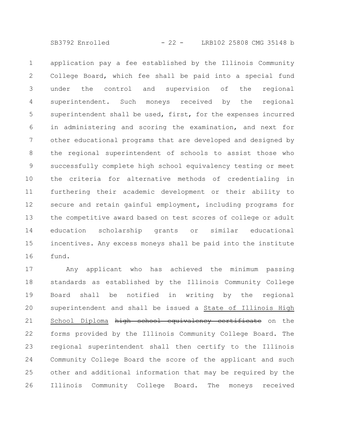SB3792 Enrolled - 22 - LRB102 25808 CMG 35148 b

application pay a fee established by the Illinois Community College Board, which fee shall be paid into a special fund under the control and supervision of the regional superintendent. Such moneys received by the regional superintendent shall be used, first, for the expenses incurred in administering and scoring the examination, and next for other educational programs that are developed and designed by the regional superintendent of schools to assist those who successfully complete high school equivalency testing or meet the criteria for alternative methods of credentialing in furthering their academic development or their ability to secure and retain gainful employment, including programs for the competitive award based on test scores of college or adult education scholarship grants or similar educational incentives. Any excess moneys shall be paid into the institute fund. 1 2 3 4 5 6 7 8 9 10 11 12 13 14 15 16

Any applicant who has achieved the minimum passing standards as established by the Illinois Community College Board shall be notified in writing by the regional superintendent and shall be issued a State of Illinois High School Diploma high school equivalency certificate on the forms provided by the Illinois Community College Board. The regional superintendent shall then certify to the Illinois Community College Board the score of the applicant and such other and additional information that may be required by the Illinois Community College Board. The moneys received 17 18 19 20 21 22 23 24 25 26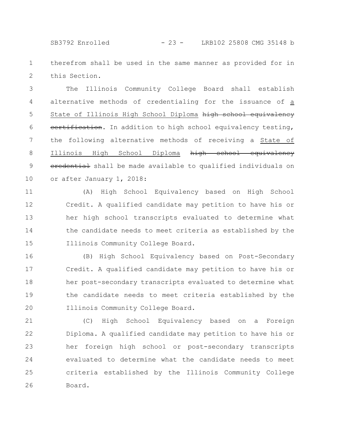SB3792 Enrolled - 23 - LRB102 25808 CMG 35148 b

therefrom shall be used in the same manner as provided for in this Section. 1 2

The Illinois Community College Board shall establish alternative methods of credentialing for the issuance of a State of Illinois High School Diploma high school equivalency eertification. In addition to high school equivalency testing, the following alternative methods of receiving a State of Illinois High School Diploma high school equivalency eredential shall be made available to qualified individuals on or after January 1, 2018: 3 4 5 6 7 8 9 10

(A) High School Equivalency based on High School Credit. A qualified candidate may petition to have his or her high school transcripts evaluated to determine what the candidate needs to meet criteria as established by the Illinois Community College Board. 11 12 13 14 15

(B) High School Equivalency based on Post-Secondary Credit. A qualified candidate may petition to have his or her post-secondary transcripts evaluated to determine what the candidate needs to meet criteria established by the Illinois Community College Board. 16 17 18 19 20

(C) High School Equivalency based on a Foreign Diploma. A qualified candidate may petition to have his or her foreign high school or post-secondary transcripts evaluated to determine what the candidate needs to meet criteria established by the Illinois Community College Board. 21 22 23 24 25 26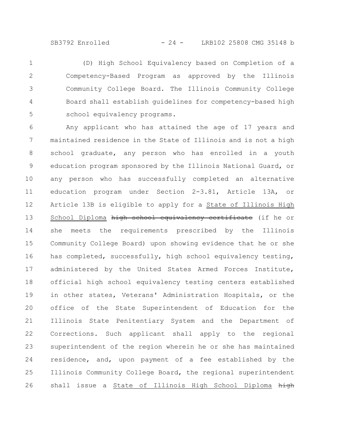SB3792 Enrolled - 24 - LRB102 25808 CMG 35148 b

(D) High School Equivalency based on Completion of a Competency-Based Program as approved by the Illinois Community College Board. The Illinois Community College Board shall establish guidelines for competency-based high school equivalency programs. 1 2 3 4 5

Any applicant who has attained the age of 17 years and maintained residence in the State of Illinois and is not a high school graduate, any person who has enrolled in a youth education program sponsored by the Illinois National Guard, or any person who has successfully completed an alternative education program under Section 2-3.81, Article 13A, or Article 13B is eligible to apply for a State of Illinois High School Diploma high school equivalency certificate (if he or she meets the requirements prescribed by the Illinois Community College Board) upon showing evidence that he or she has completed, successfully, high school equivalency testing, administered by the United States Armed Forces Institute, official high school equivalency testing centers established in other states, Veterans' Administration Hospitals, or the office of the State Superintendent of Education for the Illinois State Penitentiary System and the Department of Corrections. Such applicant shall apply to the regional superintendent of the region wherein he or she has maintained residence, and, upon payment of a fee established by the Illinois Community College Board, the regional superintendent shall issue a State of Illinois High School Diploma high 6 7 8 9 10 11 12 13 14 15 16 17 18 19 20 21 22 23 24 25 26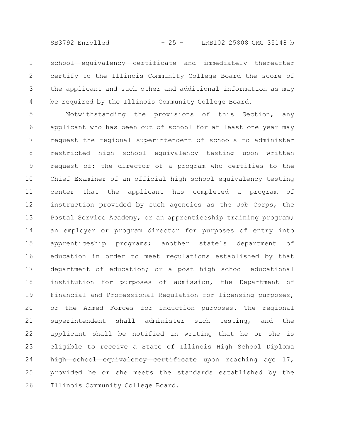SB3792 Enrolled - 25 - LRB102 25808 CMG 35148 b

school equivalency certificate and immediately thereafter certify to the Illinois Community College Board the score of the applicant and such other and additional information as may be required by the Illinois Community College Board. 1 2 3 4

Notwithstanding the provisions of this Section, any applicant who has been out of school for at least one year may request the regional superintendent of schools to administer restricted high school equivalency testing upon written request of: the director of a program who certifies to the Chief Examiner of an official high school equivalency testing center that the applicant has completed a program of instruction provided by such agencies as the Job Corps, the Postal Service Academy, or an apprenticeship training program; an employer or program director for purposes of entry into apprenticeship programs; another state's department of education in order to meet regulations established by that department of education; or a post high school educational institution for purposes of admission, the Department of Financial and Professional Regulation for licensing purposes, or the Armed Forces for induction purposes. The regional superintendent shall administer such testing, and the applicant shall be notified in writing that he or she is eligible to receive a State of Illinois High School Diploma high school equivalency certificate upon reaching age 17, provided he or she meets the standards established by the Illinois Community College Board. 5 6 7 8 9 10 11 12 13 14 15 16 17 18 19 20 21 22 23 24 25 26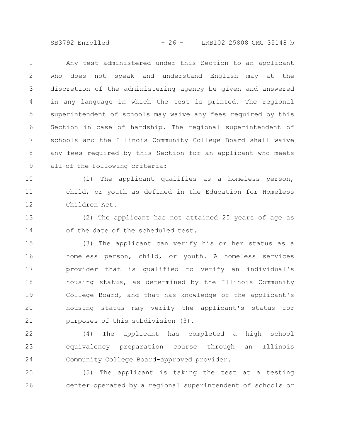SB3792 Enrolled - 26 - LRB102 25808 CMG 35148 b

Any test administered under this Section to an applicant who does not speak and understand English may at the discretion of the administering agency be given and answered in any language in which the test is printed. The regional superintendent of schools may waive any fees required by this Section in case of hardship. The regional superintendent of schools and the Illinois Community College Board shall waive any fees required by this Section for an applicant who meets all of the following criteria: 1 2 3 4 5 6 7 8 9

(1) The applicant qualifies as a homeless person, child, or youth as defined in the Education for Homeless Children Act. 10 11 12

(2) The applicant has not attained 25 years of age as of the date of the scheduled test. 13 14

(3) The applicant can verify his or her status as a homeless person, child, or youth. A homeless services provider that is qualified to verify an individual's housing status, as determined by the Illinois Community College Board, and that has knowledge of the applicant's housing status may verify the applicant's status for purposes of this subdivision (3). 15 16 17 18 19 20 21

(4) The applicant has completed a high school equivalency preparation course through an Illinois Community College Board-approved provider. 22 23 24

(5) The applicant is taking the test at a testing center operated by a regional superintendent of schools or 25 26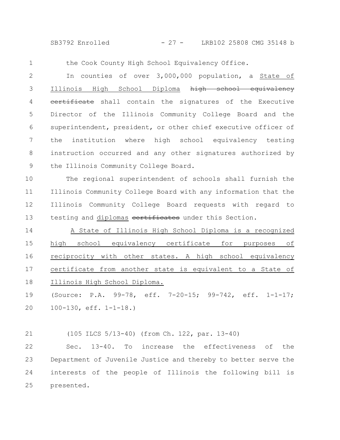SB3792 Enrolled - 27 - LRB102 25808 CMG 35148 b

1

the Cook County High School Equivalency Office.

In counties of over 3,000,000 population, a State of Illinois High School Diploma high school equivalency eertificate shall contain the signatures of the Executive Director of the Illinois Community College Board and the superintendent, president, or other chief executive officer of the institution where high school equivalency testing instruction occurred and any other signatures authorized by the Illinois Community College Board. 2 3 4 5 6 7 8 9

The regional superintendent of schools shall furnish the Illinois Community College Board with any information that the Illinois Community College Board requests with regard to testing and diplomas cortificates under this Section. 10 11 12 13

A State of Illinois High School Diploma is a recognized high school equivalency certificate for purposes of reciprocity with other states. A high school equivalency certificate from another state is equivalent to a State of Illinois High School Diploma. 14 15 16 17 18

(Source: P.A. 99-78, eff. 7-20-15; 99-742, eff. 1-1-17; 100-130, eff. 1-1-18.) 19 20

(105 ILCS 5/13-40) (from Ch. 122, par. 13-40) Sec. 13-40. To increase the effectiveness of the Department of Juvenile Justice and thereby to better serve the interests of the people of Illinois the following bill is presented. 21 22 23 24 25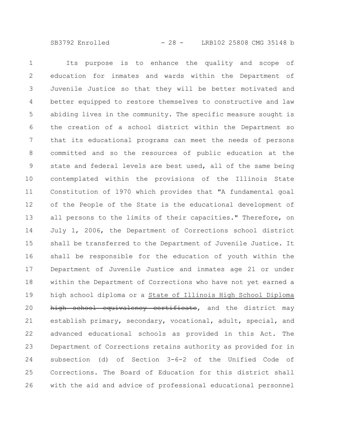SB3792 Enrolled - 28 - LRB102 25808 CMG 35148 b

Its purpose is to enhance the quality and scope of education for inmates and wards within the Department of Juvenile Justice so that they will be better motivated and better equipped to restore themselves to constructive and law abiding lives in the community. The specific measure sought is the creation of a school district within the Department so that its educational programs can meet the needs of persons committed and so the resources of public education at the state and federal levels are best used, all of the same being contemplated within the provisions of the Illinois State Constitution of 1970 which provides that "A fundamental goal of the People of the State is the educational development of all persons to the limits of their capacities." Therefore, on July 1, 2006, the Department of Corrections school district shall be transferred to the Department of Juvenile Justice. It shall be responsible for the education of youth within the Department of Juvenile Justice and inmates age 21 or under within the Department of Corrections who have not yet earned a high school diploma or a State of Illinois High School Diploma high school equivalency certificate, and the district may establish primary, secondary, vocational, adult, special, and advanced educational schools as provided in this Act. The Department of Corrections retains authority as provided for in subsection (d) of Section 3-6-2 of the Unified Code of Corrections. The Board of Education for this district shall with the aid and advice of professional educational personnel 1 2 3 4 5 6 7 8 9 10 11 12 13 14 15 16 17 18 19 20 21 22 23 24 25 26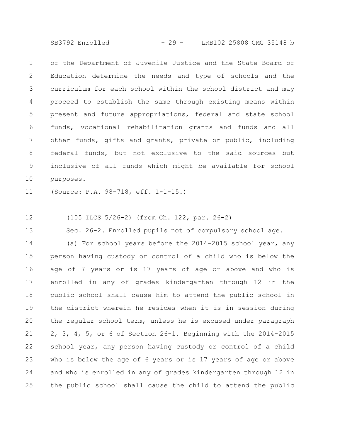SB3792 Enrolled - 29 - LRB102 25808 CMG 35148 b

of the Department of Juvenile Justice and the State Board of Education determine the needs and type of schools and the curriculum for each school within the school district and may proceed to establish the same through existing means within present and future appropriations, federal and state school funds, vocational rehabilitation grants and funds and all other funds, gifts and grants, private or public, including federal funds, but not exclusive to the said sources but inclusive of all funds which might be available for school purposes. 1 2 3 4 5 6 7 8 9 10

(Source: P.A. 98-718, eff. 1-1-15.) 11

(105 ILCS 5/26-2) (from Ch. 122, par. 26-2) 12

Sec. 26-2. Enrolled pupils not of compulsory school age. 13

(a) For school years before the 2014-2015 school year, any person having custody or control of a child who is below the age of 7 years or is 17 years of age or above and who is enrolled in any of grades kindergarten through 12 in the public school shall cause him to attend the public school in the district wherein he resides when it is in session during the regular school term, unless he is excused under paragraph 2, 3, 4, 5, or 6 of Section 26-1. Beginning with the 2014-2015 school year, any person having custody or control of a child who is below the age of 6 years or is 17 years of age or above and who is enrolled in any of grades kindergarten through 12 in the public school shall cause the child to attend the public 14 15 16 17 18 19 20 21 22 23 24 25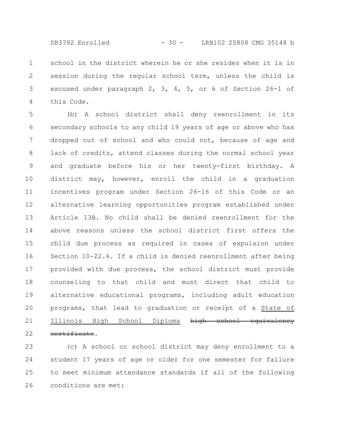SB3792 Enrolled - 30 - LRB102 25808 CMG 35148 b

school in the district wherein he or she resides when it is in session during the regular school term, unless the child is excused under paragraph 2, 3, 4, 5, or 6 of Section 26-1 of this Code. 1 2 3 4

(b) A school district shall deny reenrollment in its secondary schools to any child 19 years of age or above who has dropped out of school and who could not, because of age and lack of credits, attend classes during the normal school year and graduate before his or her twenty-first birthday. A district may, however, enroll the child in a graduation incentives program under Section 26-16 of this Code or an alternative learning opportunities program established under Article 13B. No child shall be denied reenrollment for the above reasons unless the school district first offers the child due process as required in cases of expulsion under Section 10-22.6. If a child is denied reenrollment after being provided with due process, the school district must provide counseling to that child and must direct that child to alternative educational programs, including adult education programs, that lead to graduation or receipt of a State of Illinois High School Diploma high school equivalency certificate. 5 6 7 8 9 10 11 12 13 14 15 16 17 18 19 20 21 22

(c) A school or school district may deny enrollment to a student 17 years of age or older for one semester for failure to meet minimum attendance standards if all of the following conditions are met: 23 24 25 26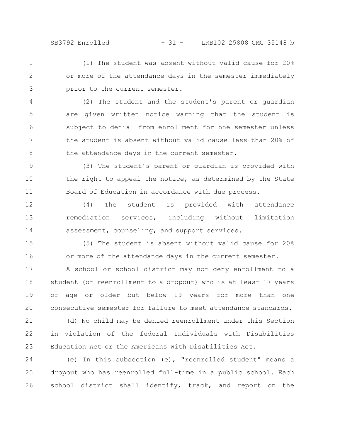SB3792 Enrolled - 31 - LRB102 25808 CMG 35148 b

(1) The student was absent without valid cause for 20% or more of the attendance days in the semester immediately prior to the current semester. 1 2 3

(2) The student and the student's parent or guardian are given written notice warning that the student is subject to denial from enrollment for one semester unless the student is absent without valid cause less than 20% of the attendance days in the current semester. 4 5 6 7 8

(3) The student's parent or guardian is provided with the right to appeal the notice, as determined by the State Board of Education in accordance with due process. 9 10 11

(4) The student is provided with attendance remediation services, including without limitation assessment, counseling, and support services. 12 13 14

(5) The student is absent without valid cause for 20% or more of the attendance days in the current semester. 15 16

A school or school district may not deny enrollment to a student (or reenrollment to a dropout) who is at least 17 years of age or older but below 19 years for more than one consecutive semester for failure to meet attendance standards. 17 18 19 20

(d) No child may be denied reenrollment under this Section in violation of the federal Individuals with Disabilities Education Act or the Americans with Disabilities Act. 21 22 23

(e) In this subsection (e), "reenrolled student" means a dropout who has reenrolled full-time in a public school. Each school district shall identify, track, and report on the 24 25 26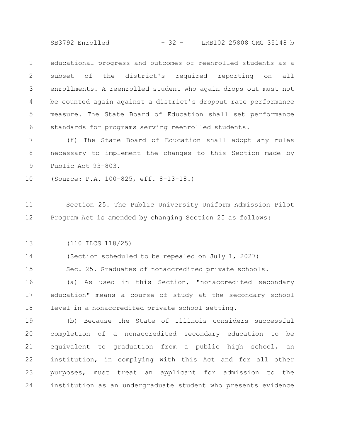SB3792 Enrolled - 32 - LRB102 25808 CMG 35148 b

educational progress and outcomes of reenrolled students as a subset of the district's required reporting on all enrollments. A reenrolled student who again drops out must not be counted again against a district's dropout rate performance measure. The State Board of Education shall set performance standards for programs serving reenrolled students. 1 2 3 4 5 6

(f) The State Board of Education shall adopt any rules necessary to implement the changes to this Section made by Public Act 93-803. 7 8 9

(Source: P.A. 100-825, eff. 8-13-18.) 10

Section 25. The Public University Uniform Admission Pilot Program Act is amended by changing Section 25 as follows: 11 12

(110 ILCS 118/25) 13

(Section scheduled to be repealed on July 1, 2027) 14

Sec. 25. Graduates of nonaccredited private schools. 15

(a) As used in this Section, "nonaccredited secondary education" means a course of study at the secondary school level in a nonaccredited private school setting. 16 17 18

(b) Because the State of Illinois considers successful completion of a nonaccredited secondary education to be equivalent to graduation from a public high school, an institution, in complying with this Act and for all other purposes, must treat an applicant for admission to the institution as an undergraduate student who presents evidence 19 20 21 22 23 24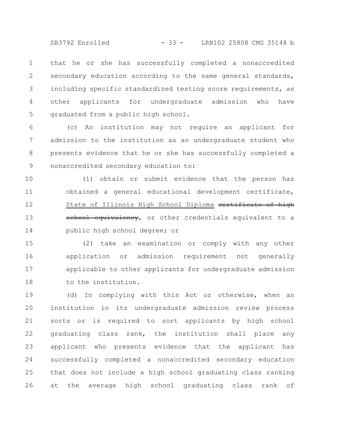SB3792 Enrolled - 33 - LRB102 25808 CMG 35148 b

that he or she has successfully completed a nonaccredited secondary education according to the same general standards, including specific standardized testing score requirements, as other applicants for undergraduate admission who have graduated from a public high school. 1 2 3 4 5

(c) An institution may not require an applicant for admission to the institution as an undergraduate student who presents evidence that he or she has successfully completed a nonaccredited secondary education to: 6 7 8 9

(1) obtain or submit evidence that the person has obtained a general educational development certificate, State of Illinois High School Diploma eertificate of high school equivalency, or other credentials equivalent to a public high school degree; or 10 11 12 13 14

(2) take an examination or comply with any other application or admission requirement not generally applicable to other applicants for undergraduate admission to the institution. 15 16 17 18

(d) In complying with this Act or otherwise, when an institution in its undergraduate admission review process sorts or is required to sort applicants by high school graduating class rank, the institution shall place any applicant who presents evidence that the applicant has successfully completed a nonaccredited secondary education that does not include a high school graduating class ranking at the average high school graduating class rank of 19 20 21 22 23 24 25 26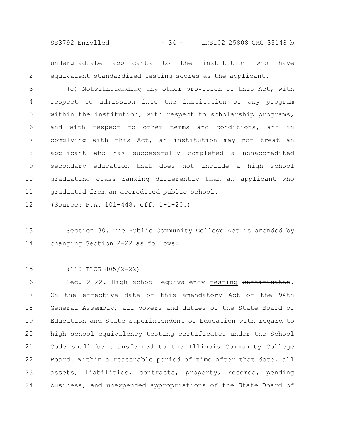SB3792 Enrolled - 34 - LRB102 25808 CMG 35148 b

undergraduate applicants to the institution who have equivalent standardized testing scores as the applicant. 1 2

(e) Notwithstanding any other provision of this Act, with respect to admission into the institution or any program within the institution, with respect to scholarship programs, and with respect to other terms and conditions, and in complying with this Act, an institution may not treat an applicant who has successfully completed a nonaccredited secondary education that does not include a high school graduating class ranking differently than an applicant who graduated from an accredited public school. 3 4 5 6 7 8 9 10 11

(Source: P.A. 101-448, eff. 1-1-20.) 12

Section 30. The Public Community College Act is amended by changing Section 2-22 as follows: 13 14

(110 ILCS 805/2-22) 15

Sec. 2-22. High school equivalency testing certificates. On the effective date of this amendatory Act of the 94th General Assembly, all powers and duties of the State Board of Education and State Superintendent of Education with regard to high school equivalency testing eertificates under the School Code shall be transferred to the Illinois Community College Board. Within a reasonable period of time after that date, all assets, liabilities, contracts, property, records, pending business, and unexpended appropriations of the State Board of 16 17 18 19 20 21 22 23 24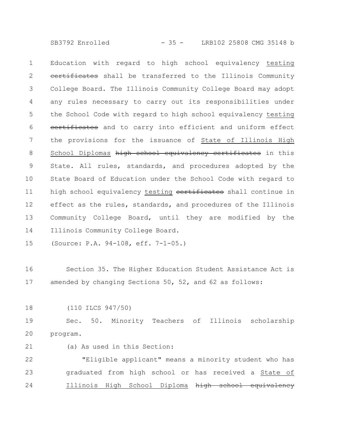SB3792 Enrolled - 35 - LRB102 25808 CMG 35148 b

Education with regard to high school equivalency testing eertificates shall be transferred to the Illinois Community College Board. The Illinois Community College Board may adopt any rules necessary to carry out its responsibilities under the School Code with regard to high school equivalency testing certificates and to carry into efficient and uniform effect the provisions for the issuance of State of Illinois High School Diplomas high school equivalency certificates in this State. All rules, standards, and procedures adopted by the State Board of Education under the School Code with regard to high school equivalency testing eertificates shall continue in effect as the rules, standards, and procedures of the Illinois Community College Board, until they are modified by the Illinois Community College Board. 1 2 3 4 5 6 7 8 9 10 11 12 13 14

(Source: P.A. 94-108, eff. 7-1-05.) 15

Section 35. The Higher Education Student Assistance Act is amended by changing Sections 50, 52, and 62 as follows: 16 17

(110 ILCS 947/50) 18

Sec. 50. Minority Teachers of Illinois scholarship program. 19 20

(a) As used in this Section: 21

"Eligible applicant" means a minority student who has graduated from high school or has received a State of Illinois High School Diploma high school equivalency 22 23 24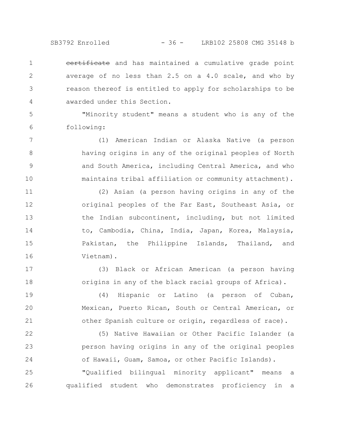SB3792 Enrolled - 36 - LRB102 25808 CMG 35148 b

eertificate and has maintained a cumulative grade point average of no less than 2.5 on a 4.0 scale, and who by reason thereof is entitled to apply for scholarships to be awarded under this Section. 1 2 3 4

"Minority student" means a student who is any of the following: 5 6

7

8

9

10

17

18

(1) American Indian or Alaska Native (a person having origins in any of the original peoples of North and South America, including Central America, and who maintains tribal affiliation or community attachment).

(2) Asian (a person having origins in any of the original peoples of the Far East, Southeast Asia, or the Indian subcontinent, including, but not limited to, Cambodia, China, India, Japan, Korea, Malaysia, Pakistan, the Philippine Islands, Thailand, and Vietnam). 11 12 13 14 15 16

(3) Black or African American (a person having origins in any of the black racial groups of Africa).

(4) Hispanic or Latino (a person of Cuban, Mexican, Puerto Rican, South or Central American, or other Spanish culture or origin, regardless of race). 19 20 21

(5) Native Hawaiian or Other Pacific Islander (a person having origins in any of the original peoples of Hawaii, Guam, Samoa, or other Pacific Islands). 22 23 24

"Qualified bilingual minority applicant" means a qualified student who demonstrates proficiency in a 25 26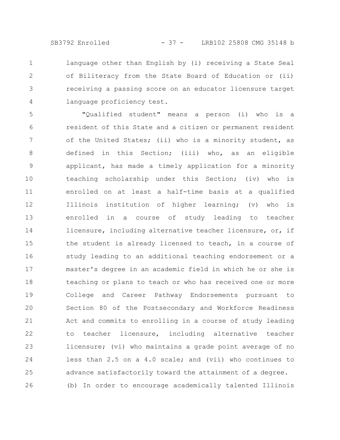SB3792 Enrolled - 37 - LRB102 25808 CMG 35148 b

language other than English by (i) receiving a State Seal of Biliteracy from the State Board of Education or (ii) receiving a passing score on an educator licensure target language proficiency test. 1 2 3 4

"Qualified student" means a person (i) who is a resident of this State and a citizen or permanent resident of the United States; (ii) who is a minority student, as defined in this Section; (iii) who, as an eligible applicant, has made a timely application for a minority teaching scholarship under this Section; (iv) who is enrolled on at least a half-time basis at a qualified Illinois institution of higher learning; (v) who is enrolled in a course of study leading to teacher licensure, including alternative teacher licensure, or, if the student is already licensed to teach, in a course of study leading to an additional teaching endorsement or a master's degree in an academic field in which he or she is teaching or plans to teach or who has received one or more College and Career Pathway Endorsements pursuant to Section 80 of the Postsecondary and Workforce Readiness Act and commits to enrolling in a course of study leading to teacher licensure, including alternative teacher licensure; (vi) who maintains a grade point average of no less than 2.5 on a 4.0 scale; and (vii) who continues to advance satisfactorily toward the attainment of a degree. (b) In order to encourage academically talented Illinois 5 6 7 8 9 10 11 12 13 14 15 16 17 18 19 20 21 22 23 24 25 26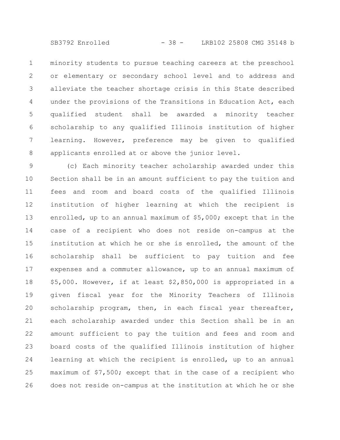SB3792 Enrolled - 38 - LRB102 25808 CMG 35148 b

minority students to pursue teaching careers at the preschool or elementary or secondary school level and to address and alleviate the teacher shortage crisis in this State described under the provisions of the Transitions in Education Act, each qualified student shall be awarded a minority teacher scholarship to any qualified Illinois institution of higher learning. However, preference may be given to qualified applicants enrolled at or above the junior level. 1 2 3 4 5 6 7 8

(c) Each minority teacher scholarship awarded under this Section shall be in an amount sufficient to pay the tuition and fees and room and board costs of the qualified Illinois institution of higher learning at which the recipient is enrolled, up to an annual maximum of \$5,000; except that in the case of a recipient who does not reside on-campus at the institution at which he or she is enrolled, the amount of the scholarship shall be sufficient to pay tuition and fee expenses and a commuter allowance, up to an annual maximum of \$5,000. However, if at least \$2,850,000 is appropriated in a given fiscal year for the Minority Teachers of Illinois scholarship program, then, in each fiscal year thereafter, each scholarship awarded under this Section shall be in an amount sufficient to pay the tuition and fees and room and board costs of the qualified Illinois institution of higher learning at which the recipient is enrolled, up to an annual maximum of \$7,500; except that in the case of a recipient who does not reside on-campus at the institution at which he or she 9 10 11 12 13 14 15 16 17 18 19 20 21 22 23 24 25 26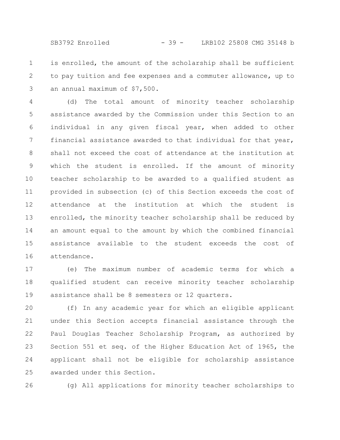SB3792 Enrolled - 39 - LRB102 25808 CMG 35148 b

is enrolled, the amount of the scholarship shall be sufficient to pay tuition and fee expenses and a commuter allowance, up to an annual maximum of \$7,500. 1 2 3

(d) The total amount of minority teacher scholarship assistance awarded by the Commission under this Section to an individual in any given fiscal year, when added to other financial assistance awarded to that individual for that year, shall not exceed the cost of attendance at the institution at which the student is enrolled. If the amount of minority teacher scholarship to be awarded to a qualified student as provided in subsection (c) of this Section exceeds the cost of attendance at the institution at which the student is enrolled, the minority teacher scholarship shall be reduced by an amount equal to the amount by which the combined financial assistance available to the student exceeds the cost of attendance. 4 5 6 7 8 9 10 11 12 13 14 15 16

(e) The maximum number of academic terms for which a qualified student can receive minority teacher scholarship assistance shall be 8 semesters or 12 quarters. 17 18 19

(f) In any academic year for which an eligible applicant under this Section accepts financial assistance through the Paul Douglas Teacher Scholarship Program, as authorized by Section 551 et seq. of the Higher Education Act of 1965, the applicant shall not be eligible for scholarship assistance awarded under this Section. 20 21 22 23 24 25

26

(g) All applications for minority teacher scholarships to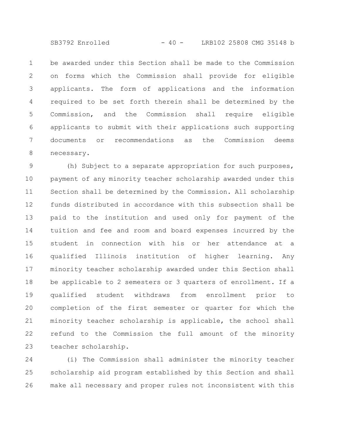SB3792 Enrolled - 40 - LRB102 25808 CMG 35148 b

be awarded under this Section shall be made to the Commission on forms which the Commission shall provide for eligible applicants. The form of applications and the information required to be set forth therein shall be determined by the Commission, and the Commission shall require eligible applicants to submit with their applications such supporting documents or recommendations as the Commission deems necessary. 1 2 3 4 5 6 7 8

(h) Subject to a separate appropriation for such purposes, payment of any minority teacher scholarship awarded under this Section shall be determined by the Commission. All scholarship funds distributed in accordance with this subsection shall be paid to the institution and used only for payment of the tuition and fee and room and board expenses incurred by the student in connection with his or her attendance at a qualified Illinois institution of higher learning. Any minority teacher scholarship awarded under this Section shall be applicable to 2 semesters or 3 quarters of enrollment. If a qualified student withdraws from enrollment prior to completion of the first semester or quarter for which the minority teacher scholarship is applicable, the school shall refund to the Commission the full amount of the minority teacher scholarship. 9 10 11 12 13 14 15 16 17 18 19 20 21 22 23

(i) The Commission shall administer the minority teacher scholarship aid program established by this Section and shall make all necessary and proper rules not inconsistent with this 24 25 26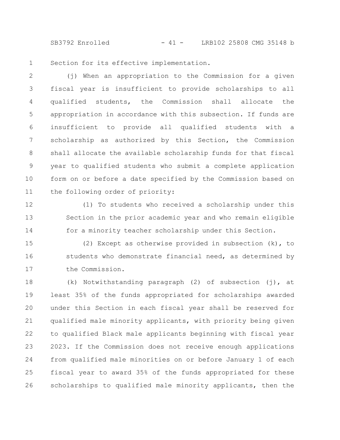SB3792 Enrolled - 41 - LRB102 25808 CMG 35148 b

Section for its effective implementation. 1

(j) When an appropriation to the Commission for a given fiscal year is insufficient to provide scholarships to all qualified students, the Commission shall allocate the appropriation in accordance with this subsection. If funds are insufficient to provide all qualified students with a scholarship as authorized by this Section, the Commission shall allocate the available scholarship funds for that fiscal year to qualified students who submit a complete application form on or before a date specified by the Commission based on the following order of priority: 2 3 4 5 6 7 8 9 10 11

12

13

14

(1) To students who received a scholarship under this Section in the prior academic year and who remain eligible for a minority teacher scholarship under this Section.

(2) Except as otherwise provided in subsection (k), to students who demonstrate financial need, as determined by the Commission. 15 16 17

(k) Notwithstanding paragraph (2) of subsection (j), at least 35% of the funds appropriated for scholarships awarded under this Section in each fiscal year shall be reserved for qualified male minority applicants, with priority being given to qualified Black male applicants beginning with fiscal year 2023. If the Commission does not receive enough applications from qualified male minorities on or before January 1 of each fiscal year to award 35% of the funds appropriated for these scholarships to qualified male minority applicants, then the 18 19 20 21 22 23 24 25 26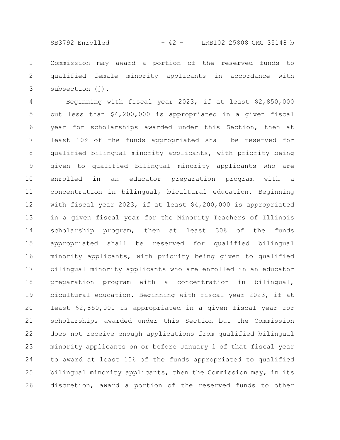SB3792 Enrolled - 42 - LRB102 25808 CMG 35148 b

Commission may award a portion of the reserved funds to qualified female minority applicants in accordance with subsection (j). 1 2 3

Beginning with fiscal year 2023, if at least \$2,850,000 but less than \$4,200,000 is appropriated in a given fiscal year for scholarships awarded under this Section, then at least 10% of the funds appropriated shall be reserved for qualified bilingual minority applicants, with priority being given to qualified bilingual minority applicants who are enrolled in an educator preparation program with a concentration in bilingual, bicultural education. Beginning with fiscal year 2023, if at least \$4,200,000 is appropriated in a given fiscal year for the Minority Teachers of Illinois scholarship program, then at least 30% of the funds appropriated shall be reserved for qualified bilingual minority applicants, with priority being given to qualified bilingual minority applicants who are enrolled in an educator preparation program with a concentration in bilingual, bicultural education. Beginning with fiscal year 2023, if at least \$2,850,000 is appropriated in a given fiscal year for scholarships awarded under this Section but the Commission does not receive enough applications from qualified bilingual minority applicants on or before January 1 of that fiscal year to award at least 10% of the funds appropriated to qualified bilingual minority applicants, then the Commission may, in its discretion, award a portion of the reserved funds to other 4 5 6 7 8 9 10 11 12 13 14 15 16 17 18 19 20 21 22 23 24 25 26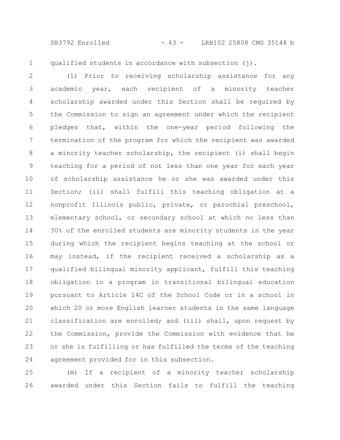SB3792 Enrolled - 43 - LRB102 25808 CMG 35148 b

qualified students in accordance with subsection  $(j)$ . 1

(l) Prior to receiving scholarship assistance for any academic year, each recipient of a minority teacher scholarship awarded under this Section shall be required by the Commission to sign an agreement under which the recipient pledges that, within the one-year period following the termination of the program for which the recipient was awarded a minority teacher scholarship, the recipient (i) shall begin teaching for a period of not less than one year for each year of scholarship assistance he or she was awarded under this Section; (ii) shall fulfill this teaching obligation at a nonprofit Illinois public, private, or parochial preschool, elementary school, or secondary school at which no less than 30% of the enrolled students are minority students in the year during which the recipient begins teaching at the school or may instead, if the recipient received a scholarship as a qualified bilingual minority applicant, fulfill this teaching obligation in a program in transitional bilingual education pursuant to Article 14C of the School Code or in a school in which 20 or more English learner students in the same language classification are enrolled; and (iii) shall, upon request by the Commission, provide the Commission with evidence that he or she is fulfilling or has fulfilled the terms of the teaching agreement provided for in this subsection. 2 3 4 5 6 7 8 9 10 11 12 13 14 15 16 17 18 19 20 21 22 23 24

(m) If a recipient of a minority teacher scholarship awarded under this Section fails to fulfill the teaching 25 26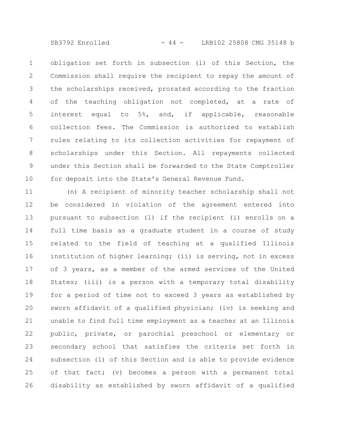SB3792 Enrolled - 44 - LRB102 25808 CMG 35148 b

obligation set forth in subsection (l) of this Section, the Commission shall require the recipient to repay the amount of the scholarships received, prorated according to the fraction of the teaching obligation not completed, at a rate of interest equal to 5%, and, if applicable, reasonable collection fees. The Commission is authorized to establish rules relating to its collection activities for repayment of scholarships under this Section. All repayments collected under this Section shall be forwarded to the State Comptroller for deposit into the State's General Revenue Fund. 1 2 3 4 5 6 7 8 9 10

(n) A recipient of minority teacher scholarship shall not be considered in violation of the agreement entered into pursuant to subsection (l) if the recipient (i) enrolls on a full time basis as a graduate student in a course of study related to the field of teaching at a qualified Illinois institution of higher learning; (ii) is serving, not in excess of 3 years, as a member of the armed services of the United States; (iii) is a person with a temporary total disability for a period of time not to exceed 3 years as established by sworn affidavit of a qualified physician; (iv) is seeking and unable to find full time employment as a teacher at an Illinois public, private, or parochial preschool or elementary or secondary school that satisfies the criteria set forth in subsection (l) of this Section and is able to provide evidence of that fact; (v) becomes a person with a permanent total disability as established by sworn affidavit of a qualified 11 12 13 14 15 16 17 18 19 20 21 22 23 24 25 26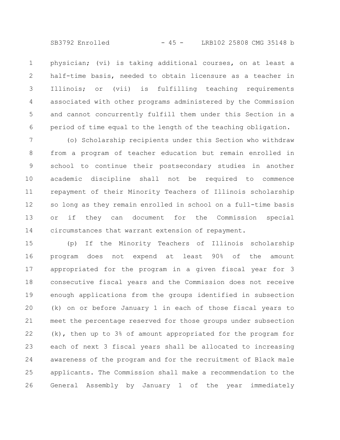physician; (vi) is taking additional courses, on at least a half-time basis, needed to obtain licensure as a teacher in Illinois; or (vii) is fulfilling teaching requirements associated with other programs administered by the Commission and cannot concurrently fulfill them under this Section in a period of time equal to the length of the teaching obligation. 1 2 3 4 5 6

(o) Scholarship recipients under this Section who withdraw from a program of teacher education but remain enrolled in school to continue their postsecondary studies in another academic discipline shall not be required to commence repayment of their Minority Teachers of Illinois scholarship so long as they remain enrolled in school on a full-time basis or if they can document for the Commission special circumstances that warrant extension of repayment. 7 8 9 10 11 12 13 14

(p) If the Minority Teachers of Illinois scholarship program does not expend at least 90% of the amount appropriated for the program in a given fiscal year for 3 consecutive fiscal years and the Commission does not receive enough applications from the groups identified in subsection (k) on or before January 1 in each of those fiscal years to meet the percentage reserved for those groups under subsection (k), then up to 3% of amount appropriated for the program for each of next 3 fiscal years shall be allocated to increasing awareness of the program and for the recruitment of Black male applicants. The Commission shall make a recommendation to the General Assembly by January 1 of the year immediately 15 16 17 18 19 20 21 22 23 24 25 26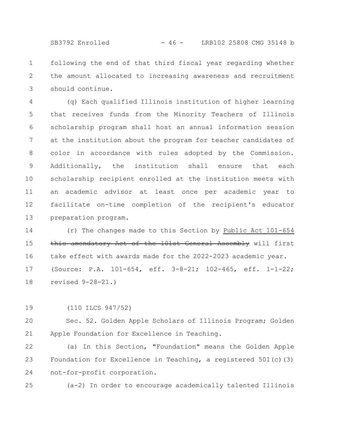following the end of that third fiscal year regarding whether the amount allocated to increasing awareness and recruitment should continue. 1 2 3

(q) Each qualified Illinois institution of higher learning that receives funds from the Minority Teachers of Illinois scholarship program shall host an annual information session at the institution about the program for teacher candidates of color in accordance with rules adopted by the Commission. Additionally, the institution shall ensure that each scholarship recipient enrolled at the institution meets with an academic advisor at least once per academic year to facilitate on-time completion of the recipient's educator preparation program. 4 5 6 7 8 9 10 11 12 13

(r) The changes made to this Section by Public Act 101-654 this amendatory Act of the 101st General Assembly will first take effect with awards made for the 2022-2023 academic year. (Source: P.A. 101-654, eff. 3-8-21; 102-465, eff. 1-1-22; revised 9-28-21.) 14 15 16 17 18

(110 ILCS 947/52) 19

Sec. 52. Golden Apple Scholars of Illinois Program; Golden Apple Foundation for Excellence in Teaching. 20 21

(a) In this Section, "Foundation" means the Golden Apple Foundation for Excellence in Teaching, a registered 501(c)(3) not-for-profit corporation. 22 23 24

(a-2) In order to encourage academically talented Illinois 25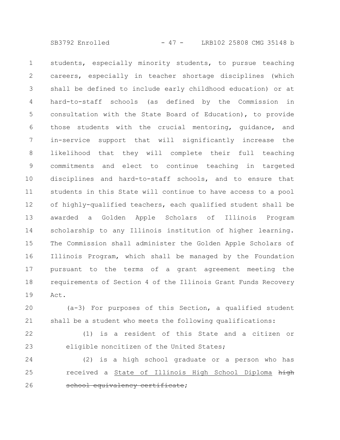SB3792 Enrolled - 47 - LRB102 25808 CMG 35148 b

students, especially minority students, to pursue teaching careers, especially in teacher shortage disciplines (which shall be defined to include early childhood education) or at hard-to-staff schools (as defined by the Commission in consultation with the State Board of Education), to provide those students with the crucial mentoring, guidance, and in-service support that will significantly increase the likelihood that they will complete their full teaching commitments and elect to continue teaching in targeted disciplines and hard-to-staff schools, and to ensure that students in this State will continue to have access to a pool of highly-qualified teachers, each qualified student shall be awarded a Golden Apple Scholars of Illinois Program scholarship to any Illinois institution of higher learning. The Commission shall administer the Golden Apple Scholars of Illinois Program, which shall be managed by the Foundation pursuant to the terms of a grant agreement meeting the requirements of Section 4 of the Illinois Grant Funds Recovery Act. 1 2 3 4 5 6 7 8 9 10 11 12 13 14 15 16 17 18 19

(a-3) For purposes of this Section, a qualified student shall be a student who meets the following qualifications: 20 21

(1) is a resident of this State and a citizen or eligible noncitizen of the United States; 22 23

(2) is a high school graduate or a person who has received a State of Illinois High School Diploma high school equivalency certificate; 24 25 26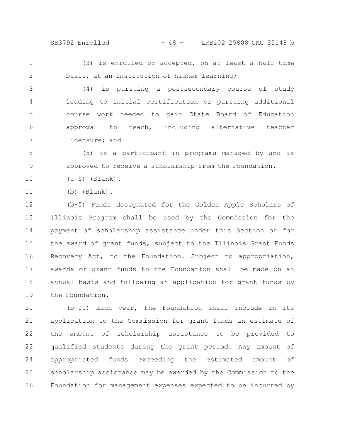SB3792 Enrolled - 48 - LRB102 25808 CMG 35148 b

1 2

(3) is enrolled or accepted, on at least a half-time basis, at an institution of higher learning;

(4) is pursuing a postsecondary course of study leading to initial certification or pursuing additional course work needed to gain State Board of Education approval to teach, including alternative teacher licensure; and 3 4 5 6 7

(5) is a participant in programs managed by and is approved to receive a scholarship from the Foundation. 8 9

 $(a-5)$  (Blank). 10

(b) (Blank). 11

(b-5) Funds designated for the Golden Apple Scholars of Illinois Program shall be used by the Commission for the payment of scholarship assistance under this Section or for the award of grant funds, subject to the Illinois Grant Funds Recovery Act, to the Foundation. Subject to appropriation, awards of grant funds to the Foundation shall be made on an annual basis and following an application for grant funds by the Foundation. 12 13 14 15 16 17 18 19

(b-10) Each year, the Foundation shall include in its application to the Commission for grant funds an estimate of the amount of scholarship assistance to be provided to qualified students during the grant period. Any amount of appropriated funds exceeding the estimated amount of scholarship assistance may be awarded by the Commission to the Foundation for management expenses expected to be incurred by 20 21 22 23 24 25 26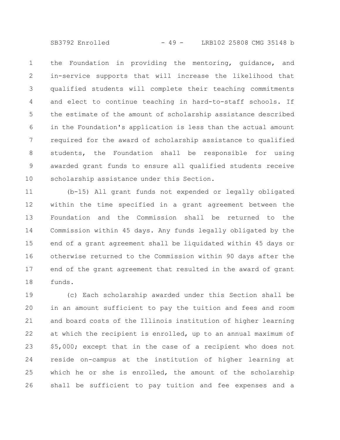SB3792 Enrolled - 49 - LRB102 25808 CMG 35148 b

the Foundation in providing the mentoring, guidance, and in-service supports that will increase the likelihood that qualified students will complete their teaching commitments and elect to continue teaching in hard-to-staff schools. If the estimate of the amount of scholarship assistance described in the Foundation's application is less than the actual amount required for the award of scholarship assistance to qualified students, the Foundation shall be responsible for using awarded grant funds to ensure all qualified students receive scholarship assistance under this Section. 1 2 3 4 5 6 7 8 9 10

(b-15) All grant funds not expended or legally obligated within the time specified in a grant agreement between the Foundation and the Commission shall be returned to the Commission within 45 days. Any funds legally obligated by the end of a grant agreement shall be liquidated within 45 days or otherwise returned to the Commission within 90 days after the end of the grant agreement that resulted in the award of grant funds. 11 12 13 14 15 16 17 18

(c) Each scholarship awarded under this Section shall be in an amount sufficient to pay the tuition and fees and room and board costs of the Illinois institution of higher learning at which the recipient is enrolled, up to an annual maximum of \$5,000; except that in the case of a recipient who does not reside on-campus at the institution of higher learning at which he or she is enrolled, the amount of the scholarship shall be sufficient to pay tuition and fee expenses and a 19 20 21 22 23 24 25 26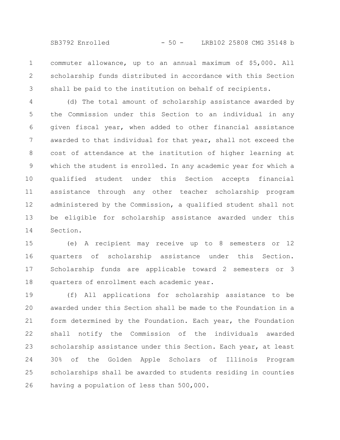SB3792 Enrolled - 50 - LRB102 25808 CMG 35148 b

commuter allowance, up to an annual maximum of \$5,000. All scholarship funds distributed in accordance with this Section shall be paid to the institution on behalf of recipients. 1 2 3

(d) The total amount of scholarship assistance awarded by the Commission under this Section to an individual in any given fiscal year, when added to other financial assistance awarded to that individual for that year, shall not exceed the cost of attendance at the institution of higher learning at which the student is enrolled. In any academic year for which a qualified student under this Section accepts financial assistance through any other teacher scholarship program administered by the Commission, a qualified student shall not be eligible for scholarship assistance awarded under this Section. 4 5 6 7 8 9 10 11 12 13 14

(e) A recipient may receive up to 8 semesters or 12 quarters of scholarship assistance under this Section. Scholarship funds are applicable toward 2 semesters or 3 quarters of enrollment each academic year. 15 16 17 18

(f) All applications for scholarship assistance to be awarded under this Section shall be made to the Foundation in a form determined by the Foundation. Each year, the Foundation shall notify the Commission of the individuals awarded scholarship assistance under this Section. Each year, at least 30% of the Golden Apple Scholars of Illinois Program scholarships shall be awarded to students residing in counties having a population of less than 500,000. 19 20 21 22 23 24 25 26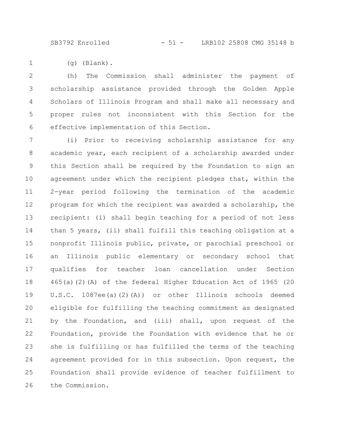SB3792 Enrolled - 51 - LRB102 25808 CMG 35148 b

(g) (Blank). 1

(h) The Commission shall administer the payment of scholarship assistance provided through the Golden Apple Scholars of Illinois Program and shall make all necessary and proper rules not inconsistent with this Section for the effective implementation of this Section. 2 3 4 5 6

(i) Prior to receiving scholarship assistance for any academic year, each recipient of a scholarship awarded under this Section shall be required by the Foundation to sign an agreement under which the recipient pledges that, within the 2-year period following the termination of the academic program for which the recipient was awarded a scholarship, the recipient: (i) shall begin teaching for a period of not less than 5 years, (ii) shall fulfill this teaching obligation at a nonprofit Illinois public, private, or parochial preschool or an Illinois public elementary or secondary school that qualifies for teacher loan cancellation under Section 465(a)(2)(A) of the federal Higher Education Act of 1965 (20 U.S.C. 1087ee(a)(2)(A)) or other Illinois schools deemed eligible for fulfilling the teaching commitment as designated by the Foundation, and (iii) shall, upon request of the Foundation, provide the Foundation with evidence that he or she is fulfilling or has fulfilled the terms of the teaching agreement provided for in this subsection. Upon request, the Foundation shall provide evidence of teacher fulfillment to the Commission. 7 8 9 10 11 12 13 14 15 16 17 18 19 20 21 22 23 24 25 26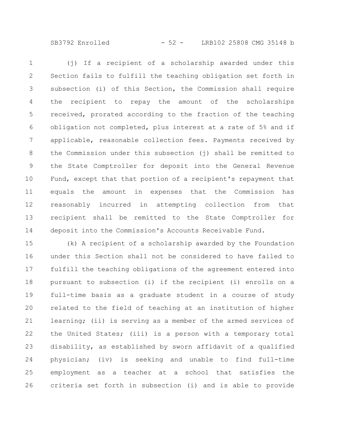SB3792 Enrolled - 52 - LRB102 25808 CMG 35148 b

(j) If a recipient of a scholarship awarded under this Section fails to fulfill the teaching obligation set forth in subsection (i) of this Section, the Commission shall require the recipient to repay the amount of the scholarships received, prorated according to the fraction of the teaching obligation not completed, plus interest at a rate of 5% and if applicable, reasonable collection fees. Payments received by the Commission under this subsection (j) shall be remitted to the State Comptroller for deposit into the General Revenue Fund, except that that portion of a recipient's repayment that equals the amount in expenses that the Commission has reasonably incurred in attempting collection from that recipient shall be remitted to the State Comptroller for deposit into the Commission's Accounts Receivable Fund. 1 2 3 4 5 6 7 8 9 10 11 12 13 14

(k) A recipient of a scholarship awarded by the Foundation under this Section shall not be considered to have failed to fulfill the teaching obligations of the agreement entered into pursuant to subsection (i) if the recipient (i) enrolls on a full-time basis as a graduate student in a course of study related to the field of teaching at an institution of higher learning; (ii) is serving as a member of the armed services of the United States; (iii) is a person with a temporary total disability, as established by sworn affidavit of a qualified physician; (iv) is seeking and unable to find full-time employment as a teacher at a school that satisfies the criteria set forth in subsection (i) and is able to provide 15 16 17 18 19 20 21 22 23 24 25 26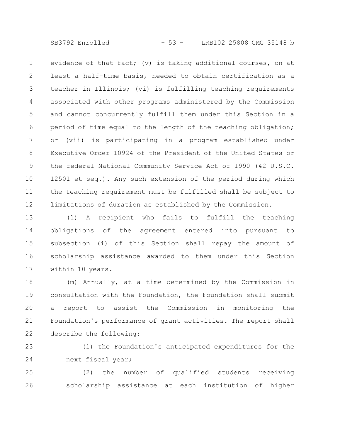SB3792 Enrolled - 53 - LRB102 25808 CMG 35148 b

evidence of that fact; (v) is taking additional courses, on at least a half-time basis, needed to obtain certification as a teacher in Illinois; (vi) is fulfilling teaching requirements associated with other programs administered by the Commission and cannot concurrently fulfill them under this Section in a period of time equal to the length of the teaching obligation; or (vii) is participating in a program established under Executive Order 10924 of the President of the United States or the federal National Community Service Act of 1990 (42 U.S.C. 12501 et seq.). Any such extension of the period during which the teaching requirement must be fulfilled shall be subject to limitations of duration as established by the Commission. 1 2 3 4 5 6 7 8 9 10 11 12

(l) A recipient who fails to fulfill the teaching obligations of the agreement entered into pursuant to subsection (i) of this Section shall repay the amount of scholarship assistance awarded to them under this Section within 10 years. 13 14 15 16 17

(m) Annually, at a time determined by the Commission in consultation with the Foundation, the Foundation shall submit a report to assist the Commission in monitoring the Foundation's performance of grant activities. The report shall describe the following: 18 19 20 21 22

(1) the Foundation's anticipated expenditures for the next fiscal year; 23 24

(2) the number of qualified students receiving scholarship assistance at each institution of higher 25 26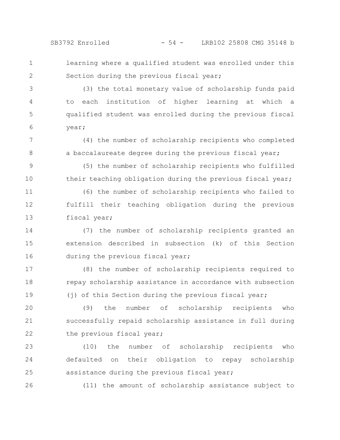learning where a qualified student was enrolled under this Section during the previous fiscal year; 1 2

(3) the total monetary value of scholarship funds paid to each institution of higher learning at which a qualified student was enrolled during the previous fiscal year; 3 4 5 6

(4) the number of scholarship recipients who completed a baccalaureate degree during the previous fiscal year; 7 8

(5) the number of scholarship recipients who fulfilled their teaching obligation during the previous fiscal year; 9 10

(6) the number of scholarship recipients who failed to fulfill their teaching obligation during the previous fiscal year; 11 12 13

(7) the number of scholarship recipients granted an extension described in subsection (k) of this Section during the previous fiscal year; 14 15 16

(8) the number of scholarship recipients required to repay scholarship assistance in accordance with subsection (j) of this Section during the previous fiscal year; 17 18 19

(9) the number of scholarship recipients who successfully repaid scholarship assistance in full during the previous fiscal year; 20 21 22

(10) the number of scholarship recipients who defaulted on their obligation to repay scholarship assistance during the previous fiscal year; 23 24 25

26

(11) the amount of scholarship assistance subject to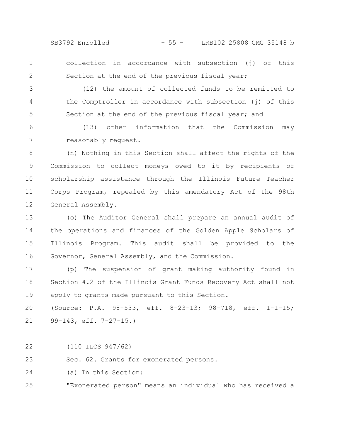SB3792 Enrolled - 55 - LRB102 25808 CMG 35148 b

1 2 collection in accordance with subsection (j) of this Section at the end of the previous fiscal year;

(12) the amount of collected funds to be remitted to the Comptroller in accordance with subsection (j) of this Section at the end of the previous fiscal year; and 3 4 5

(13) other information that the Commission may reasonably request. 6 7

(n) Nothing in this Section shall affect the rights of the Commission to collect moneys owed to it by recipients of scholarship assistance through the Illinois Future Teacher Corps Program, repealed by this amendatory Act of the 98th General Assembly. 8 9 10 11 12

(o) The Auditor General shall prepare an annual audit of the operations and finances of the Golden Apple Scholars of Illinois Program. This audit shall be provided to the Governor, General Assembly, and the Commission. 13 14 15 16

(p) The suspension of grant making authority found in Section 4.2 of the Illinois Grant Funds Recovery Act shall not apply to grants made pursuant to this Section. 17 18 19

(Source: P.A. 98-533, eff. 8-23-13; 98-718, eff. 1-1-15; 99-143, eff. 7-27-15.) 20 21

(110 ILCS 947/62) 22

Sec. 62. Grants for exonerated persons. 23

(a) In this Section: 24

"Exonerated person" means an individual who has received a 25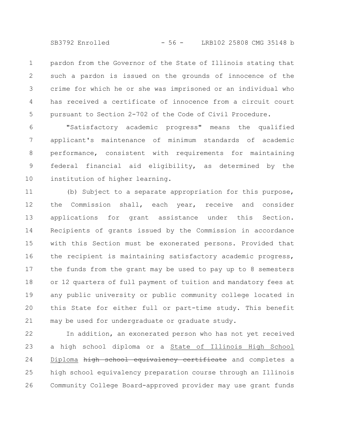SB3792 Enrolled - 56 - LRB102 25808 CMG 35148 b

pardon from the Governor of the State of Illinois stating that such a pardon is issued on the grounds of innocence of the crime for which he or she was imprisoned or an individual who has received a certificate of innocence from a circuit court pursuant to Section 2-702 of the Code of Civil Procedure. 1 2 3 4 5

"Satisfactory academic progress" means the qualified applicant's maintenance of minimum standards of academic performance, consistent with requirements for maintaining federal financial aid eligibility, as determined by the institution of higher learning. 6 7 8 9 10

(b) Subject to a separate appropriation for this purpose, the Commission shall, each year, receive and consider applications for grant assistance under this Section. Recipients of grants issued by the Commission in accordance with this Section must be exonerated persons. Provided that the recipient is maintaining satisfactory academic progress, the funds from the grant may be used to pay up to 8 semesters or 12 quarters of full payment of tuition and mandatory fees at any public university or public community college located in this State for either full or part-time study. This benefit may be used for undergraduate or graduate study. 11 12 13 14 15 16 17 18 19 20 21

In addition, an exonerated person who has not yet received a high school diploma or a State of Illinois High School Diploma high school equivalency certificate and completes a high school equivalency preparation course through an Illinois Community College Board-approved provider may use grant funds 22 23 24 25 26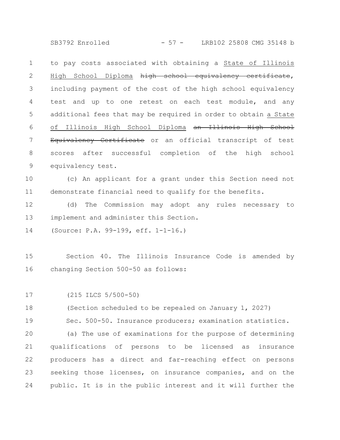SB3792 Enrolled - 57 - LRB102 25808 CMG 35148 b

to pay costs associated with obtaining a State of Illinois High School Diploma high school equivalency certificate, including payment of the cost of the high school equivalency test and up to one retest on each test module, and any additional fees that may be required in order to obtain a State of Illinois High School Diploma an Illinois High School Equivalency Certificate or an official transcript of test scores after successful completion of the high school equivalency test. 1 2 3 4 5 6 7 8 9

(c) An applicant for a grant under this Section need not demonstrate financial need to qualify for the benefits. 10 11

(d) The Commission may adopt any rules necessary to implement and administer this Section. 12 13

(Source: P.A. 99-199, eff. 1-1-16.) 14

Section 40. The Illinois Insurance Code is amended by changing Section 500-50 as follows: 15 16

(215 ILCS 5/500-50) 17

(Section scheduled to be repealed on January 1, 2027) 18

Sec. 500-50. Insurance producers; examination statistics. 19

(a) The use of examinations for the purpose of determining qualifications of persons to be licensed as insurance producers has a direct and far-reaching effect on persons seeking those licenses, on insurance companies, and on the public. It is in the public interest and it will further the 20 21 22 23 24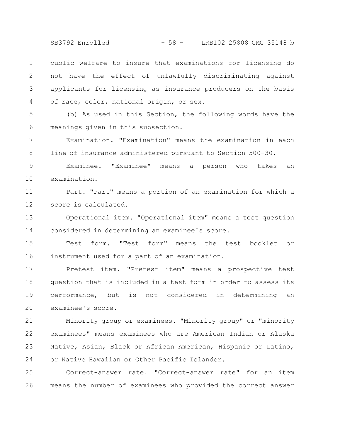SB3792 Enrolled - 58 - LRB102 25808 CMG 35148 b

public welfare to insure that examinations for licensing do not have the effect of unlawfully discriminating against applicants for licensing as insurance producers on the basis of race, color, national origin, or sex. 1 2 3 4

(b) As used in this Section, the following words have the meanings given in this subsection. 5 6

Examination. "Examination" means the examination in each line of insurance administered pursuant to Section 500-30. 7 8

Examinee. "Examinee" means a person who takes an examination. 9 10

Part. "Part" means a portion of an examination for which a score is calculated. 11 12

Operational item. "Operational item" means a test question considered in determining an examinee's score. 13 14

Test form. "Test form" means the test booklet or instrument used for a part of an examination. 15 16

Pretest item. "Pretest item" means a prospective test question that is included in a test form in order to assess its performance, but is not considered in determining an examinee's score. 17 18 19 20

Minority group or examinees. "Minority group" or "minority examinees" means examinees who are American Indian or Alaska Native, Asian, Black or African American, Hispanic or Latino, or Native Hawaiian or Other Pacific Islander. 21 22 23 24

Correct-answer rate. "Correct-answer rate" for an item means the number of examinees who provided the correct answer 25 26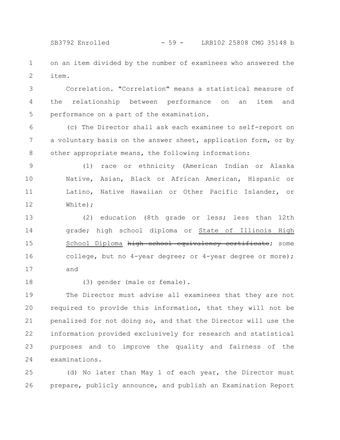on an item divided by the number of examinees who answered the item. 1 2

Correlation. "Correlation" means a statistical measure of the relationship between performance on an item and performance on a part of the examination. 3 4 5

(c) The Director shall ask each examinee to self-report on a voluntary basis on the answer sheet, application form, or by other appropriate means, the following information: 6 7 8

(1) race or ethnicity (American Indian or Alaska Native, Asian, Black or African American, Hispanic or Latino, Native Hawaiian or Other Pacific Islander, or White); 9 10 11 12

(2) education (8th grade or less; less than 12th grade; high school diploma or State of Illinois High School Diploma high school equivalency certificate; some college, but no 4-year degree; or 4-year degree or more); and 13 14 15 16 17

18

(3) gender (male or female).

The Director must advise all examinees that they are not required to provide this information, that they will not be penalized for not doing so, and that the Director will use the information provided exclusively for research and statistical purposes and to improve the quality and fairness of the examinations. 19 20 21 22 23 24

(d) No later than May 1 of each year, the Director must prepare, publicly announce, and publish an Examination Report 25 26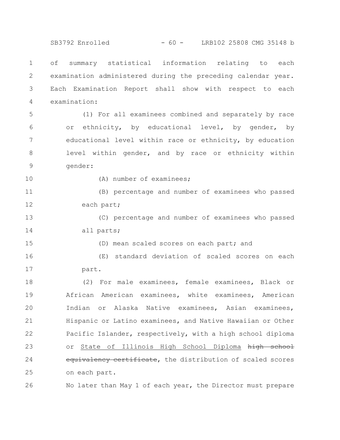SB3792 Enrolled - 60 - LRB102 25808 CMG 35148 b

of summary statistical information relating to each examination administered during the preceding calendar year. Each Examination Report shall show with respect to each examination: 1 2 3 4

(1) For all examinees combined and separately by race or ethnicity, by educational level, by gender, by educational level within race or ethnicity, by education level within gender, and by race or ethnicity within gender: 5 6 7 8 9

10

15

(A) number of examinees;

(B) percentage and number of examinees who passed each part; 11 12

(C) percentage and number of examinees who passed all parts; 13 14

(D) mean scaled scores on each part; and

(E) standard deviation of scaled scores on each part. 16 17

(2) For male examinees, female examinees, Black or African American examinees, white examinees, American Indian or Alaska Native examinees, Asian examinees, Hispanic or Latino examinees, and Native Hawaiian or Other Pacific Islander, respectively, with a high school diploma or State of Illinois High School Diploma high school equivalency certificate, the distribution of scaled scores on each part. 18 19 20 21 22 23 24 25

No later than May 1 of each year, the Director must prepare 26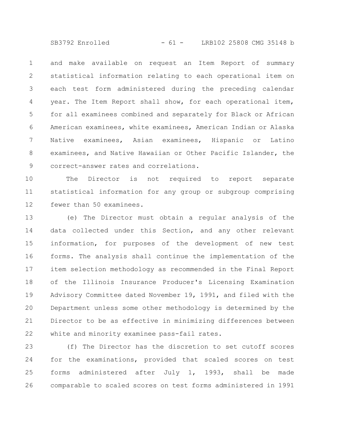SB3792 Enrolled - 61 - LRB102 25808 CMG 35148 b

and make available on request an Item Report of summary statistical information relating to each operational item on each test form administered during the preceding calendar year. The Item Report shall show, for each operational item, for all examinees combined and separately for Black or African American examinees, white examinees, American Indian or Alaska Native examinees, Asian examinees, Hispanic or Latino examinees, and Native Hawaiian or Other Pacific Islander, the correct-answer rates and correlations. 1 2 3 4 5 6 7 8 9

The Director is not required to report separate statistical information for any group or subgroup comprising fewer than 50 examinees. 10 11 12

(e) The Director must obtain a regular analysis of the data collected under this Section, and any other relevant information, for purposes of the development of new test forms. The analysis shall continue the implementation of the item selection methodology as recommended in the Final Report of the Illinois Insurance Producer's Licensing Examination Advisory Committee dated November 19, 1991, and filed with the Department unless some other methodology is determined by the Director to be as effective in minimizing differences between white and minority examinee pass-fail rates. 13 14 15 16 17 18 19 20 21 22

(f) The Director has the discretion to set cutoff scores for the examinations, provided that scaled scores on test forms administered after July 1, 1993, shall be made comparable to scaled scores on test forms administered in 1991 23 24 25 26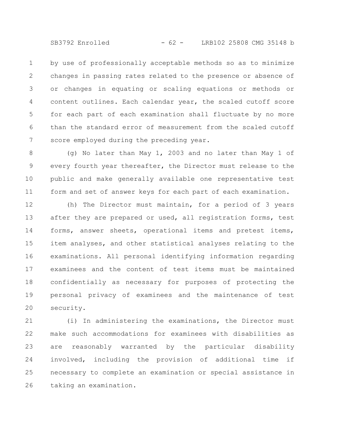SB3792 Enrolled - 62 - LRB102 25808 CMG 35148 b

by use of professionally acceptable methods so as to minimize changes in passing rates related to the presence or absence of or changes in equating or scaling equations or methods or content outlines. Each calendar year, the scaled cutoff score for each part of each examination shall fluctuate by no more than the standard error of measurement from the scaled cutoff score employed during the preceding year. 1 2 3 4 5 6 7

(g) No later than May 1, 2003 and no later than May 1 of every fourth year thereafter, the Director must release to the public and make generally available one representative test form and set of answer keys for each part of each examination. 8 9 10 11

(h) The Director must maintain, for a period of 3 years after they are prepared or used, all registration forms, test forms, answer sheets, operational items and pretest items, item analyses, and other statistical analyses relating to the examinations. All personal identifying information regarding examinees and the content of test items must be maintained confidentially as necessary for purposes of protecting the personal privacy of examinees and the maintenance of test security. 12 13 14 15 16 17 18 19 20

(i) In administering the examinations, the Director must make such accommodations for examinees with disabilities as are reasonably warranted by the particular disability involved, including the provision of additional time if necessary to complete an examination or special assistance in taking an examination. 21 22 23 24 25 26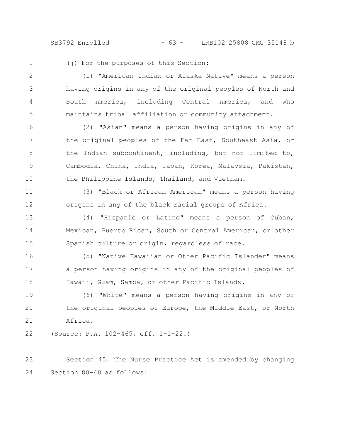SB3792 Enrolled - 63 - LRB102 25808 CMG 35148 b

1

(j) For the purposes of this Section:

(1) "American Indian or Alaska Native" means a person having origins in any of the original peoples of North and South America, including Central America, and who maintains tribal affiliation or community attachment. 2 3 4 5

(2) "Asian" means a person having origins in any of the original peoples of the Far East, Southeast Asia, or the Indian subcontinent, including, but not limited to, Cambodia, China, India, Japan, Korea, Malaysia, Pakistan, the Philippine Islands, Thailand, and Vietnam. 6 7 8 9 10

(3) "Black or African American" means a person having origins in any of the black racial groups of Africa. 11 12

(4) "Hispanic or Latino" means a person of Cuban, Mexican, Puerto Rican, South or Central American, or other Spanish culture or origin, regardless of race. 13 14 15

(5) "Native Hawaiian or Other Pacific Islander" means a person having origins in any of the original peoples of Hawaii, Guam, Samoa, or other Pacific Islands. 16 17 18

(6) "White" means a person having origins in any of the original peoples of Europe, the Middle East, or North Africa. 19 20 21

(Source: P.A. 102-465, eff. 1-1-22.) 22

Section 45. The Nurse Practice Act is amended by changing Section 80-40 as follows: 23 24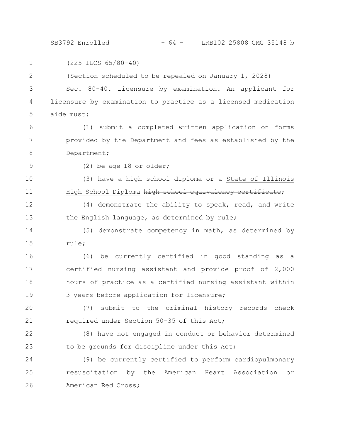SB3792 Enrolled - 64 - LRB102 25808 CMG 35148 b

(225 ILCS 65/80-40) (Section scheduled to be repealed on January 1, 2028) Sec. 80-40. Licensure by examination. An applicant for licensure by examination to practice as a licensed medication aide must: (1) submit a completed written application on forms provided by the Department and fees as established by the Department; (2) be age 18 or older; (3) have a high school diploma or a State of Illinois High School Diploma high school equivalency certificate; (4) demonstrate the ability to speak, read, and write the English language, as determined by rule; (5) demonstrate competency in math, as determined by rule; (6) be currently certified in good standing as a certified nursing assistant and provide proof of 2,000 hours of practice as a certified nursing assistant within 3 years before application for licensure; (7) submit to the criminal history records check required under Section 50-35 of this Act; (8) have not engaged in conduct or behavior determined to be grounds for discipline under this Act; (9) be currently certified to perform cardiopulmonary resuscitation by the American Heart Association or American Red Cross; 1 2 3 4 5 6 7 8 9 10 11 12 13 14 15 16 17 18 19 20 21 22 23 24 25 26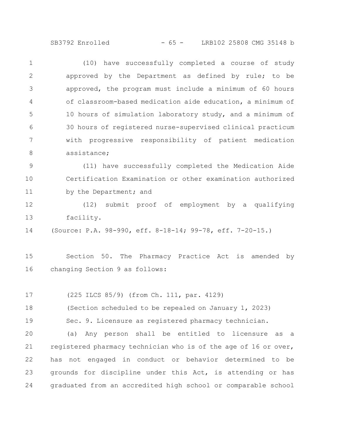SB3792 Enrolled - 65 - LRB102 25808 CMG 35148 b

(10) have successfully completed a course of study approved by the Department as defined by rule; to be approved, the program must include a minimum of 60 hours of classroom-based medication aide education, a minimum of 10 hours of simulation laboratory study, and a minimum of 30 hours of registered nurse-supervised clinical practicum with progressive responsibility of patient medication assistance; 1 2 3 4 5 6 7 8

(11) have successfully completed the Medication Aide Certification Examination or other examination authorized by the Department; and 9 10 11

(12) submit proof of employment by a qualifying facility. 12 13

(Source: P.A. 98-990, eff. 8-18-14; 99-78, eff. 7-20-15.) 14

Section 50. The Pharmacy Practice Act is amended by changing Section 9 as follows: 15 16

(225 ILCS 85/9) (from Ch. 111, par. 4129) 17

(Section scheduled to be repealed on January 1, 2023) 18

Sec. 9. Licensure as registered pharmacy technician. 19

(a) Any person shall be entitled to licensure as a registered pharmacy technician who is of the age of 16 or over, has not engaged in conduct or behavior determined to be grounds for discipline under this Act, is attending or has graduated from an accredited high school or comparable school 20 21 22 23 24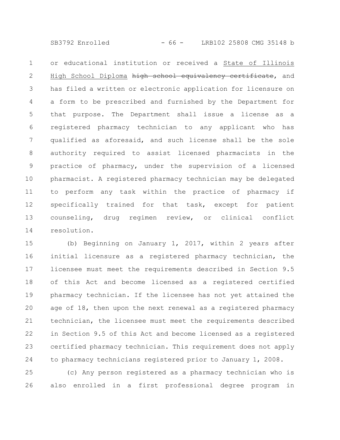SB3792 Enrolled - 66 - LRB102 25808 CMG 35148 b

or educational institution or received a State of Illinois High School Diploma high school equivalency certificate, and has filed a written or electronic application for licensure on a form to be prescribed and furnished by the Department for that purpose. The Department shall issue a license as a registered pharmacy technician to any applicant who has qualified as aforesaid, and such license shall be the sole authority required to assist licensed pharmacists in the practice of pharmacy, under the supervision of a licensed pharmacist. A registered pharmacy technician may be delegated to perform any task within the practice of pharmacy if specifically trained for that task, except for patient counseling, drug regimen review, or clinical conflict resolution. 1 2 3 4 5 6 7 8 9 10 11 12 13 14

(b) Beginning on January 1, 2017, within 2 years after initial licensure as a registered pharmacy technician, the licensee must meet the requirements described in Section 9.5 of this Act and become licensed as a registered certified pharmacy technician. If the licensee has not yet attained the age of 18, then upon the next renewal as a registered pharmacy technician, the licensee must meet the requirements described in Section 9.5 of this Act and become licensed as a registered certified pharmacy technician. This requirement does not apply to pharmacy technicians registered prior to January 1, 2008. 15 16 17 18 19 20 21 22 23 24

(c) Any person registered as a pharmacy technician who is also enrolled in a first professional degree program in 25 26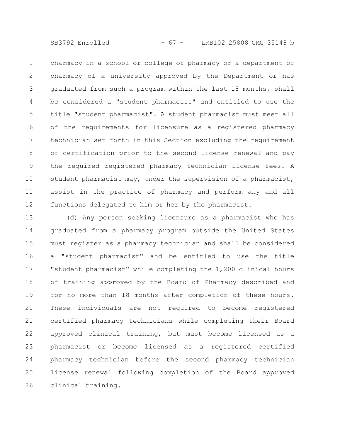SB3792 Enrolled - 67 - LRB102 25808 CMG 35148 b

pharmacy in a school or college of pharmacy or a department of pharmacy of a university approved by the Department or has graduated from such a program within the last 18 months, shall be considered a "student pharmacist" and entitled to use the title "student pharmacist". A student pharmacist must meet all of the requirements for licensure as a registered pharmacy technician set forth in this Section excluding the requirement of certification prior to the second license renewal and pay the required registered pharmacy technician license fees. A student pharmacist may, under the supervision of a pharmacist, assist in the practice of pharmacy and perform any and all functions delegated to him or her by the pharmacist. 1 2 3 4 5 6 7 8 9 10 11 12

(d) Any person seeking licensure as a pharmacist who has graduated from a pharmacy program outside the United States must register as a pharmacy technician and shall be considered a "student pharmacist" and be entitled to use the title "student pharmacist" while completing the 1,200 clinical hours of training approved by the Board of Pharmacy described and for no more than 18 months after completion of these hours. These individuals are not required to become registered certified pharmacy technicians while completing their Board approved clinical training, but must become licensed as a pharmacist or become licensed as a registered certified pharmacy technician before the second pharmacy technician license renewal following completion of the Board approved clinical training. 13 14 15 16 17 18 19 20 21 22 23 24 25 26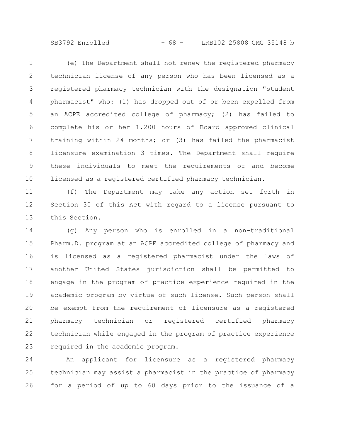SB3792 Enrolled - 68 - LRB102 25808 CMG 35148 b

(e) The Department shall not renew the registered pharmacy technician license of any person who has been licensed as a registered pharmacy technician with the designation "student pharmacist" who: (1) has dropped out of or been expelled from an ACPE accredited college of pharmacy; (2) has failed to complete his or her 1,200 hours of Board approved clinical training within 24 months; or (3) has failed the pharmacist licensure examination 3 times. The Department shall require these individuals to meet the requirements of and become licensed as a registered certified pharmacy technician. 1 2 3 4 5 6 7 8 9 10

(f) The Department may take any action set forth in Section 30 of this Act with regard to a license pursuant to this Section. 11 12 13

(g) Any person who is enrolled in a non-traditional Pharm.D. program at an ACPE accredited college of pharmacy and is licensed as a registered pharmacist under the laws of another United States jurisdiction shall be permitted to engage in the program of practice experience required in the academic program by virtue of such license. Such person shall be exempt from the requirement of licensure as a registered pharmacy technician or registered certified pharmacy technician while engaged in the program of practice experience required in the academic program. 14 15 16 17 18 19 20 21 22 23

An applicant for licensure as a registered pharmacy technician may assist a pharmacist in the practice of pharmacy for a period of up to 60 days prior to the issuance of a 24 25 26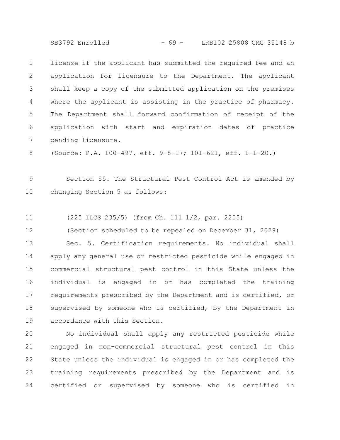SB3792 Enrolled - 69 - LRB102 25808 CMG 35148 b

license if the applicant has submitted the required fee and an application for licensure to the Department. The applicant shall keep a copy of the submitted application on the premises where the applicant is assisting in the practice of pharmacy. The Department shall forward confirmation of receipt of the application with start and expiration dates of practice pending licensure. 1 2 3 4 5 6 7

(Source: P.A. 100-497, eff. 9-8-17; 101-621, eff. 1-1-20.) 8

Section 55. The Structural Pest Control Act is amended by changing Section 5 as follows: 9 10

(225 ILCS 235/5) (from Ch. 111 1/2, par. 2205) 11

(Section scheduled to be repealed on December 31, 2029) 12

Sec. 5. Certification requirements. No individual shall apply any general use or restricted pesticide while engaged in commercial structural pest control in this State unless the individual is engaged in or has completed the training requirements prescribed by the Department and is certified, or supervised by someone who is certified, by the Department in accordance with this Section. 13 14 15 16 17 18 19

No individual shall apply any restricted pesticide while engaged in non-commercial structural pest control in this State unless the individual is engaged in or has completed the training requirements prescribed by the Department and is certified or supervised by someone who is certified in 20 21 22 23 24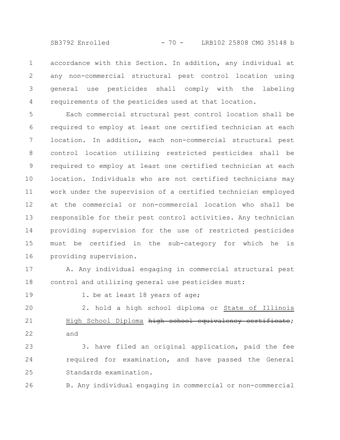SB3792 Enrolled - 70 - LRB102 25808 CMG 35148 b

accordance with this Section. In addition, any individual at any non-commercial structural pest control location using general use pesticides shall comply with the labeling requirements of the pesticides used at that location. 1 2 3 4

Each commercial structural pest control location shall be required to employ at least one certified technician at each location. In addition, each non-commercial structural pest control location utilizing restricted pesticides shall be required to employ at least one certified technician at each location. Individuals who are not certified technicians may work under the supervision of a certified technician employed at the commercial or non-commercial location who shall be responsible for their pest control activities. Any technician providing supervision for the use of restricted pesticides must be certified in the sub-category for which he is providing supervision. 5 6 7 8 9 10 11 12 13 14 15 16

A. Any individual engaging in commercial structural pest control and utilizing general use pesticides must: 17 18

19

1. be at least 18 years of age;

2. hold a high school diploma or State of Illinois High School Diploma high school equivalency certificate; and 20 21 22

3. have filed an original application, paid the fee required for examination, and have passed the General Standards examination. 23 24 25

B. Any individual engaging in commercial or non-commercial 26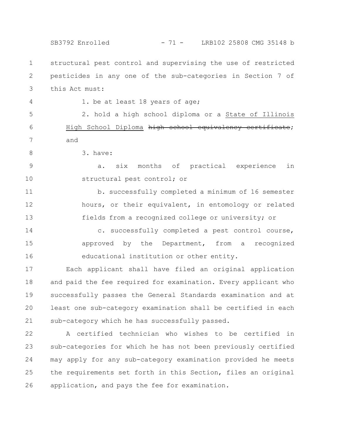SB3792 Enrolled - 71 - LRB102 25808 CMG 35148 b

structural pest control and supervising the use of restricted pesticides in any one of the sub-categories in Section 7 of this Act must: 1 2 3

4

1. be at least 18 years of age;

2. hold a high school diploma or a State of Illinois High School Diploma high school equivalency certificate; and 5 6 7

3. have: 8

a. six months of practical experience in structural pest control; or 9 10

b. successfully completed a minimum of 16 semester hours, or their equivalent, in entomology or related fields from a recognized college or university; or 11 12 13

c. successfully completed a pest control course, approved by the Department, from a recognized educational institution or other entity. 14 15 16

Each applicant shall have filed an original application and paid the fee required for examination. Every applicant who successfully passes the General Standards examination and at least one sub-category examination shall be certified in each sub-category which he has successfully passed. 17 18 19 20 21

A certified technician who wishes to be certified in sub-categories for which he has not been previously certified may apply for any sub-category examination provided he meets the requirements set forth in this Section, files an original application, and pays the fee for examination. 22 23 24 25 26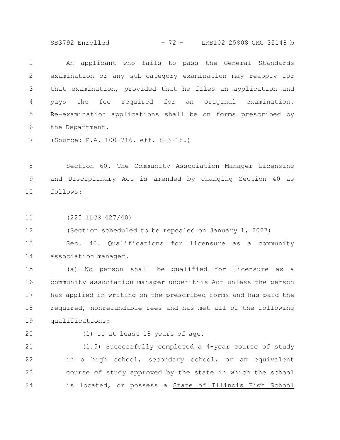SB3792 Enrolled - 72 - LRB102 25808 CMG 35148 b

An applicant who fails to pass the General Standards examination or any sub-category examination may reapply for that examination, provided that he files an application and pays the fee required for an original examination. Re-examination applications shall be on forms prescribed by the Department. 1 2 3 4 5 6

(Source: P.A. 100-716, eff. 8-3-18.) 7

Section 60. The Community Association Manager Licensing and Disciplinary Act is amended by changing Section 40 as follows: 8 9 10

(225 ILCS 427/40) 11

(Section scheduled to be repealed on January 1, 2027) 12

Sec. 40. Qualifications for licensure as a community association manager. 13 14

(a) No person shall be qualified for licensure as a community association manager under this Act unless the person has applied in writing on the prescribed forms and has paid the required, nonrefundable fees and has met all of the following qualifications: 15 16 17 18 19

20

(1) Is at least 18 years of age.

(1.5) Successfully completed a 4-year course of study in a high school, secondary school, or an equivalent course of study approved by the state in which the school is located, or possess a State of Illinois High School 21 22 23 24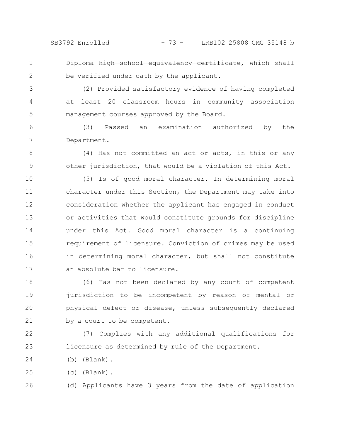Diploma high school equivalency certificate, which shall be verified under oath by the applicant. 1 2

(2) Provided satisfactory evidence of having completed at least 20 classroom hours in community association management courses approved by the Board. 3 4 5

(3) Passed an examination authorized by the Department. 6 7

(4) Has not committed an act or acts, in this or any other jurisdiction, that would be a violation of this Act. 8 9

(5) Is of good moral character. In determining moral character under this Section, the Department may take into consideration whether the applicant has engaged in conduct or activities that would constitute grounds for discipline under this Act. Good moral character is a continuing requirement of licensure. Conviction of crimes may be used in determining moral character, but shall not constitute an absolute bar to licensure. 10 11 12 13 14 15 16 17

(6) Has not been declared by any court of competent jurisdiction to be incompetent by reason of mental or physical defect or disease, unless subsequently declared by a court to be competent. 18 19 20 21

(7) Complies with any additional qualifications for licensure as determined by rule of the Department. 22 23

(b) (Blank). 24

(c) (Blank). 25

(d) Applicants have 3 years from the date of application 26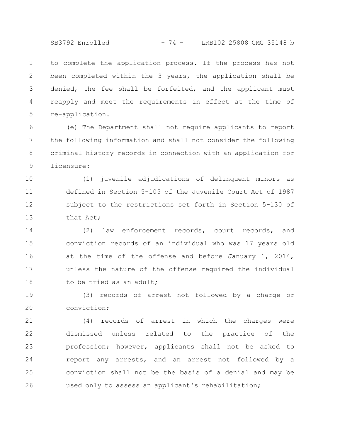to complete the application process. If the process has not been completed within the 3 years, the application shall be denied, the fee shall be forfeited, and the applicant must reapply and meet the requirements in effect at the time of re-application. 1 2 3 4 5

(e) The Department shall not require applicants to report the following information and shall not consider the following criminal history records in connection with an application for licensure: 6 7 8 9

(1) juvenile adjudications of delinquent minors as defined in Section 5-105 of the Juvenile Court Act of 1987 subject to the restrictions set forth in Section 5-130 of that Act; 10 11 12 13

(2) law enforcement records, court records, and conviction records of an individual who was 17 years old at the time of the offense and before January 1, 2014, unless the nature of the offense required the individual to be tried as an adult; 14 15 16 17 18

(3) records of arrest not followed by a charge or conviction; 19 20

(4) records of arrest in which the charges were dismissed unless related to the practice of the profession; however, applicants shall not be asked to report any arrests, and an arrest not followed by a conviction shall not be the basis of a denial and may be used only to assess an applicant's rehabilitation; 21 22 23 24 25 26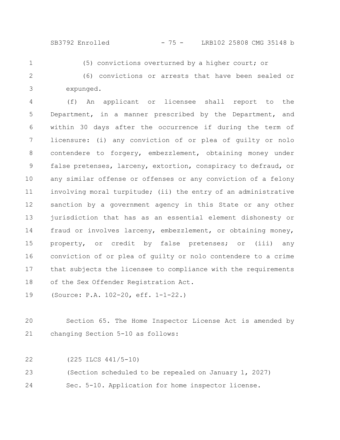## SB3792 Enrolled - 75 - LRB102 25808 CMG 35148 b

1

(5) convictions overturned by a higher court; or

(6) convictions or arrests that have been sealed or expunged. 2 3

(f) An applicant or licensee shall report to the Department, in a manner prescribed by the Department, and within 30 days after the occurrence if during the term of licensure: (i) any conviction of or plea of guilty or nolo contendere to forgery, embezzlement, obtaining money under false pretenses, larceny, extortion, conspiracy to defraud, or any similar offense or offenses or any conviction of a felony involving moral turpitude; (ii) the entry of an administrative sanction by a government agency in this State or any other jurisdiction that has as an essential element dishonesty or fraud or involves larceny, embezzlement, or obtaining money, property, or credit by false pretenses; or (iii) any conviction of or plea of guilty or nolo contendere to a crime that subjects the licensee to compliance with the requirements of the Sex Offender Registration Act. 4 5 6 7 8 9 10 11 12 13 14 15 16 17 18

(Source: P.A. 102-20, eff. 1-1-22.) 19

Section 65. The Home Inspector License Act is amended by changing Section 5-10 as follows: 20 21

(225 ILCS 441/5-10) 22

(Section scheduled to be repealed on January 1, 2027) 23

Sec. 5-10. Application for home inspector license. 24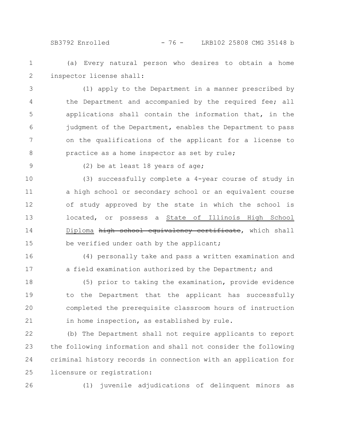SB3792 Enrolled - 76 - LRB102 25808 CMG 35148 b

(a) Every natural person who desires to obtain a home inspector license shall: 1 2

(1) apply to the Department in a manner prescribed by the Department and accompanied by the required fee; all applications shall contain the information that, in the judgment of the Department, enables the Department to pass on the qualifications of the applicant for a license to practice as a home inspector as set by rule; 3 4 5 6 7 8

9

(2) be at least 18 years of age;

(3) successfully complete a 4-year course of study in a high school or secondary school or an equivalent course of study approved by the state in which the school is located, or possess a State of Illinois High School Diploma high school equivalency certificate, which shall be verified under oath by the applicant; 10 11 12 13 14 15

(4) personally take and pass a written examination and a field examination authorized by the Department; and 16 17

(5) prior to taking the examination, provide evidence to the Department that the applicant has successfully completed the prerequisite classroom hours of instruction in home inspection, as established by rule. 18 19 20 21

(b) The Department shall not require applicants to report the following information and shall not consider the following criminal history records in connection with an application for licensure or registration: 22 23 24 25

26

(1) juvenile adjudications of delinquent minors as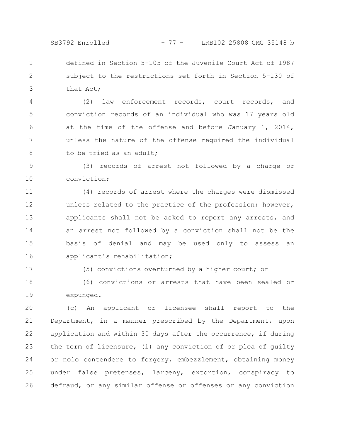SB3792 Enrolled - 77 - LRB102 25808 CMG 35148 b

defined in Section 5-105 of the Juvenile Court Act of 1987 subject to the restrictions set forth in Section 5-130 of that Act; 1 2 3

(2) law enforcement records, court records, and conviction records of an individual who was 17 years old at the time of the offense and before January 1, 2014, unless the nature of the offense required the individual to be tried as an adult; 4 5 6 7 8

(3) records of arrest not followed by a charge or conviction; 9 10

(4) records of arrest where the charges were dismissed unless related to the practice of the profession; however, applicants shall not be asked to report any arrests, and an arrest not followed by a conviction shall not be the basis of denial and may be used only to assess an applicant's rehabilitation; 11 12 13 14 15 16

17

(5) convictions overturned by a higher court; or

(6) convictions or arrests that have been sealed or expunged. 18 19

(c) An applicant or licensee shall report to the Department, in a manner prescribed by the Department, upon application and within 30 days after the occurrence, if during the term of licensure, (i) any conviction of or plea of guilty or nolo contendere to forgery, embezzlement, obtaining money under false pretenses, larceny, extortion, conspiracy to defraud, or any similar offense or offenses or any conviction 20 21 22 23 24 25 26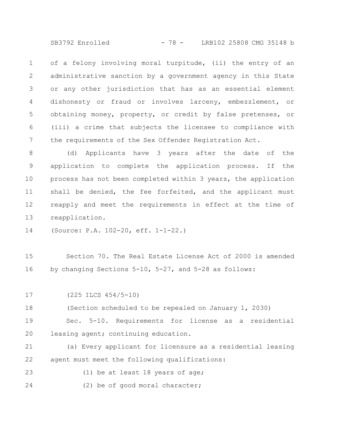SB3792 Enrolled - 78 - LRB102 25808 CMG 35148 b

of a felony involving moral turpitude, (ii) the entry of an administrative sanction by a government agency in this State or any other jurisdiction that has as an essential element dishonesty or fraud or involves larceny, embezzlement, or obtaining money, property, or credit by false pretenses, or (iii) a crime that subjects the licensee to compliance with the requirements of the Sex Offender Registration Act. 1 2 3 4 5 6 7

(d) Applicants have 3 years after the date of the application to complete the application process. If the process has not been completed within 3 years, the application shall be denied, the fee forfeited, and the applicant must reapply and meet the requirements in effect at the time of reapplication. 8 9 10 11 12 13

(Source: P.A. 102-20, eff. 1-1-22.) 14

Section 70. The Real Estate License Act of 2000 is amended by changing Sections 5-10, 5-27, and 5-28 as follows: 15 16

(225 ILCS 454/5-10) 17

(Section scheduled to be repealed on January 1, 2030) 18

Sec. 5-10. Requirements for license as a residential leasing agent; continuing education. 19 20

(a) Every applicant for licensure as a residential leasing agent must meet the following qualifications: 21 22

(1) be at least 18 years of age; 23

(2) be of good moral character; 24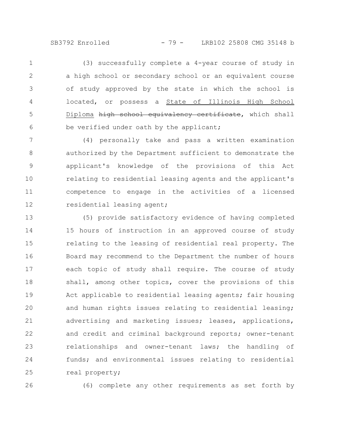SB3792 Enrolled - 79 - LRB102 25808 CMG 35148 b

(3) successfully complete a 4-year course of study in a high school or secondary school or an equivalent course of study approved by the state in which the school is located, or possess a State of Illinois High School Diploma high school equivalency certificate, which shall be verified under oath by the applicant; 1 2 3 4 5 6

(4) personally take and pass a written examination authorized by the Department sufficient to demonstrate the applicant's knowledge of the provisions of this Act relating to residential leasing agents and the applicant's competence to engage in the activities of a licensed residential leasing agent; 7 8 9 10 11 12

(5) provide satisfactory evidence of having completed 15 hours of instruction in an approved course of study relating to the leasing of residential real property. The Board may recommend to the Department the number of hours each topic of study shall require. The course of study shall, among other topics, cover the provisions of this Act applicable to residential leasing agents; fair housing and human rights issues relating to residential leasing; advertising and marketing issues; leases, applications, and credit and criminal background reports; owner-tenant relationships and owner-tenant laws; the handling of funds; and environmental issues relating to residential real property; 13 14 15 16 17 18 19 20 21 22 23 24 25

26

(6) complete any other requirements as set forth by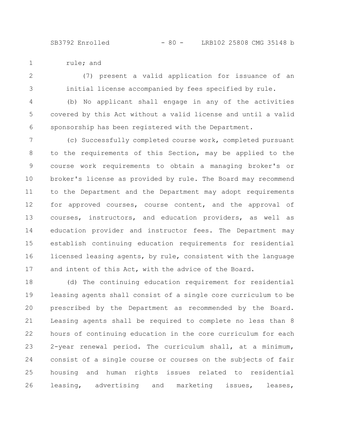SB3792 Enrolled - 80 - LRB102 25808 CMG 35148 b

rule; and 1

(7) present a valid application for issuance of an initial license accompanied by fees specified by rule. 2 3

(b) No applicant shall engage in any of the activities covered by this Act without a valid license and until a valid sponsorship has been registered with the Department. 4 5 6

(c) Successfully completed course work, completed pursuant to the requirements of this Section, may be applied to the course work requirements to obtain a managing broker's or broker's license as provided by rule. The Board may recommend to the Department and the Department may adopt requirements for approved courses, course content, and the approval of courses, instructors, and education providers, as well as education provider and instructor fees. The Department may establish continuing education requirements for residential licensed leasing agents, by rule, consistent with the language and intent of this Act, with the advice of the Board. 7 8 9 10 11 12 13 14 15 16 17

(d) The continuing education requirement for residential leasing agents shall consist of a single core curriculum to be prescribed by the Department as recommended by the Board. Leasing agents shall be required to complete no less than 8 hours of continuing education in the core curriculum for each 2-year renewal period. The curriculum shall, at a minimum, consist of a single course or courses on the subjects of fair housing and human rights issues related to residential leasing, advertising and marketing issues, leases, 18 19 20 21 22 23 24 25 26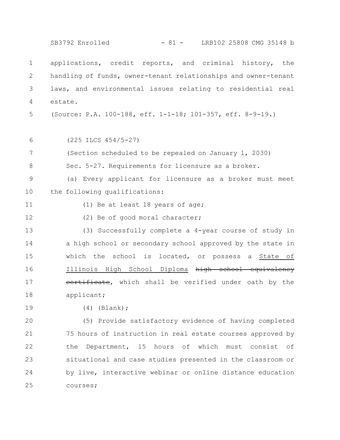|               | SB3792 Enrolled<br>$-81 -$<br>LRB102 25808 CMG 35148 b         |
|---------------|----------------------------------------------------------------|
| $\mathbf 1$   | applications, credit reports, and criminal history, the        |
| 2             | handling of funds, owner-tenant relationships and owner-tenant |
| 3             | laws, and environmental issues relating to residential real    |
| 4             | estate.                                                        |
| 5             | (Source: P.A. 100-188, eff. 1-1-18; 101-357, eff. 8-9-19.)     |
| 6             | $(225$ ILCS $454/5-27)$                                        |
| 7             | (Section scheduled to be repealed on January 1, 2030)          |
| 8             | Sec. 5-27. Requirements for licensure as a broker.             |
| $\mathcal{G}$ | (a) Every applicant for licensure as a broker must meet        |
| 10            | the following qualifications:                                  |
| 11            | (1) Be at least 18 years of age;                               |
| 12            | (2) Be of good moral character;                                |
| 13            | (3) Successfully complete a 4-year course of study in          |
| 14            | a high school or secondary school approved by the state in     |
| 15            | which the school is located, or possess a State of             |
| 16            | Illinois High School Diploma high school equivalency           |
| 17            | certificate, which shall be verified under oath by the         |
| 18            | applicant;                                                     |
| 19            | (Blank);<br>(4)                                                |
| 20            | (5) Provide satisfactory evidence of having completed          |
| 21            | 75 hours of instruction in real estate courses approved by     |
| 22            | Department, 15 hours of which must consist of<br>the           |
| 23            | situational and case studies presented in the classroom or     |
| 24            | by live, interactive webinar or online distance education      |

courses; 25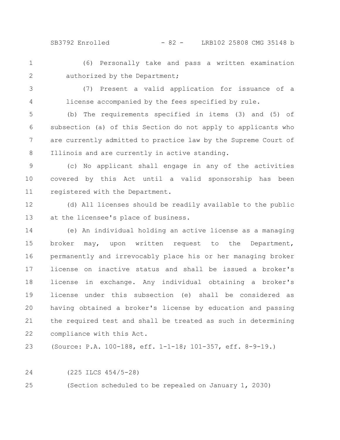SB3792 Enrolled - 82 - LRB102 25808 CMG 35148 b

(6) Personally take and pass a written examination authorized by the Department; 1 2

(7) Present a valid application for issuance of a license accompanied by the fees specified by rule. 3 4

(b) The requirements specified in items (3) and (5) of subsection (a) of this Section do not apply to applicants who are currently admitted to practice law by the Supreme Court of Illinois and are currently in active standing. 5 6 7 8

(c) No applicant shall engage in any of the activities covered by this Act until a valid sponsorship has been registered with the Department. 9 10 11

(d) All licenses should be readily available to the public at the licensee's place of business. 12 13

(e) An individual holding an active license as a managing broker may, upon written request to the Department, permanently and irrevocably place his or her managing broker license on inactive status and shall be issued a broker's license in exchange. Any individual obtaining a broker's license under this subsection (e) shall be considered as having obtained a broker's license by education and passing the required test and shall be treated as such in determining compliance with this Act. 14 15 16 17 18 19 20 21 22

(Source: P.A. 100-188, eff. 1-1-18; 101-357, eff. 8-9-19.) 23

24

(225 ILCS 454/5-28)

(Section scheduled to be repealed on January 1, 2030) 25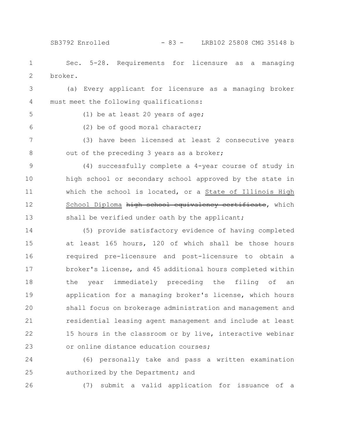## SB3792 Enrolled - 83 - LRB102 25808 CMG 35148 b

Sec. 5-28. Requirements for licensure as a managing broker. 1 2

(a) Every applicant for licensure as a managing broker must meet the following qualifications: 3 4

5

6

(1) be at least 20 years of age;

(2) be of good moral character;

(3) have been licensed at least 2 consecutive years out of the preceding 3 years as a broker; 7 8

(4) successfully complete a 4-year course of study in high school or secondary school approved by the state in which the school is located, or a State of Illinois High School Diploma high school equivalency certificate, which shall be verified under oath by the applicant; 9 10 11 12 13

(5) provide satisfactory evidence of having completed at least 165 hours, 120 of which shall be those hours required pre-licensure and post-licensure to obtain a broker's license, and 45 additional hours completed within the year immediately preceding the filing of an application for a managing broker's license, which hours shall focus on brokerage administration and management and residential leasing agent management and include at least 15 hours in the classroom or by live, interactive webinar or online distance education courses; 14 15 16 17 18 19 20 21 22 23

(6) personally take and pass a written examination authorized by the Department; and 24 25

26

(7) submit a valid application for issuance of a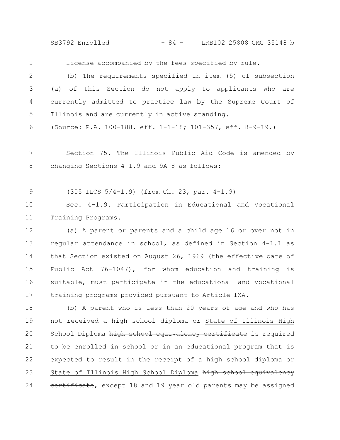SB3792 Enrolled - 84 - LRB102 25808 CMG 35148 b

license accompanied by the fees specified by rule. (b) The requirements specified in item (5) of subsection (a) of this Section do not apply to applicants who are currently admitted to practice law by the Supreme Court of Illinois and are currently in active standing. 1 2 3 4 5

(Source: P.A. 100-188, eff. 1-1-18; 101-357, eff. 8-9-19.) 6

Section 75. The Illinois Public Aid Code is amended by changing Sections 4-1.9 and 9A-8 as follows: 7 8

(305 ILCS 5/4-1.9) (from Ch. 23, par. 4-1.9) 9

Sec. 4-1.9. Participation in Educational and Vocational Training Programs. 10 11

(a) A parent or parents and a child age 16 or over not in regular attendance in school, as defined in Section 4-1.1 as that Section existed on August 26, 1969 (the effective date of Public Act 76-1047), for whom education and training is suitable, must participate in the educational and vocational training programs provided pursuant to Article IXA. 12 13 14 15 16 17

(b) A parent who is less than 20 years of age and who has not received a high school diploma or State of Illinois High School Diploma high school equivalency certificate is required to be enrolled in school or in an educational program that is expected to result in the receipt of a high school diploma or State of Illinois High School Diploma high school equivalency certificate, except 18 and 19 year old parents may be assigned 18 19 20 21 22 23 24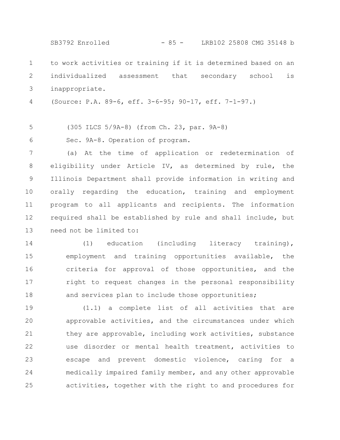to work activities or training if it is determined based on an individualized assessment that secondary school is inappropriate. (Source: P.A. 89-6, eff. 3-6-95; 90-17, eff. 7-1-97.) (305 ILCS 5/9A-8) (from Ch. 23, par. 9A-8) Sec. 9A-8. Operation of program. (a) At the time of application or redetermination of eligibility under Article IV, as determined by rule, the Illinois Department shall provide information in writing and orally regarding the education, training and employment program to all applicants and recipients. The information required shall be established by rule and shall include, but need not be limited to: (1) education (including literacy training), 1 2 3 4 5 6 7 8 9 10 11 12 13 14 SB3792 Enrolled - 85 - LRB102 25808 CMG 35148 b

employment and training opportunities available, the criteria for approval of those opportunities, and the right to request changes in the personal responsibility and services plan to include those opportunities; 15 16 17 18

(1.1) a complete list of all activities that are approvable activities, and the circumstances under which they are approvable, including work activities, substance use disorder or mental health treatment, activities to escape and prevent domestic violence, caring for a medically impaired family member, and any other approvable activities, together with the right to and procedures for 19 20 21 22 23 24 25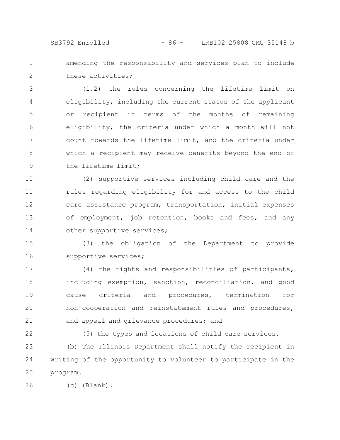1 2 amending the responsibility and services plan to include these activities;

(1.2) the rules concerning the lifetime limit on eligibility, including the current status of the applicant or recipient in terms of the months of remaining eligibility, the criteria under which a month will not count towards the lifetime limit, and the criteria under which a recipient may receive benefits beyond the end of the lifetime limit; 3 4 5 6 7 8 9

(2) supportive services including child care and the rules regarding eligibility for and access to the child care assistance program, transportation, initial expenses of employment, job retention, books and fees, and any other supportive services; 10 11 12 13 14

(3) the obligation of the Department to provide supportive services; 15 16

(4) the rights and responsibilities of participants, including exemption, sanction, reconciliation, and good cause criteria and procedures, termination for non-cooperation and reinstatement rules and procedures, and appeal and grievance procedures; and 17 18 19 20 21

22

(5) the types and locations of child care services.

(b) The Illinois Department shall notify the recipient in writing of the opportunity to volunteer to participate in the program. 23 24 25

(c) (Blank). 26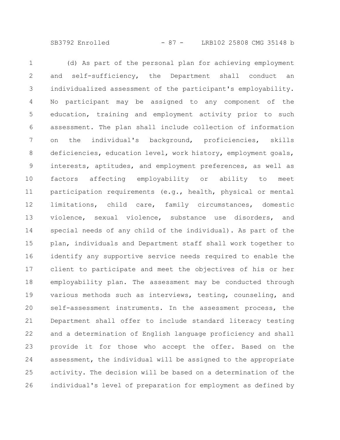SB3792 Enrolled - 87 - LRB102 25808 CMG 35148 b

(d) As part of the personal plan for achieving employment and self-sufficiency, the Department shall conduct an individualized assessment of the participant's employability. No participant may be assigned to any component of the education, training and employment activity prior to such assessment. The plan shall include collection of information on the individual's background, proficiencies, skills deficiencies, education level, work history, employment goals, interests, aptitudes, and employment preferences, as well as factors affecting employability or ability to meet participation requirements (e.g., health, physical or mental limitations, child care, family circumstances, domestic violence, sexual violence, substance use disorders, and special needs of any child of the individual). As part of the plan, individuals and Department staff shall work together to identify any supportive service needs required to enable the client to participate and meet the objectives of his or her employability plan. The assessment may be conducted through various methods such as interviews, testing, counseling, and self-assessment instruments. In the assessment process, the Department shall offer to include standard literacy testing and a determination of English language proficiency and shall provide it for those who accept the offer. Based on the assessment, the individual will be assigned to the appropriate activity. The decision will be based on a determination of the individual's level of preparation for employment as defined by 1 2 3 4 5 6 7 8 9 10 11 12 13 14 15 16 17 18 19 20 21 22 23 24 25 26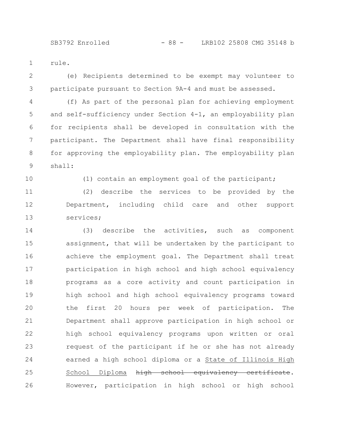rule. 1

(e) Recipients determined to be exempt may volunteer to participate pursuant to Section 9A-4 and must be assessed. 2 3

(f) As part of the personal plan for achieving employment and self-sufficiency under Section 4-1, an employability plan for recipients shall be developed in consultation with the participant. The Department shall have final responsibility for approving the employability plan. The employability plan shall: 4 5 6 7 8 9

10

(1) contain an employment goal of the participant;

(2) describe the services to be provided by the Department, including child care and other support services; 11 12 13

(3) describe the activities, such as component assignment, that will be undertaken by the participant to achieve the employment goal. The Department shall treat participation in high school and high school equivalency programs as a core activity and count participation in high school and high school equivalency programs toward the first 20 hours per week of participation. The Department shall approve participation in high school or high school equivalency programs upon written or oral request of the participant if he or she has not already earned a high school diploma or a State of Illinois High School Diploma high school equivalency certificate. However, participation in high school or high school 14 15 16 17 18 19 20 21 22 23 24 25 26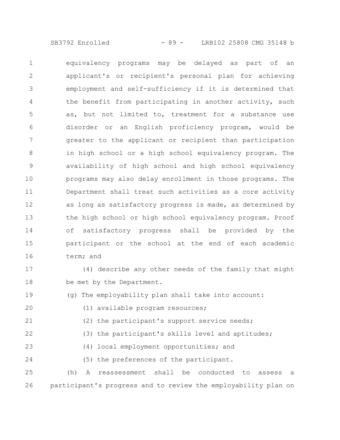SB3792 Enrolled - 89 - LRB102 25808 CMG 35148 b

equivalency programs may be delayed as part of an applicant's or recipient's personal plan for achieving employment and self-sufficiency if it is determined that the benefit from participating in another activity, such as, but not limited to, treatment for a substance use disorder or an English proficiency program, would be greater to the applicant or recipient than participation in high school or a high school equivalency program. The availability of high school and high school equivalency programs may also delay enrollment in those programs. The Department shall treat such activities as a core activity as long as satisfactory progress is made, as determined by the high school or high school equivalency program. Proof of satisfactory progress shall be provided by the participant or the school at the end of each academic term; and 1 2 3 4 5 6 7 8 9 10 11 12 13 14 15 16

(4) describe any other needs of the family that might be met by the Department. 17 18

(g) The employability plan shall take into account: 19

(1) available program resources;

20

23

(2) the participant's support service needs; 21

(3) the participant's skills level and aptitudes; 22

- (4) local employment opportunities; and
- (5) the preferences of the participant. 24

(h) A reassessment shall be conducted to assess a participant's progress and to review the employability plan on 25 26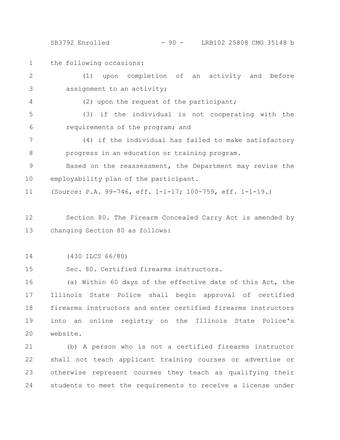SB3792 Enrolled - 90 - LRB102 25808 CMG 35148 b

the following occasions: 1

4

(1) upon completion of an activity and before assignment to an activity; 2 3

(2) upon the request of the participant;

(3) if the individual is not cooperating with the requirements of the program; and 5 6

(4) if the individual has failed to make satisfactory progress in an education or training program. 7 8

Based on the reassessment, the Department may revise the employability plan of the participant. 9 10

(Source: P.A. 99-746, eff. 1-1-17; 100-759, eff. 1-1-19.) 11

Section 80. The Firearm Concealed Carry Act is amended by changing Section 80 as follows: 12 13

(430 ILCS 66/80) 14

Sec. 80. Certified firearms instructors. 15

(a) Within 60 days of the effective date of this Act, the Illinois State Police shall begin approval of certified firearms instructors and enter certified firearms instructors into an online registry on the Illinois State Police's website. 16 17 18 19 20

(b) A person who is not a certified firearms instructor shall not teach applicant training courses or advertise or otherwise represent courses they teach as qualifying their students to meet the requirements to receive a license under 21 22 23 24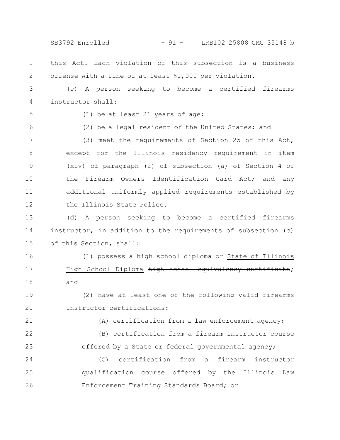SB3792 Enrolled - 91 - LRB102 25808 CMG 35148 b

this Act. Each violation of this subsection is a business offense with a fine of at least \$1,000 per violation. 1 2

(c) A person seeking to become a certified firearms instructor shall: 3 4

5

(1) be at least 21 years of age;

6

(2) be a legal resident of the United States; and

(3) meet the requirements of Section 25 of this Act, except for the Illinois residency requirement in item (xiv) of paragraph (2) of subsection (a) of Section 4 of the Firearm Owners Identification Card Act; and any additional uniformly applied requirements established by the Illinois State Police. 7 8 9 10 11 12

(d) A person seeking to become a certified firearms instructor, in addition to the requirements of subsection (c) of this Section, shall: 13 14 15

(1) possess a high school diploma or State of Illinois High School Diploma high school equivalency certificate; 16 17

(2) have at least one of the following valid firearms instructor certifications: 19 20

21

18

and

(A) certification from a law enforcement agency;

(B) certification from a firearm instructor course offered by a State or federal governmental agency; 22 23

(C) certification from a firearm instructor qualification course offered by the Illinois Law Enforcement Training Standards Board; or 24 25 26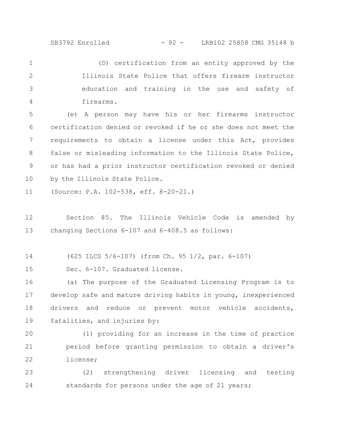SB3792 Enrolled - 92 - LRB102 25808 CMG 35148 b

(D) certification from an entity approved by the Illinois State Police that offers firearm instructor education and training in the use and safety of firearms. 1 2 3 4

(e) A person may have his or her firearms instructor certification denied or revoked if he or she does not meet the requirements to obtain a license under this Act, provides false or misleading information to the Illinois State Police, or has had a prior instructor certification revoked or denied by the Illinois State Police. 5 6 7 8 9 10

(Source: P.A. 102-538, eff. 8-20-21.) 11

Section 85. The Illinois Vehicle Code is amended by changing Sections 6-107 and 6-408.5 as follows: 12 13

(625 ILCS 5/6-107) (from Ch. 95 1/2, par. 6-107) 14

Sec. 6-107. Graduated license. 15

(a) The purpose of the Graduated Licensing Program is to develop safe and mature driving habits in young, inexperienced drivers and reduce or prevent motor vehicle accidents, fatalities, and injuries by: 16 17 18 19

(1) providing for an increase in the time of practice period before granting permission to obtain a driver's license; 20 21 22

(2) strengthening driver licensing and testing standards for persons under the age of 21 years; 23 24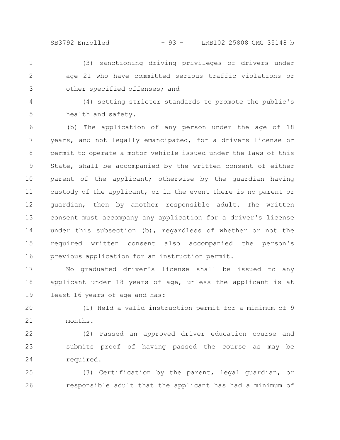SB3792 Enrolled - 93 - LRB102 25808 CMG 35148 b

- (3) sanctioning driving privileges of drivers under age 21 who have committed serious traffic violations or other specified offenses; and 1 2 3
- 4

5

(4) setting stricter standards to promote the public's health and safety.

(b) The application of any person under the age of 18 years, and not legally emancipated, for a drivers license or permit to operate a motor vehicle issued under the laws of this State, shall be accompanied by the written consent of either parent of the applicant; otherwise by the guardian having custody of the applicant, or in the event there is no parent or guardian, then by another responsible adult. The written consent must accompany any application for a driver's license under this subsection (b), regardless of whether or not the required written consent also accompanied the person's previous application for an instruction permit. 6 7 8 9 10 11 12 13 14 15 16

No graduated driver's license shall be issued to any applicant under 18 years of age, unless the applicant is at least 16 years of age and has: 17 18 19

(1) Held a valid instruction permit for a minimum of 9 months. 20 21

(2) Passed an approved driver education course and submits proof of having passed the course as may be required. 22 23 24

(3) Certification by the parent, legal guardian, or responsible adult that the applicant has had a minimum of 25 26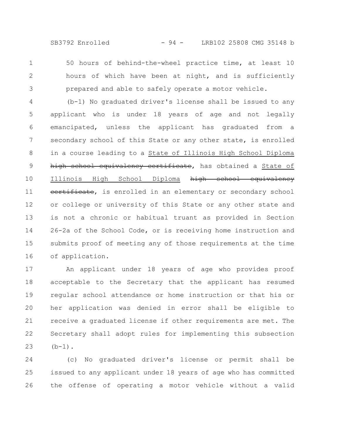SB3792 Enrolled - 94 - LRB102 25808 CMG 35148 b

50 hours of behind-the-wheel practice time, at least 10 hours of which have been at night, and is sufficiently prepared and able to safely operate a motor vehicle. 1 2 3

(b-1) No graduated driver's license shall be issued to any applicant who is under 18 years of age and not legally emancipated, unless the applicant has graduated from a secondary school of this State or any other state, is enrolled in a course leading to a State of Illinois High School Diploma high school equivalency certificate, has obtained a State of Illinois High School Diploma high school equivalency eertificate, is enrolled in an elementary or secondary school or college or university of this State or any other state and is not a chronic or habitual truant as provided in Section 26-2a of the School Code, or is receiving home instruction and submits proof of meeting any of those requirements at the time of application. 4 5 6 7 8 9 10 11 12 13 14 15 16

An applicant under 18 years of age who provides proof acceptable to the Secretary that the applicant has resumed regular school attendance or home instruction or that his or her application was denied in error shall be eligible to receive a graduated license if other requirements are met. The Secretary shall adopt rules for implementing this subsection  $(b-1)$ . 17 18 19 20 21 22 23

(c) No graduated driver's license or permit shall be issued to any applicant under 18 years of age who has committed the offense of operating a motor vehicle without a valid 24 25 26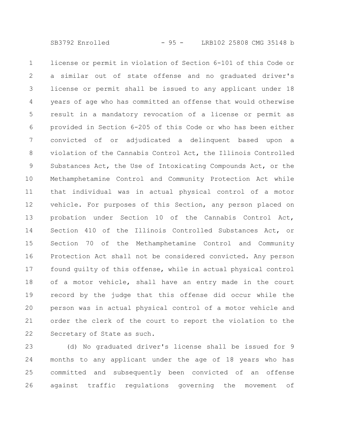license or permit in violation of Section 6-101 of this Code or a similar out of state offense and no graduated driver's license or permit shall be issued to any applicant under 18 years of age who has committed an offense that would otherwise result in a mandatory revocation of a license or permit as provided in Section 6-205 of this Code or who has been either convicted of or adjudicated a delinquent based upon a violation of the Cannabis Control Act, the Illinois Controlled Substances Act, the Use of Intoxicating Compounds Act, or the Methamphetamine Control and Community Protection Act while that individual was in actual physical control of a motor vehicle. For purposes of this Section, any person placed on probation under Section 10 of the Cannabis Control Act, Section 410 of the Illinois Controlled Substances Act, or Section 70 of the Methamphetamine Control and Community Protection Act shall not be considered convicted. Any person found guilty of this offense, while in actual physical control of a motor vehicle, shall have an entry made in the court record by the judge that this offense did occur while the person was in actual physical control of a motor vehicle and order the clerk of the court to report the violation to the Secretary of State as such. 1 2 3 4 5 6 7 8 9 10 11 12 13 14 15 16 17 18 19 20 21 22

(d) No graduated driver's license shall be issued for 9 months to any applicant under the age of 18 years who has committed and subsequently been convicted of an offense against traffic regulations governing the movement of 23 24 25 26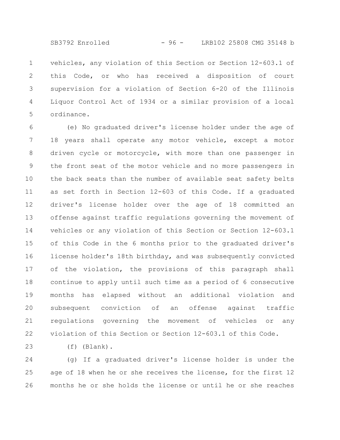vehicles, any violation of this Section or Section 12-603.1 of this Code, or who has received a disposition of court supervision for a violation of Section 6-20 of the Illinois Liquor Control Act of 1934 or a similar provision of a local ordinance. 1 2 3 4 5

(e) No graduated driver's license holder under the age of 18 years shall operate any motor vehicle, except a motor driven cycle or motorcycle, with more than one passenger in the front seat of the motor vehicle and no more passengers in the back seats than the number of available seat safety belts as set forth in Section 12-603 of this Code. If a graduated driver's license holder over the age of 18 committed an offense against traffic regulations governing the movement of vehicles or any violation of this Section or Section 12-603.1 of this Code in the 6 months prior to the graduated driver's license holder's 18th birthday, and was subsequently convicted of the violation, the provisions of this paragraph shall continue to apply until such time as a period of 6 consecutive months has elapsed without an additional violation and subsequent conviction of an offense against traffic regulations governing the movement of vehicles or any violation of this Section or Section 12-603.1 of this Code. 6 7 8 9 10 11 12 13 14 15 16 17 18 19 20 21 22

(f) (Blank). 23

(g) If a graduated driver's license holder is under the age of 18 when he or she receives the license, for the first 12 months he or she holds the license or until he or she reaches 24 25 26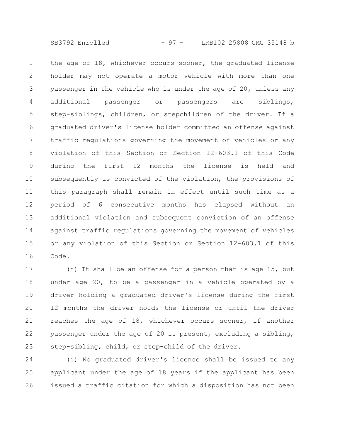SB3792 Enrolled - 97 - LRB102 25808 CMG 35148 b

the age of 18, whichever occurs sooner, the graduated license holder may not operate a motor vehicle with more than one passenger in the vehicle who is under the age of 20, unless any additional passenger or passengers are siblings, step-siblings, children, or stepchildren of the driver. If a graduated driver's license holder committed an offense against traffic regulations governing the movement of vehicles or any violation of this Section or Section 12-603.1 of this Code during the first 12 months the license is held and subsequently is convicted of the violation, the provisions of this paragraph shall remain in effect until such time as a period of 6 consecutive months has elapsed without an additional violation and subsequent conviction of an offense against traffic regulations governing the movement of vehicles or any violation of this Section or Section 12-603.1 of this Code. 1 2 3 4 5 6 7 8 9 10 11 12 13 14 15 16

(h) It shall be an offense for a person that is age 15, but under age 20, to be a passenger in a vehicle operated by a driver holding a graduated driver's license during the first 12 months the driver holds the license or until the driver reaches the age of 18, whichever occurs sooner, if another passenger under the age of 20 is present, excluding a sibling, step-sibling, child, or step-child of the driver. 17 18 19 20 21 22 23

(i) No graduated driver's license shall be issued to any applicant under the age of 18 years if the applicant has been issued a traffic citation for which a disposition has not been 24 25 26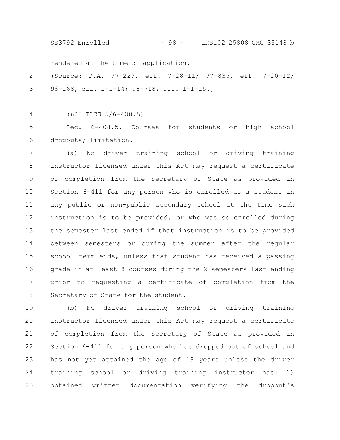SB3792 Enrolled - 98 - LRB102 25808 CMG 35148 b

rendered at the time of application. 1

(Source: P.A. 97-229, eff. 7-28-11; 97-835, eff. 7-20-12; 98-168, eff. 1-1-14; 98-718, eff. 1-1-15.) 2 3

(625 ILCS 5/6-408.5) 4

Sec. 6-408.5. Courses for students or high school dropouts; limitation. 5 6

(a) No driver training school or driving training instructor licensed under this Act may request a certificate of completion from the Secretary of State as provided in Section 6-411 for any person who is enrolled as a student in any public or non-public secondary school at the time such instruction is to be provided, or who was so enrolled during the semester last ended if that instruction is to be provided between semesters or during the summer after the regular school term ends, unless that student has received a passing grade in at least 8 courses during the 2 semesters last ending prior to requesting a certificate of completion from the Secretary of State for the student. 7 8 9 10 11 12 13 14 15 16 17 18

(b) No driver training school or driving training instructor licensed under this Act may request a certificate of completion from the Secretary of State as provided in Section 6-411 for any person who has dropped out of school and has not yet attained the age of 18 years unless the driver training school or driving training instructor has: 1) obtained written documentation verifying the dropout's 19 20 21 22 23 24 25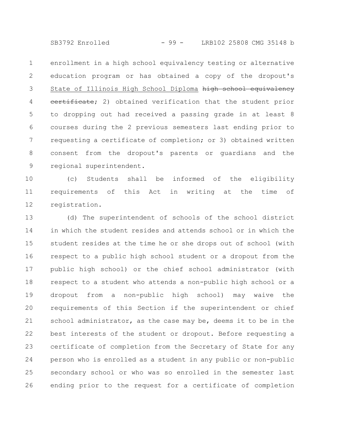SB3792 Enrolled - 99 - LRB102 25808 CMG 35148 b

enrollment in a high school equivalency testing or alternative education program or has obtained a copy of the dropout's State of Illinois High School Diploma high school equivalency eertificate; 2) obtained verification that the student prior to dropping out had received a passing grade in at least 8 courses during the 2 previous semesters last ending prior to requesting a certificate of completion; or 3) obtained written consent from the dropout's parents or guardians and the regional superintendent. 1 2 3 4 5 6 7 8 9

(c) Students shall be informed of the eligibility requirements of this Act in writing at the time of registration. 10 11 12

(d) The superintendent of schools of the school district in which the student resides and attends school or in which the student resides at the time he or she drops out of school (with respect to a public high school student or a dropout from the public high school) or the chief school administrator (with respect to a student who attends a non-public high school or a dropout from a non-public high school) may waive the requirements of this Section if the superintendent or chief school administrator, as the case may be, deems it to be in the best interests of the student or dropout. Before requesting a certificate of completion from the Secretary of State for any person who is enrolled as a student in any public or non-public secondary school or who was so enrolled in the semester last ending prior to the request for a certificate of completion 13 14 15 16 17 18 19 20 21 22 23 24 25 26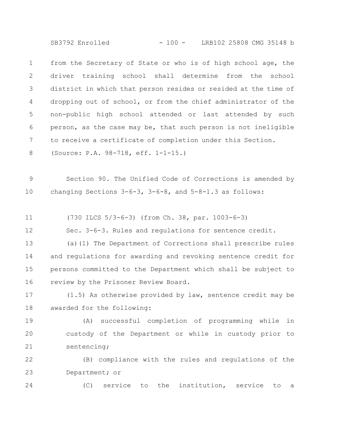SB3792 Enrolled - 100 - LRB102 25808 CMG 35148 b

from the Secretary of State or who is of high school age, the driver training school shall determine from the school district in which that person resides or resided at the time of dropping out of school, or from the chief administrator of the non-public high school attended or last attended by such person, as the case may be, that such person is not ineligible to receive a certificate of completion under this Section. (Source: P.A. 98-718, eff. 1-1-15.) 1 2 3 4 5 6 7 8

Section 90. The Unified Code of Corrections is amended by changing Sections  $3-6-3$ ,  $3-6-8$ , and  $5-8-1.3$  as follows: 9 10

(730 ILCS 5/3-6-3) (from Ch. 38, par. 1003-6-3) 11

Sec. 3-6-3. Rules and regulations for sentence credit. 12

(a)(1) The Department of Corrections shall prescribe rules and regulations for awarding and revoking sentence credit for persons committed to the Department which shall be subject to review by the Prisoner Review Board. 13 14 15 16

(1.5) As otherwise provided by law, sentence credit may be awarded for the following: 17 18

(A) successful completion of programming while in custody of the Department or while in custody prior to sentencing; 19 20 21

(B) compliance with the rules and regulations of the Department; or 22 23

24

(C) service to the institution, service to a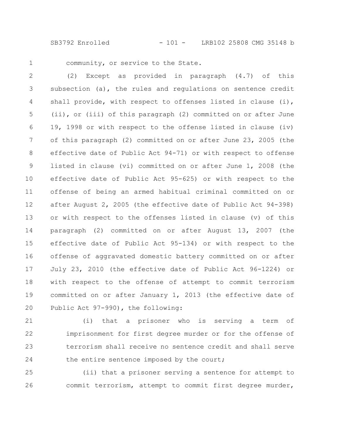SB3792 Enrolled - 101 - LRB102 25808 CMG 35148 b

1

community, or service to the State.

(2) Except as provided in paragraph (4.7) of this subsection (a), the rules and regulations on sentence credit shall provide, with respect to offenses listed in clause (i), (ii), or (iii) of this paragraph (2) committed on or after June 19, 1998 or with respect to the offense listed in clause (iv) of this paragraph (2) committed on or after June 23, 2005 (the effective date of Public Act 94-71) or with respect to offense listed in clause (vi) committed on or after June 1, 2008 (the effective date of Public Act 95-625) or with respect to the offense of being an armed habitual criminal committed on or after August 2, 2005 (the effective date of Public Act 94-398) or with respect to the offenses listed in clause (v) of this paragraph (2) committed on or after August 13, 2007 (the effective date of Public Act 95-134) or with respect to the offense of aggravated domestic battery committed on or after July 23, 2010 (the effective date of Public Act 96-1224) or with respect to the offense of attempt to commit terrorism committed on or after January 1, 2013 (the effective date of Public Act 97-990), the following: 2 3 4 5 6 7 8 9 10 11 12 13 14 15 16 17 18 19 20

(i) that a prisoner who is serving a term of imprisonment for first degree murder or for the offense of terrorism shall receive no sentence credit and shall serve the entire sentence imposed by the court; 21 22 23 24

(ii) that a prisoner serving a sentence for attempt to commit terrorism, attempt to commit first degree murder, 25 26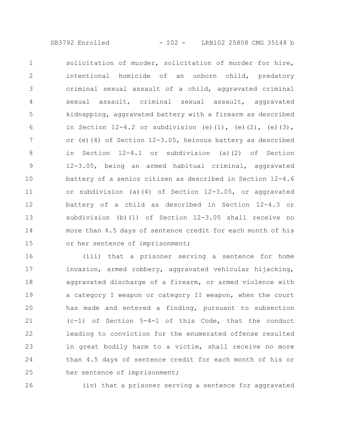solicitation of murder, solicitation of murder for hire, intentional homicide of an unborn child, predatory criminal sexual assault of a child, aggravated criminal sexual assault, criminal sexual assault, aggravated kidnapping, aggravated battery with a firearm as described in Section  $12-4.2$  or subdivision (e)(1), (e)(2), (e)(3), or (e)(4) of Section 12-3.05, heinous battery as described in Section 12-4.1 or subdivision (a)(2) of Section 12-3.05, being an armed habitual criminal, aggravated battery of a senior citizen as described in Section 12-4.6 or subdivision (a)(4) of Section 12-3.05, or aggravated battery of a child as described in Section 12-4.3 or subdivision (b)(1) of Section 12-3.05 shall receive no more than 4.5 days of sentence credit for each month of his or her sentence of imprisonment; 1 2 3 4 5 6 7 8 9 10 11 12 13 14 15

(iii) that a prisoner serving a sentence for home invasion, armed robbery, aggravated vehicular hijacking, aggravated discharge of a firearm, or armed violence with a category I weapon or category II weapon, when the court has made and entered a finding, pursuant to subsection (c-1) of Section 5-4-1 of this Code, that the conduct leading to conviction for the enumerated offense resulted in great bodily harm to a victim, shall receive no more than 4.5 days of sentence credit for each month of his or her sentence of imprisonment; 16 17 18 19 20 21 22 23 24 25

26

(iv) that a prisoner serving a sentence for aggravated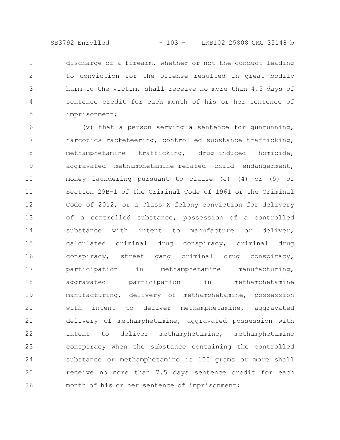discharge of a firearm, whether or not the conduct leading to conviction for the offense resulted in great bodily harm to the victim, shall receive no more than 4.5 days of sentence credit for each month of his or her sentence of imprisonment; 1 2 3 4 5

(v) that a person serving a sentence for gunrunning, narcotics racketeering, controlled substance trafficking, methamphetamine trafficking, drug-induced homicide, aggravated methamphetamine-related child endangerment, money laundering pursuant to clause (c) (4) or (5) of Section 29B-1 of the Criminal Code of 1961 or the Criminal Code of 2012, or a Class X felony conviction for delivery of a controlled substance, possession of a controlled substance with intent to manufacture or deliver, calculated criminal drug conspiracy, criminal drug conspiracy, street gang criminal drug conspiracy, participation in methamphetamine manufacturing, aggravated participation in methamphetamine manufacturing, delivery of methamphetamine, possession with intent to deliver methamphetamine, aggravated delivery of methamphetamine, aggravated possession with intent to deliver methamphetamine, methamphetamine conspiracy when the substance containing the controlled substance or methamphetamine is 100 grams or more shall receive no more than 7.5 days sentence credit for each month of his or her sentence of imprisonment; 6 7 8 9 10 11 12 13 14 15 16 17 18 19 20 21 22 23 24 25 26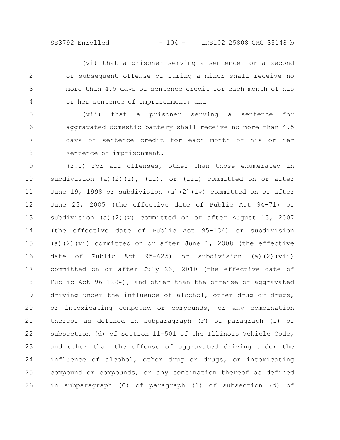(vi) that a prisoner serving a sentence for a second or subsequent offense of luring a minor shall receive no more than 4.5 days of sentence credit for each month of his or her sentence of imprisonment; and 1 2 3 4

(vii) that a prisoner serving a sentence for aggravated domestic battery shall receive no more than 4.5 days of sentence credit for each month of his or her sentence of imprisonment. 5 6 7 8

(2.1) For all offenses, other than those enumerated in subdivision (a)(2)(i), (ii), or (iii) committed on or after June 19, 1998 or subdivision (a)(2)(iv) committed on or after June 23, 2005 (the effective date of Public Act 94-71) or subdivision (a)(2)(v) committed on or after August 13, 2007 (the effective date of Public Act 95-134) or subdivision (a)(2)(vi) committed on or after June 1, 2008 (the effective date of Public Act 95-625) or subdivision (a)(2)(vii) committed on or after July 23, 2010 (the effective date of Public Act 96-1224), and other than the offense of aggravated driving under the influence of alcohol, other drug or drugs, or intoxicating compound or compounds, or any combination thereof as defined in subparagraph (F) of paragraph (1) of subsection (d) of Section 11-501 of the Illinois Vehicle Code, and other than the offense of aggravated driving under the influence of alcohol, other drug or drugs, or intoxicating compound or compounds, or any combination thereof as defined in subparagraph (C) of paragraph (1) of subsection (d) of 9 10 11 12 13 14 15 16 17 18 19 20 21 22 23 24 25 26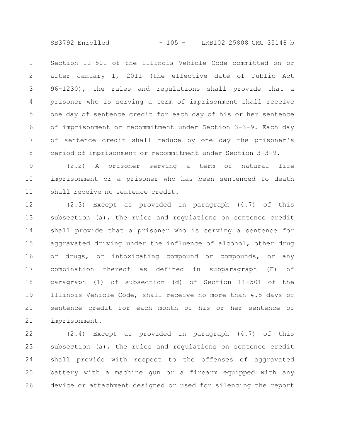SB3792 Enrolled - 105 - LRB102 25808 CMG 35148 b

Section 11-501 of the Illinois Vehicle Code committed on or after January 1, 2011 (the effective date of Public Act 96-1230), the rules and regulations shall provide that a prisoner who is serving a term of imprisonment shall receive one day of sentence credit for each day of his or her sentence of imprisonment or recommitment under Section 3-3-9. Each day of sentence credit shall reduce by one day the prisoner's period of imprisonment or recommitment under Section 3-3-9. 1 2 3 4 5 6 7 8

(2.2) A prisoner serving a term of natural life imprisonment or a prisoner who has been sentenced to death shall receive no sentence credit. 9 10 11

(2.3) Except as provided in paragraph (4.7) of this subsection (a), the rules and regulations on sentence credit shall provide that a prisoner who is serving a sentence for aggravated driving under the influence of alcohol, other drug or drugs, or intoxicating compound or compounds, or any combination thereof as defined in subparagraph (F) of paragraph (1) of subsection (d) of Section 11-501 of the Illinois Vehicle Code, shall receive no more than 4.5 days of sentence credit for each month of his or her sentence of imprisonment. 12 13 14 15 16 17 18 19 20 21

(2.4) Except as provided in paragraph (4.7) of this subsection (a), the rules and regulations on sentence credit shall provide with respect to the offenses of aggravated battery with a machine gun or a firearm equipped with any device or attachment designed or used for silencing the report 22 23 24 25 26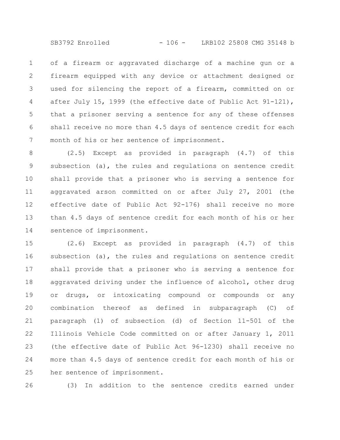SB3792 Enrolled - 106 - LRB102 25808 CMG 35148 b

of a firearm or aggravated discharge of a machine gun or a firearm equipped with any device or attachment designed or used for silencing the report of a firearm, committed on or after July 15, 1999 (the effective date of Public Act 91-121), that a prisoner serving a sentence for any of these offenses shall receive no more than 4.5 days of sentence credit for each month of his or her sentence of imprisonment. 1 2 3 4 5 6 7

(2.5) Except as provided in paragraph (4.7) of this subsection (a), the rules and regulations on sentence credit shall provide that a prisoner who is serving a sentence for aggravated arson committed on or after July 27, 2001 (the effective date of Public Act 92-176) shall receive no more than 4.5 days of sentence credit for each month of his or her sentence of imprisonment. 8 9 10 11 12 13 14

(2.6) Except as provided in paragraph (4.7) of this subsection (a), the rules and regulations on sentence credit shall provide that a prisoner who is serving a sentence for aggravated driving under the influence of alcohol, other drug or drugs, or intoxicating compound or compounds or any combination thereof as defined in subparagraph (C) of paragraph (1) of subsection (d) of Section 11-501 of the Illinois Vehicle Code committed on or after January 1, 2011 (the effective date of Public Act 96-1230) shall receive no more than 4.5 days of sentence credit for each month of his or her sentence of imprisonment. 15 16 17 18 19 20 21 22 23 24 25

26

(3) In addition to the sentence credits earned under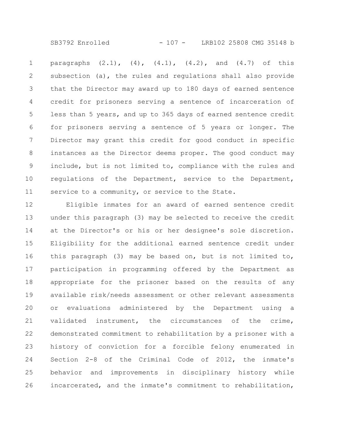SB3792 Enrolled - 107 - LRB102 25808 CMG 35148 b

paragraphs  $(2.1)$ ,  $(4)$ ,  $(4.1)$ ,  $(4.2)$ , and  $(4.7)$  of this subsection (a), the rules and regulations shall also provide that the Director may award up to 180 days of earned sentence credit for prisoners serving a sentence of incarceration of less than 5 years, and up to 365 days of earned sentence credit for prisoners serving a sentence of 5 years or longer. The Director may grant this credit for good conduct in specific instances as the Director deems proper. The good conduct may include, but is not limited to, compliance with the rules and regulations of the Department, service to the Department, service to a community, or service to the State. 1 2 3 4 5 6 7 8 9 10 11

Eligible inmates for an award of earned sentence credit under this paragraph (3) may be selected to receive the credit at the Director's or his or her designee's sole discretion. Eligibility for the additional earned sentence credit under this paragraph (3) may be based on, but is not limited to, participation in programming offered by the Department as appropriate for the prisoner based on the results of any available risk/needs assessment or other relevant assessments or evaluations administered by the Department using a validated instrument, the circumstances of the crime, demonstrated commitment to rehabilitation by a prisoner with a history of conviction for a forcible felony enumerated in Section 2-8 of the Criminal Code of 2012, the inmate's behavior and improvements in disciplinary history while incarcerated, and the inmate's commitment to rehabilitation, 12 13 14 15 16 17 18 19 20 21 22 23 24 25 26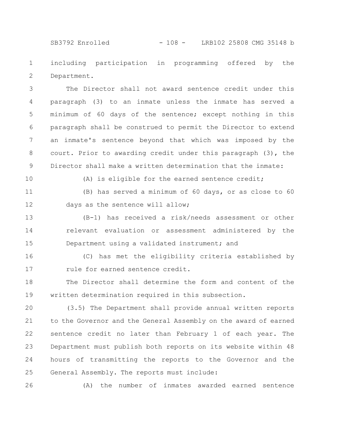SB3792 Enrolled - 108 - LRB102 25808 CMG 35148 b

including participation in programming offered by the Department. 1 2

The Director shall not award sentence credit under this paragraph (3) to an inmate unless the inmate has served a minimum of 60 days of the sentence; except nothing in this paragraph shall be construed to permit the Director to extend an inmate's sentence beyond that which was imposed by the court. Prior to awarding credit under this paragraph (3), the Director shall make a written determination that the inmate: 3 4 5 6 7 8 9

10

(A) is eligible for the earned sentence credit;

(B) has served a minimum of 60 days, or as close to 60 days as the sentence will allow; 11 12

(B-1) has received a risk/needs assessment or other relevant evaluation or assessment administered by the Department using a validated instrument; and 13 14 15

(C) has met the eligibility criteria established by rule for earned sentence credit. 16 17

The Director shall determine the form and content of the written determination required in this subsection. 18 19

(3.5) The Department shall provide annual written reports to the Governor and the General Assembly on the award of earned sentence credit no later than February 1 of each year. The Department must publish both reports on its website within 48 hours of transmitting the reports to the Governor and the General Assembly. The reports must include: 20 21 22 23 24 25

26

(A) the number of inmates awarded earned sentence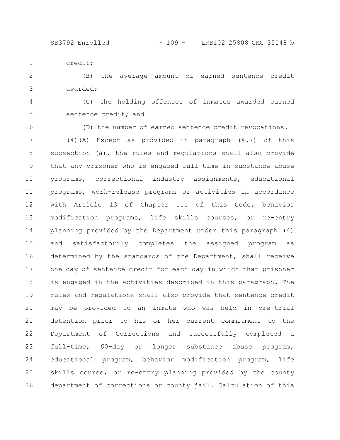SB3792 Enrolled - 109 - LRB102 25808 CMG 35148 b

credit; 1

(B) the average amount of earned sentence credit awarded; 2 3

(C) the holding offenses of inmates awarded earned sentence credit; and 4 5

6

(D) the number of earned sentence credit revocations.

(4)(A) Except as provided in paragraph (4.7) of this subsection (a), the rules and regulations shall also provide that any prisoner who is engaged full-time in substance abuse programs, correctional industry assignments, educational programs, work-release programs or activities in accordance with Article 13 of Chapter III of this Code, behavior modification programs, life skills courses, or re-entry planning provided by the Department under this paragraph (4) and satisfactorily completes the assigned program as determined by the standards of the Department, shall receive one day of sentence credit for each day in which that prisoner is engaged in the activities described in this paragraph. The rules and regulations shall also provide that sentence credit may be provided to an inmate who was held in pre-trial detention prior to his or her current commitment to the Department of Corrections and successfully completed a full-time, 60-day or longer substance abuse program, educational program, behavior modification program, life skills course, or re-entry planning provided by the county department of corrections or county jail. Calculation of this 7 8 9 10 11 12 13 14 15 16 17 18 19 20 21 22 23 24 25 26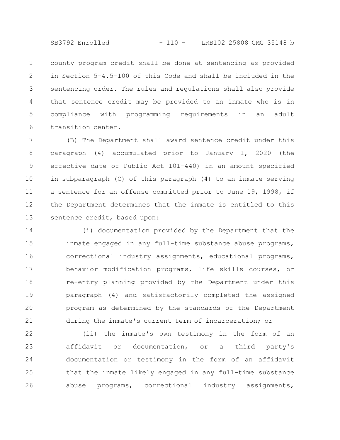SB3792 Enrolled - 110 - LRB102 25808 CMG 35148 b

county program credit shall be done at sentencing as provided in Section 5-4.5-100 of this Code and shall be included in the sentencing order. The rules and regulations shall also provide that sentence credit may be provided to an inmate who is in compliance with programming requirements in an adult transition center. 1 2 3 4 5 6

(B) The Department shall award sentence credit under this paragraph (4) accumulated prior to January 1, 2020 (the effective date of Public Act 101-440) in an amount specified in subparagraph (C) of this paragraph (4) to an inmate serving a sentence for an offense committed prior to June 19, 1998, if the Department determines that the inmate is entitled to this sentence credit, based upon: 7 8 9 10 11 12 13

(i) documentation provided by the Department that the inmate engaged in any full-time substance abuse programs, correctional industry assignments, educational programs, behavior modification programs, life skills courses, or re-entry planning provided by the Department under this paragraph (4) and satisfactorily completed the assigned program as determined by the standards of the Department during the inmate's current term of incarceration; or 14 15 16 17 18 19 20 21

(ii) the inmate's own testimony in the form of an affidavit or documentation, or a third party's documentation or testimony in the form of an affidavit that the inmate likely engaged in any full-time substance abuse programs, correctional industry assignments, 22 23 24 25 26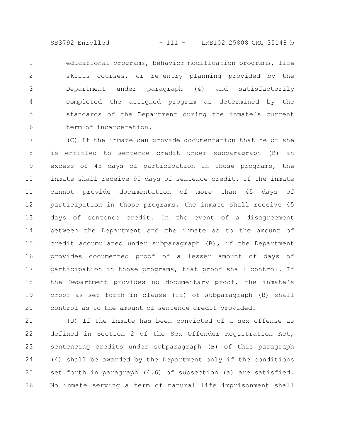SB3792 Enrolled - 111 - LRB102 25808 CMG 35148 b

educational programs, behavior modification programs, life skills courses, or re-entry planning provided by the Department under paragraph (4) and satisfactorily completed the assigned program as determined by the standards of the Department during the inmate's current term of incarceration. 1 2 3 4 5 6

(C) If the inmate can provide documentation that he or she is entitled to sentence credit under subparagraph (B) in excess of 45 days of participation in those programs, the inmate shall receive 90 days of sentence credit. If the inmate cannot provide documentation of more than 45 days of participation in those programs, the inmate shall receive 45 days of sentence credit. In the event of a disagreement between the Department and the inmate as to the amount of credit accumulated under subparagraph (B), if the Department provides documented proof of a lesser amount of days of participation in those programs, that proof shall control. If the Department provides no documentary proof, the inmate's proof as set forth in clause (ii) of subparagraph (B) shall control as to the amount of sentence credit provided. 7 8 9 10 11 12 13 14 15 16 17 18 19 20

(D) If the inmate has been convicted of a sex offense as defined in Section 2 of the Sex Offender Registration Act, sentencing credits under subparagraph (B) of this paragraph (4) shall be awarded by the Department only if the conditions set forth in paragraph (4.6) of subsection (a) are satisfied. No inmate serving a term of natural life imprisonment shall 21 22 23 24 25 26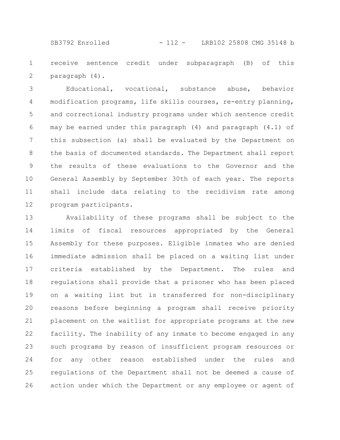SB3792 Enrolled - 112 - LRB102 25808 CMG 35148 b

receive sentence credit under subparagraph (B) of this paragraph (4). 1 2

Educational, vocational, substance abuse, behavior modification programs, life skills courses, re-entry planning, and correctional industry programs under which sentence credit may be earned under this paragraph (4) and paragraph (4.1) of this subsection (a) shall be evaluated by the Department on the basis of documented standards. The Department shall report the results of these evaluations to the Governor and the General Assembly by September 30th of each year. The reports shall include data relating to the recidivism rate among program participants. 3 4 5 6 7 8 9 10 11 12

Availability of these programs shall be subject to the limits of fiscal resources appropriated by the General Assembly for these purposes. Eligible inmates who are denied immediate admission shall be placed on a waiting list under criteria established by the Department. The rules and regulations shall provide that a prisoner who has been placed on a waiting list but is transferred for non-disciplinary reasons before beginning a program shall receive priority placement on the waitlist for appropriate programs at the new facility. The inability of any inmate to become engaged in any such programs by reason of insufficient program resources or for any other reason established under the rules and regulations of the Department shall not be deemed a cause of action under which the Department or any employee or agent of 13 14 15 16 17 18 19 20 21 22 23 24 25 26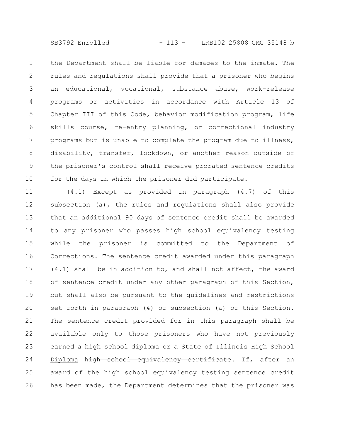SB3792 Enrolled - 113 - LRB102 25808 CMG 35148 b

the Department shall be liable for damages to the inmate. The rules and regulations shall provide that a prisoner who begins an educational, vocational, substance abuse, work-release programs or activities in accordance with Article 13 of Chapter III of this Code, behavior modification program, life skills course, re-entry planning, or correctional industry programs but is unable to complete the program due to illness, disability, transfer, lockdown, or another reason outside of the prisoner's control shall receive prorated sentence credits for the days in which the prisoner did participate. 1 2 3 4 5 6 7 8 9 10

(4.1) Except as provided in paragraph (4.7) of this subsection (a), the rules and regulations shall also provide that an additional 90 days of sentence credit shall be awarded to any prisoner who passes high school equivalency testing while the prisoner is committed to the Department of Corrections. The sentence credit awarded under this paragraph (4.1) shall be in addition to, and shall not affect, the award of sentence credit under any other paragraph of this Section, but shall also be pursuant to the guidelines and restrictions set forth in paragraph (4) of subsection (a) of this Section. The sentence credit provided for in this paragraph shall be available only to those prisoners who have not previously earned a high school diploma or a State of Illinois High School Diploma high school equivalency certificate. If, after an award of the high school equivalency testing sentence credit has been made, the Department determines that the prisoner was 11 12 13 14 15 16 17 18 19 20 21 22 23 24 25 26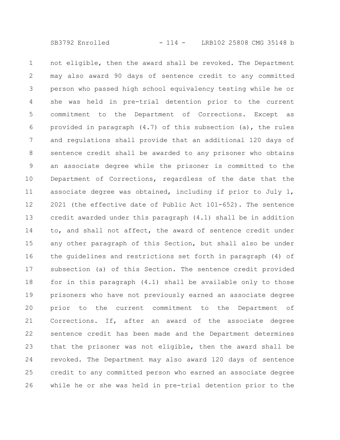not eligible, then the award shall be revoked. The Department may also award 90 days of sentence credit to any committed person who passed high school equivalency testing while he or she was held in pre-trial detention prior to the current commitment to the Department of Corrections. Except as provided in paragraph (4.7) of this subsection (a), the rules and regulations shall provide that an additional 120 days of sentence credit shall be awarded to any prisoner who obtains an associate degree while the prisoner is committed to the Department of Corrections, regardless of the date that the associate degree was obtained, including if prior to July 1, 2021 (the effective date of Public Act 101-652). The sentence credit awarded under this paragraph (4.1) shall be in addition to, and shall not affect, the award of sentence credit under any other paragraph of this Section, but shall also be under the guidelines and restrictions set forth in paragraph (4) of subsection (a) of this Section. The sentence credit provided for in this paragraph (4.1) shall be available only to those prisoners who have not previously earned an associate degree prior to the current commitment to the Department of Corrections. If, after an award of the associate degree sentence credit has been made and the Department determines that the prisoner was not eligible, then the award shall be revoked. The Department may also award 120 days of sentence credit to any committed person who earned an associate degree while he or she was held in pre-trial detention prior to the 1 2 3 4 5 6 7 8 9 10 11 12 13 14 15 16 17 18 19 20 21 22 23 24 25 26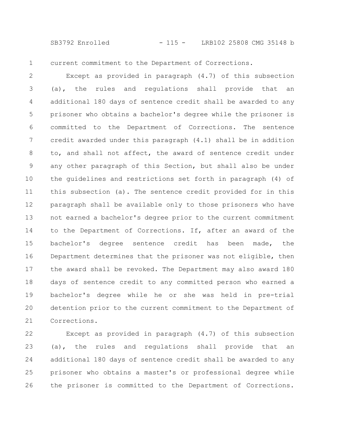SB3792 Enrolled - 115 - LRB102 25808 CMG 35148 b

1

current commitment to the Department of Corrections.

Except as provided in paragraph (4.7) of this subsection (a), the rules and regulations shall provide that an additional 180 days of sentence credit shall be awarded to any prisoner who obtains a bachelor's degree while the prisoner is committed to the Department of Corrections. The sentence credit awarded under this paragraph (4.1) shall be in addition to, and shall not affect, the award of sentence credit under any other paragraph of this Section, but shall also be under the guidelines and restrictions set forth in paragraph (4) of this subsection (a). The sentence credit provided for in this paragraph shall be available only to those prisoners who have not earned a bachelor's degree prior to the current commitment to the Department of Corrections. If, after an award of the bachelor's degree sentence credit has been made, the Department determines that the prisoner was not eligible, then the award shall be revoked. The Department may also award 180 days of sentence credit to any committed person who earned a bachelor's degree while he or she was held in pre-trial detention prior to the current commitment to the Department of Corrections. 2 3 4 5 6 7 8 9 10 11 12 13 14 15 16 17 18 19 20 21

Except as provided in paragraph (4.7) of this subsection (a), the rules and regulations shall provide that an additional 180 days of sentence credit shall be awarded to any prisoner who obtains a master's or professional degree while the prisoner is committed to the Department of Corrections. 22 23 24 25 26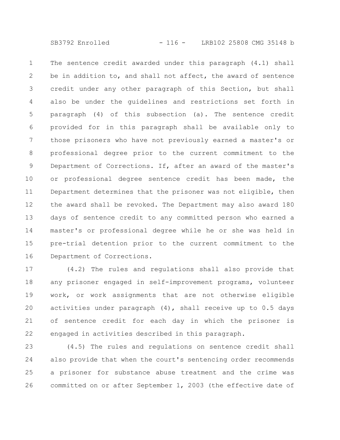The sentence credit awarded under this paragraph (4.1) shall be in addition to, and shall not affect, the award of sentence credit under any other paragraph of this Section, but shall also be under the guidelines and restrictions set forth in paragraph (4) of this subsection (a). The sentence credit provided for in this paragraph shall be available only to those prisoners who have not previously earned a master's or professional degree prior to the current commitment to the Department of Corrections. If, after an award of the master's or professional degree sentence credit has been made, the Department determines that the prisoner was not eligible, then the award shall be revoked. The Department may also award 180 days of sentence credit to any committed person who earned a master's or professional degree while he or she was held in pre-trial detention prior to the current commitment to the Department of Corrections. 1 2 3 4 5 6 7 8 9 10 11 12 13 14 15 16

(4.2) The rules and regulations shall also provide that any prisoner engaged in self-improvement programs, volunteer work, or work assignments that are not otherwise eligible activities under paragraph (4), shall receive up to 0.5 days of sentence credit for each day in which the prisoner is engaged in activities described in this paragraph. 17 18 19 20 21 22

(4.5) The rules and regulations on sentence credit shall also provide that when the court's sentencing order recommends a prisoner for substance abuse treatment and the crime was committed on or after September 1, 2003 (the effective date of 23 24 25 26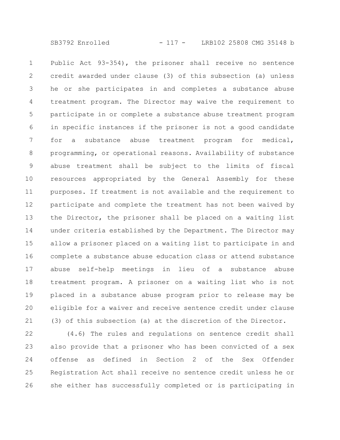SB3792 Enrolled - 117 - LRB102 25808 CMG 35148 b

Public Act 93-354), the prisoner shall receive no sentence credit awarded under clause (3) of this subsection (a) unless he or she participates in and completes a substance abuse treatment program. The Director may waive the requirement to participate in or complete a substance abuse treatment program in specific instances if the prisoner is not a good candidate for a substance abuse treatment program for medical, programming, or operational reasons. Availability of substance abuse treatment shall be subject to the limits of fiscal resources appropriated by the General Assembly for these purposes. If treatment is not available and the requirement to participate and complete the treatment has not been waived by the Director, the prisoner shall be placed on a waiting list under criteria established by the Department. The Director may allow a prisoner placed on a waiting list to participate in and complete a substance abuse education class or attend substance abuse self-help meetings in lieu of a substance abuse treatment program. A prisoner on a waiting list who is not placed in a substance abuse program prior to release may be eligible for a waiver and receive sentence credit under clause (3) of this subsection (a) at the discretion of the Director. 1 2 3 4 5 6 7 8 9 10 11 12 13 14 15 16 17 18 19 20 21

(4.6) The rules and regulations on sentence credit shall also provide that a prisoner who has been convicted of a sex offense as defined in Section 2 of the Sex Offender Registration Act shall receive no sentence credit unless he or she either has successfully completed or is participating in 22 23 24 25 26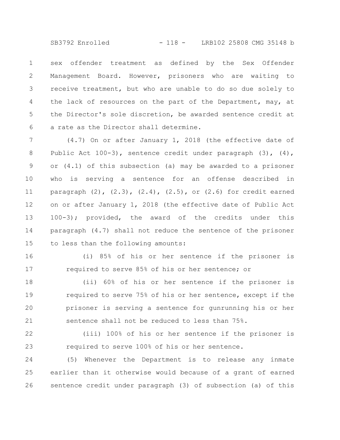SB3792 Enrolled - 118 - LRB102 25808 CMG 35148 b

sex offender treatment as defined by the Sex Offender Management Board. However, prisoners who are waiting to receive treatment, but who are unable to do so due solely to the lack of resources on the part of the Department, may, at the Director's sole discretion, be awarded sentence credit at a rate as the Director shall determine. 1 2 3 4 5 6

(4.7) On or after January 1, 2018 (the effective date of Public Act 100-3), sentence credit under paragraph (3), (4), or (4.1) of this subsection (a) may be awarded to a prisoner who is serving a sentence for an offense described in paragraph  $(2)$ ,  $(2.3)$ ,  $(2.4)$ ,  $(2.5)$ , or  $(2.6)$  for credit earned on or after January 1, 2018 (the effective date of Public Act 100-3); provided, the award of the credits under this paragraph (4.7) shall not reduce the sentence of the prisoner to less than the following amounts: 7 8 9 10 11 12 13 14 15

16

17

(i) 85% of his or her sentence if the prisoner is required to serve 85% of his or her sentence; or

(ii) 60% of his or her sentence if the prisoner is required to serve 75% of his or her sentence, except if the prisoner is serving a sentence for gunrunning his or her sentence shall not be reduced to less than 75%. 18 19 20 21

(iii) 100% of his or her sentence if the prisoner is required to serve 100% of his or her sentence. 22 23

(5) Whenever the Department is to release any inmate earlier than it otherwise would because of a grant of earned sentence credit under paragraph (3) of subsection (a) of this 24 25 26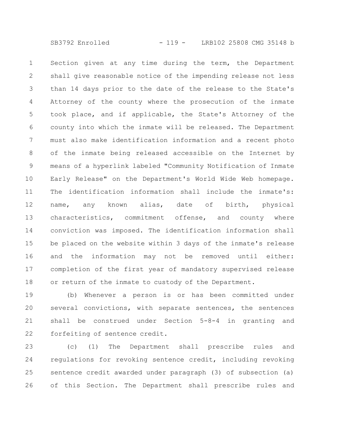Section given at any time during the term, the Department shall give reasonable notice of the impending release not less than 14 days prior to the date of the release to the State's Attorney of the county where the prosecution of the inmate took place, and if applicable, the State's Attorney of the county into which the inmate will be released. The Department must also make identification information and a recent photo of the inmate being released accessible on the Internet by means of a hyperlink labeled "Community Notification of Inmate Early Release" on the Department's World Wide Web homepage. The identification information shall include the inmate's: name, any known alias, date of birth, physical characteristics, commitment offense, and county where conviction was imposed. The identification information shall be placed on the website within 3 days of the inmate's release and the information may not be removed until either: completion of the first year of mandatory supervised release or return of the inmate to custody of the Department. 1 2 3 4 5 6 7 8 9 10 11 12 13 14 15 16 17 18

(b) Whenever a person is or has been committed under several convictions, with separate sentences, the sentences shall be construed under Section 5-8-4 in granting and forfeiting of sentence credit. 19 20 21 22

(c) (1) The Department shall prescribe rules and regulations for revoking sentence credit, including revoking sentence credit awarded under paragraph (3) of subsection (a) of this Section. The Department shall prescribe rules and 23 24 25 26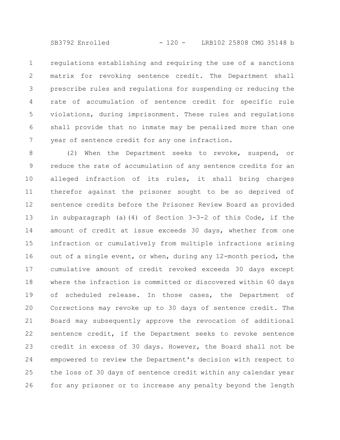SB3792 Enrolled - 120 - LRB102 25808 CMG 35148 b

regulations establishing and requiring the use of a sanctions matrix for revoking sentence credit. The Department shall prescribe rules and regulations for suspending or reducing the rate of accumulation of sentence credit for specific rule violations, during imprisonment. These rules and regulations shall provide that no inmate may be penalized more than one year of sentence credit for any one infraction. 1 2 3 4 5 6 7

(2) When the Department seeks to revoke, suspend, or reduce the rate of accumulation of any sentence credits for an alleged infraction of its rules, it shall bring charges therefor against the prisoner sought to be so deprived of sentence credits before the Prisoner Review Board as provided in subparagraph (a)(4) of Section 3-3-2 of this Code, if the amount of credit at issue exceeds 30 days, whether from one infraction or cumulatively from multiple infractions arising out of a single event, or when, during any 12-month period, the cumulative amount of credit revoked exceeds 30 days except where the infraction is committed or discovered within 60 days of scheduled release. In those cases, the Department of Corrections may revoke up to 30 days of sentence credit. The Board may subsequently approve the revocation of additional sentence credit, if the Department seeks to revoke sentence credit in excess of 30 days. However, the Board shall not be empowered to review the Department's decision with respect to the loss of 30 days of sentence credit within any calendar year for any prisoner or to increase any penalty beyond the length 8 9 10 11 12 13 14 15 16 17 18 19 20 21 22 23 24 25 26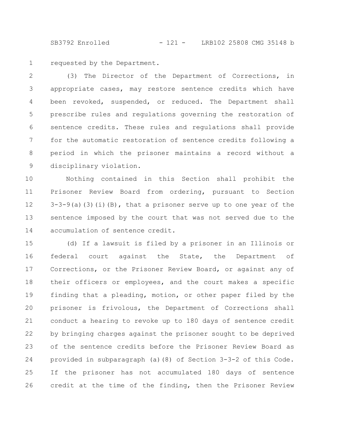SB3792 Enrolled - 121 - LRB102 25808 CMG 35148 b

requested by the Department. 1

(3) The Director of the Department of Corrections, in appropriate cases, may restore sentence credits which have been revoked, suspended, or reduced. The Department shall prescribe rules and regulations governing the restoration of sentence credits. These rules and regulations shall provide for the automatic restoration of sentence credits following a period in which the prisoner maintains a record without a disciplinary violation. 2 3 4 5 6 7 8 9

Nothing contained in this Section shall prohibit the Prisoner Review Board from ordering, pursuant to Section  $3-3-9$ (a)(3)(i)(B), that a prisoner serve up to one year of the sentence imposed by the court that was not served due to the accumulation of sentence credit. 10 11 12 13 14

(d) If a lawsuit is filed by a prisoner in an Illinois or federal court against the State, the Department of Corrections, or the Prisoner Review Board, or against any of their officers or employees, and the court makes a specific finding that a pleading, motion, or other paper filed by the prisoner is frivolous, the Department of Corrections shall conduct a hearing to revoke up to 180 days of sentence credit by bringing charges against the prisoner sought to be deprived of the sentence credits before the Prisoner Review Board as provided in subparagraph (a)(8) of Section 3-3-2 of this Code. If the prisoner has not accumulated 180 days of sentence credit at the time of the finding, then the Prisoner Review 15 16 17 18 19 20 21 22 23 24 25 26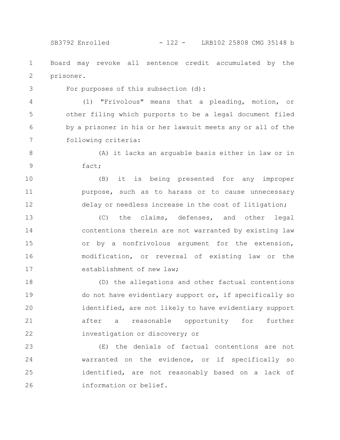SB3792 Enrolled - 122 - LRB102 25808 CMG 35148 b

Board may revoke all sentence credit accumulated by the prisoner. 1 2

3

For purposes of this subsection (d):

(1) "Frivolous" means that a pleading, motion, or other filing which purports to be a legal document filed by a prisoner in his or her lawsuit meets any or all of the following criteria: 4 5 6 7

(A) it lacks an arguable basis either in law or in fact; 8 9

(B) it is being presented for any improper purpose, such as to harass or to cause unnecessary delay or needless increase in the cost of litigation; 10 11 12

(C) the claims, defenses, and other legal contentions therein are not warranted by existing law or by a nonfrivolous argument for the extension, modification, or reversal of existing law or the establishment of new law; 13 14 15 16 17

(D) the allegations and other factual contentions do not have evidentiary support or, if specifically so identified, are not likely to have evidentiary support after a reasonable opportunity for further investigation or discovery; or 18 19 20 21 22

(E) the denials of factual contentions are not warranted on the evidence, or if specifically so identified, are not reasonably based on a lack of information or belief. 23 24 25 26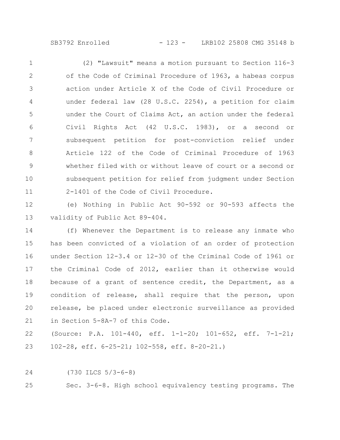SB3792 Enrolled - 123 - LRB102 25808 CMG 35148 b

(2) "Lawsuit" means a motion pursuant to Section 116-3 of the Code of Criminal Procedure of 1963, a habeas corpus action under Article X of the Code of Civil Procedure or under federal law (28 U.S.C. 2254), a petition for claim under the Court of Claims Act, an action under the federal Civil Rights Act (42 U.S.C. 1983), or a second or subsequent petition for post-conviction relief under Article 122 of the Code of Criminal Procedure of 1963 whether filed with or without leave of court or a second or subsequent petition for relief from judgment under Section 2-1401 of the Code of Civil Procedure. 1 2 3 4 5 6 7 8 9 10 11

(e) Nothing in Public Act 90-592 or 90-593 affects the validity of Public Act 89-404. 12 13

(f) Whenever the Department is to release any inmate who has been convicted of a violation of an order of protection under Section 12-3.4 or 12-30 of the Criminal Code of 1961 or the Criminal Code of 2012, earlier than it otherwise would because of a grant of sentence credit, the Department, as a condition of release, shall require that the person, upon release, be placed under electronic surveillance as provided in Section 5-8A-7 of this Code. 14 15 16 17 18 19 20 21

(Source: P.A. 101-440, eff. 1-1-20; 101-652, eff. 7-1-21; 102-28, eff. 6-25-21; 102-558, eff. 8-20-21.) 22 23

(730 ILCS 5/3-6-8) 24

Sec. 3-6-8. High school equivalency testing programs. The 25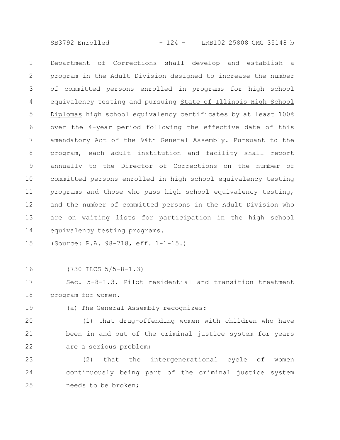SB3792 Enrolled - 124 - LRB102 25808 CMG 35148 b

Department of Corrections shall develop and establish a program in the Adult Division designed to increase the number of committed persons enrolled in programs for high school equivalency testing and pursuing State of Illinois High School Diplomas high school equivalency certificates by at least 100% over the 4-year period following the effective date of this amendatory Act of the 94th General Assembly. Pursuant to the program, each adult institution and facility shall report annually to the Director of Corrections on the number of committed persons enrolled in high school equivalency testing programs and those who pass high school equivalency testing, and the number of committed persons in the Adult Division who are on waiting lists for participation in the high school equivalency testing programs. 1 2 3 4 5 6 7 8 9 10 11 12 13 14

(Source: P.A. 98-718, eff. 1-1-15.) 15

16

(730 ILCS 5/5-8-1.3)

Sec. 5-8-1.3. Pilot residential and transition treatment program for women. 17 18

19

(a) The General Assembly recognizes:

(1) that drug-offending women with children who have been in and out of the criminal justice system for years are a serious problem; 20 21 22

(2) that the intergenerational cycle of women continuously being part of the criminal justice system needs to be broken; 23 24 25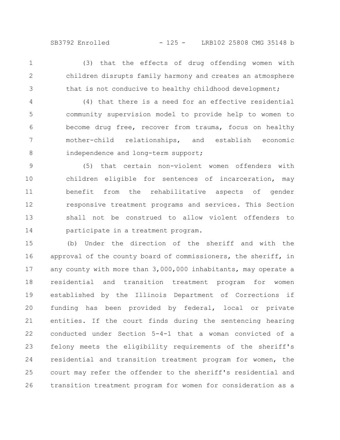(3) that the effects of drug offending women with children disrupts family harmony and creates an atmosphere that is not conducive to healthy childhood development; 1 2 3

(4) that there is a need for an effective residential community supervision model to provide help to women to become drug free, recover from trauma, focus on healthy mother-child relationships, and establish economic independence and long-term support; 4 5 6 7 8

(5) that certain non-violent women offenders with children eligible for sentences of incarceration, may benefit from the rehabilitative aspects of gender responsive treatment programs and services. This Section shall not be construed to allow violent offenders to participate in a treatment program. 9 10 11 12 13 14

(b) Under the direction of the sheriff and with the approval of the county board of commissioners, the sheriff, in any county with more than 3,000,000 inhabitants, may operate a residential and transition treatment program for women established by the Illinois Department of Corrections if funding has been provided by federal, local or private entities. If the court finds during the sentencing hearing conducted under Section 5-4-1 that a woman convicted of a felony meets the eligibility requirements of the sheriff's residential and transition treatment program for women, the court may refer the offender to the sheriff's residential and transition treatment program for women for consideration as a 15 16 17 18 19 20 21 22 23 24 25 26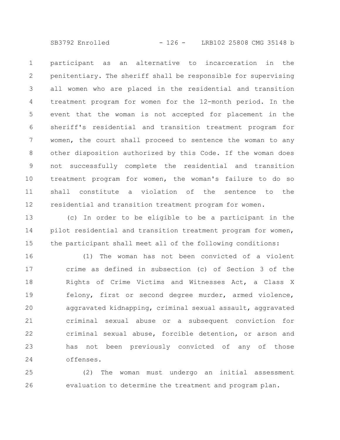SB3792 Enrolled - 126 - LRB102 25808 CMG 35148 b

participant as an alternative to incarceration in the penitentiary. The sheriff shall be responsible for supervising all women who are placed in the residential and transition treatment program for women for the 12-month period. In the event that the woman is not accepted for placement in the sheriff's residential and transition treatment program for women, the court shall proceed to sentence the woman to any other disposition authorized by this Code. If the woman does not successfully complete the residential and transition treatment program for women, the woman's failure to do so shall constitute a violation of the sentence to the residential and transition treatment program for women. 1 2 3 4 5 6 7 8 9 10 11 12

(c) In order to be eligible to be a participant in the pilot residential and transition treatment program for women, the participant shall meet all of the following conditions: 13 14 15

(1) The woman has not been convicted of a violent crime as defined in subsection (c) of Section 3 of the Rights of Crime Victims and Witnesses Act, a Class X felony, first or second degree murder, armed violence, aggravated kidnapping, criminal sexual assault, aggravated criminal sexual abuse or a subsequent conviction for criminal sexual abuse, forcible detention, or arson and has not been previously convicted of any of those offenses. 16 17 18 19 20 21 22 23 24

(2) The woman must undergo an initial assessment evaluation to determine the treatment and program plan. 25 26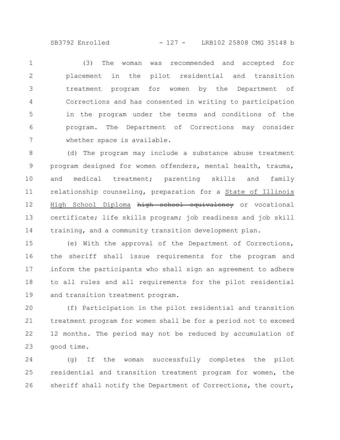SB3792 Enrolled - 127 - LRB102 25808 CMG 35148 b

(3) The woman was recommended and accepted for placement in the pilot residential and transition treatment program for women by the Department of Corrections and has consented in writing to participation in the program under the terms and conditions of the program. The Department of Corrections may consider whether space is available. 1 2 3 4 5 6 7

(d) The program may include a substance abuse treatment program designed for women offenders, mental health, trauma, and medical treatment; parenting skills and family relationship counseling, preparation for a State of Illinois High School Diploma high school equivalency or vocational certificate; life skills program; job readiness and job skill training, and a community transition development plan. 8 9 10 11 12 13 14

(e) With the approval of the Department of Corrections, the sheriff shall issue requirements for the program and inform the participants who shall sign an agreement to adhere to all rules and all requirements for the pilot residential and transition treatment program. 15 16 17 18 19

(f) Participation in the pilot residential and transition treatment program for women shall be for a period not to exceed 12 months. The period may not be reduced by accumulation of good time. 20 21 22 23

(g) If the woman successfully completes the pilot residential and transition treatment program for women, the sheriff shall notify the Department of Corrections, the court, 24 25 26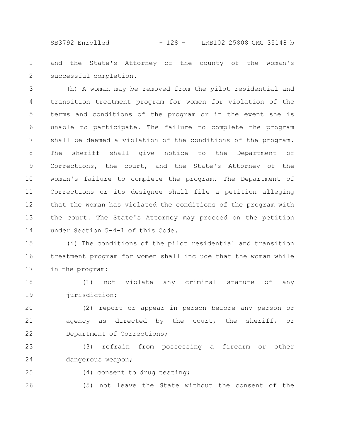SB3792 Enrolled - 128 - LRB102 25808 CMG 35148 b

and the State's Attorney of the county of the woman's successful completion. 1 2

(h) A woman may be removed from the pilot residential and transition treatment program for women for violation of the terms and conditions of the program or in the event she is unable to participate. The failure to complete the program shall be deemed a violation of the conditions of the program. The sheriff shall give notice to the Department of Corrections, the court, and the State's Attorney of the woman's failure to complete the program. The Department of Corrections or its designee shall file a petition alleging that the woman has violated the conditions of the program with the court. The State's Attorney may proceed on the petition under Section 5-4-1 of this Code. 3 4 5 6 7 8 9 10 11 12 13 14

(i) The conditions of the pilot residential and transition treatment program for women shall include that the woman while in the program: 15 16 17

(1) not violate any criminal statute of any jurisdiction; 18 19

(2) report or appear in person before any person or agency as directed by the court, the sheriff, or Department of Corrections; 20 21 22

(3) refrain from possessing a firearm or other dangerous weapon; 23 24

25

(4) consent to drug testing;

(5) not leave the State without the consent of the 26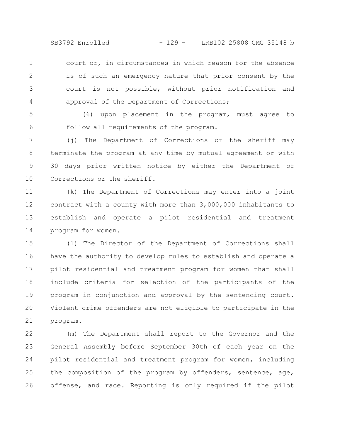SB3792 Enrolled - 129 - LRB102 25808 CMG 35148 b

court or, in circumstances in which reason for the absence is of such an emergency nature that prior consent by the court is not possible, without prior notification and approval of the Department of Corrections; 1 2 3 4

(6) upon placement in the program, must agree to follow all requirements of the program. 5 6

(j) The Department of Corrections or the sheriff may terminate the program at any time by mutual agreement or with 30 days prior written notice by either the Department of Corrections or the sheriff. 7 8 9 10

(k) The Department of Corrections may enter into a joint contract with a county with more than 3,000,000 inhabitants to establish and operate a pilot residential and treatment program for women. 11 12 13 14

(l) The Director of the Department of Corrections shall have the authority to develop rules to establish and operate a pilot residential and treatment program for women that shall include criteria for selection of the participants of the program in conjunction and approval by the sentencing court. Violent crime offenders are not eligible to participate in the program. 15 16 17 18 19 20 21

(m) The Department shall report to the Governor and the General Assembly before September 30th of each year on the pilot residential and treatment program for women, including the composition of the program by offenders, sentence, age, offense, and race. Reporting is only required if the pilot 22 23 24 25 26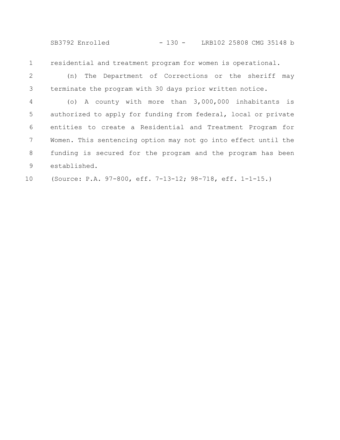SB3792 Enrolled - 130 - LRB102 25808 CMG 35148 b

residential and treatment program for women is operational. 1

(n) The Department of Corrections or the sheriff may terminate the program with 30 days prior written notice. 2 3

(o) A county with more than 3,000,000 inhabitants is authorized to apply for funding from federal, local or private entities to create a Residential and Treatment Program for Women. This sentencing option may not go into effect until the funding is secured for the program and the program has been established. 4 5 6 7 8 9

(Source: P.A. 97-800, eff. 7-13-12; 98-718, eff. 1-1-15.) 10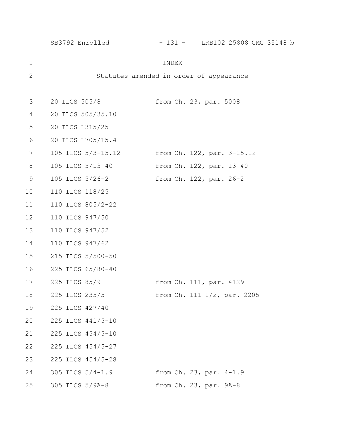|             | SB3792 Enrolled    | - 131 - LRB102 25808 CMG 35148 b        |
|-------------|--------------------|-----------------------------------------|
| $\mathbf 1$ |                    | INDEX                                   |
| 2           |                    | Statutes amended in order of appearance |
| 3           | 20 ILCS 505/8      | from Ch. 23, par. 5008                  |
| 4           | 20 ILCS 505/35.10  |                                         |
| 5           | 20 ILCS 1315/25    |                                         |
| 6           | 20 ILCS 1705/15.4  |                                         |
| 7           | 105 ILCS 5/3-15.12 | from Ch. 122, par. 3-15.12              |
| 8           | 105 ILCS 5/13-40   | from Ch. 122, par. 13-40                |
| $\mathsf 9$ | 105 ILCS 5/26-2    | from Ch. 122, par. 26-2                 |
| 10          | 110 ILCS 118/25    |                                         |
| 11          | 110 ILCS 805/2-22  |                                         |
| 12          | 110 ILCS 947/50    |                                         |
| 13          | 110 ILCS 947/52    |                                         |
| 14          | 110 ILCS 947/62    |                                         |
| 15          | 215 ILCS 5/500-50  |                                         |
| 16          | 225 ILCS 65/80-40  |                                         |
| 17          | 225 ILCS 85/9      | from Ch. 111, par. 4129                 |
| 18          | 225 ILCS 235/5     | from Ch. 111 1/2, par. 2205             |
| 19          | 225 ILCS 427/40    |                                         |
| 20          | 225 ILCS 441/5-10  |                                         |
| 21          | 225 ILCS 454/5-10  |                                         |
| 22          | 225 ILCS 454/5-27  |                                         |
| 23          | 225 ILCS 454/5-28  |                                         |
| 24          | 305 ILCS 5/4-1.9   | from Ch. 23, par. 4-1.9                 |
| 25          | 305 ILCS 5/9A-8    | from Ch. 23, par. 9A-8                  |